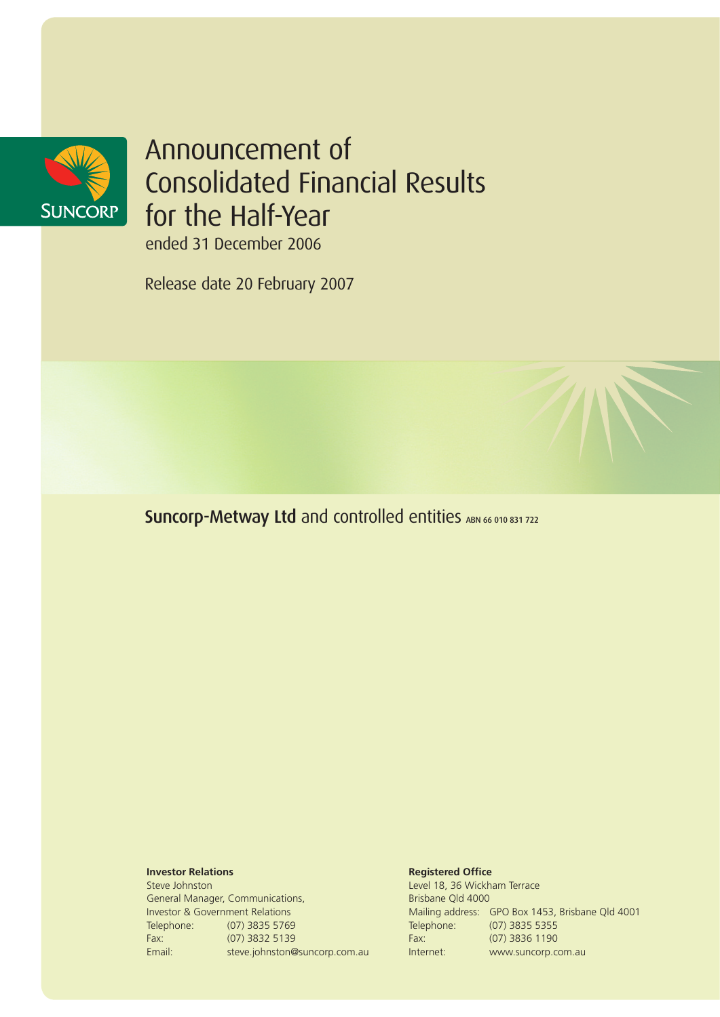

# Announcement of Consolidated Financial Results for the Half-Year

ended 31 December 2006

Release date 20 February 2007

Suncorp-Metway Ltd and controlled entities ABN 66 010 831 722

### **Investor Relations**

Steve Johnston General Manager, Communications, Investor & Government Relations Telephone: (07) 3835 5769 Fax: (07) 3832 5139 Email: steve.johnston@suncorp.com.au

#### **Registered Office**

Level 18, 36 Wickham Terrace Brisbane Qld 4000 Mailing address: GPO Box 1453, Brisbane Qld 4001 Telephone: (07) 3835 5355 Fax: (07) 3836 1190 Internet: www.suncorp.com.au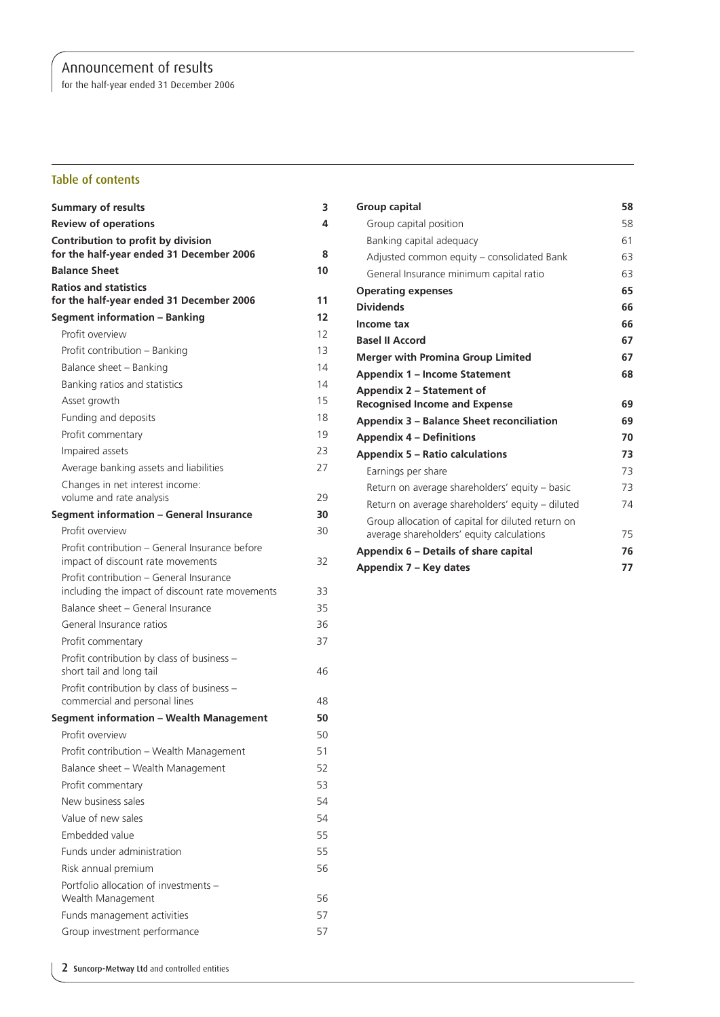for the half-year ended 31 December 2006

### Table of contents

| <b>Summary of results</b>                                                                  | з  |
|--------------------------------------------------------------------------------------------|----|
| <b>Review of operations</b>                                                                | 4  |
| Contribution to profit by division<br>for the half-year ended 31 December 2006             | 8  |
| <b>Balance Sheet</b>                                                                       | 10 |
| <b>Ratios and statistics</b>                                                               |    |
| for the half-year ended 31 December 2006                                                   | 11 |
| <b>Segment information - Banking</b>                                                       | 12 |
| Profit overview                                                                            | 12 |
| Profit contribution - Banking                                                              | 13 |
| Balance sheet - Banking                                                                    | 14 |
| Banking ratios and statistics                                                              | 14 |
| Asset growth                                                                               | 15 |
| Funding and deposits                                                                       | 18 |
| Profit commentary                                                                          | 19 |
| Impaired assets                                                                            | 23 |
| Average banking assets and liabilities                                                     | 27 |
| Changes in net interest income:                                                            |    |
| volume and rate analysis                                                                   | 29 |
| Segment information - General Insurance                                                    | 30 |
| Profit overview                                                                            | 30 |
| Profit contribution - General Insurance before<br>impact of discount rate movements        | 32 |
| Profit contribution - General Insurance<br>including the impact of discount rate movements | 33 |
| Balance sheet - General Insurance                                                          | 35 |
| General Insurance ratios                                                                   | 36 |
| Profit commentary                                                                          | 37 |
| Profit contribution by class of business -<br>short tail and long tail                     | 46 |
| Profit contribution by class of business -                                                 |    |
| commercial and personal lines                                                              | 48 |
| <b>Segment information - Wealth Management</b>                                             | 50 |
| Profit overview                                                                            | 50 |
| Profit contribution - Wealth Management                                                    | 51 |
| Balance sheet - Wealth Management                                                          | 52 |
| Profit commentary                                                                          | 53 |
| New business sales                                                                         | 54 |
| Value of new sales                                                                         | 54 |
| Embedded value                                                                             | 55 |
| Funds under administration                                                                 | 55 |
| Risk annual premium                                                                        | 56 |
| Portfolio allocation of investments -                                                      |    |
| Wealth Management                                                                          | 56 |
| Funds management activities                                                                | 57 |
| Group investment performance                                                               | 57 |

| Group capital                                     | 58 |
|---------------------------------------------------|----|
| Group capital position                            | 58 |
| Banking capital adequacy                          | 61 |
| Adjusted common equity – consolidated Bank        | 63 |
| General Insurance minimum capital ratio           | 63 |
| <b>Operating expenses</b>                         | 65 |
| <b>Dividends</b>                                  | 66 |
| Income tax                                        | 66 |
| <b>Basel II Accord</b>                            | 67 |
| <b>Merger with Promina Group Limited</b>          | 67 |
| <b>Appendix 1 – Income Statement</b>              | 68 |
| Appendix 2 – Statement of                         |    |
| <b>Recognised Income and Expense</b>              | 69 |
| Appendix 3 – Balance Sheet reconciliation         | 69 |
| <b>Appendix 4 – Definitions</b>                   | 70 |
| <b>Appendix 5 – Ratio calculations</b>            | 73 |
| Earnings per share                                | 73 |
| Return on average shareholders' equity - basic    | 73 |
| Return on average shareholders' equity – diluted  | 74 |
| Group allocation of capital for diluted return on |    |
| average shareholders' equity calculations         | 75 |
| Appendix 6 – Details of share capital             | 76 |
| Appendix 7 - Key dates                            | 77 |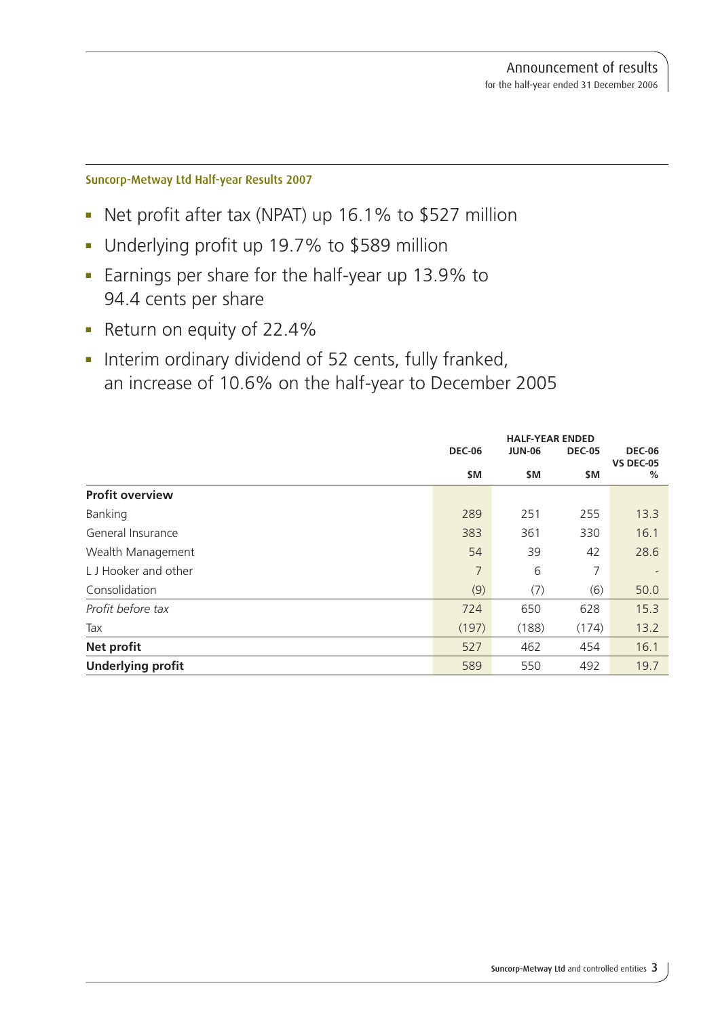### Suncorp-Metway Ltd Half-year Results 2007

- Net profit after tax (NPAT) up 16.1% to \$527 million
- **-** Underlying profit up 19.7% to \$589 million
- **Earnings per share for the half-year up 13.9% to** 94.4 cents per share
- Return on equity of 22.4%
- Interim ordinary dividend of 52 cents, fully franked, an increase of 10.6% on the half-year to December 2005

|                          |               | <b>HALF-YEAR ENDED</b> |               |                                   |
|--------------------------|---------------|------------------------|---------------|-----------------------------------|
|                          | <b>DEC-06</b> | <b>JUN-06</b>          | <b>DEC-05</b> | <b>DEC-06</b><br><b>VS DEC-05</b> |
|                          | \$M           | \$M                    | \$M           | %                                 |
| <b>Profit overview</b>   |               |                        |               |                                   |
| Banking                  | 289           | 251                    | 255           | 13.3                              |
| General Insurance        | 383           | 361                    | 330           | 16.1                              |
| Wealth Management        | 54            | 39                     | 42            | 28.6                              |
| L J Hooker and other     | 7             | 6                      | 7             |                                   |
| Consolidation            | (9)           | (7)                    | (6)           | 50.0                              |
| Profit before tax        | 724           | 650                    | 628           | 15.3                              |
| Tax                      | (197)         | (188)                  | (174)         | 13.2                              |
| <b>Net profit</b>        | 527           | 462                    | 454           | 16.1                              |
| <b>Underlying profit</b> | 589           | 550                    | 492           | 19.7                              |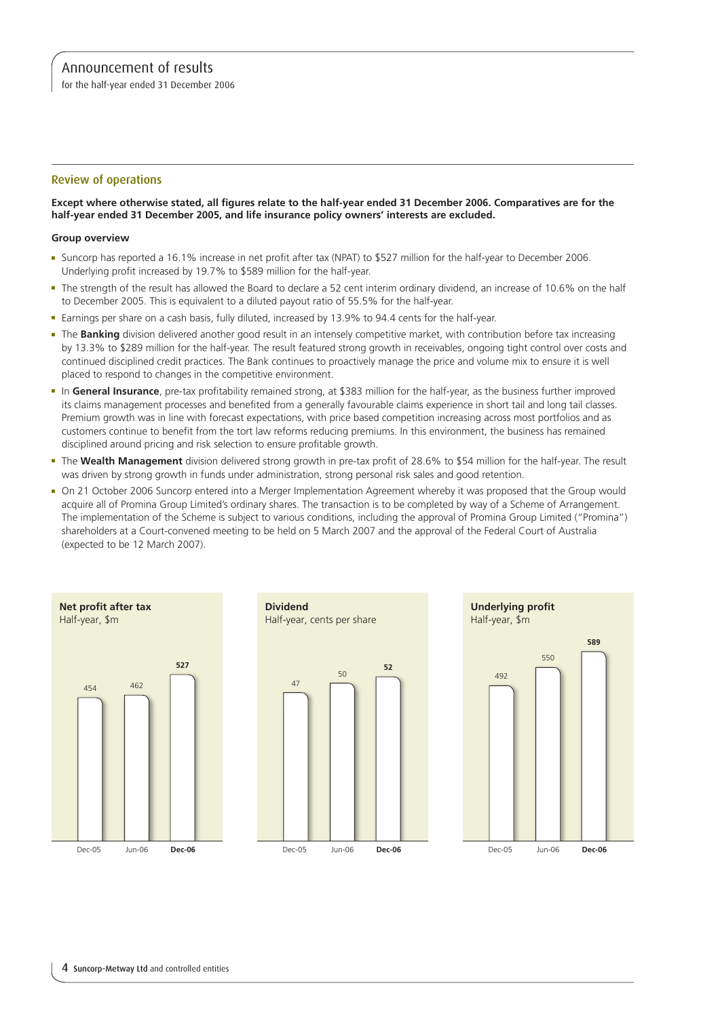for the half-year ended 31 December 2006

### Review of operations

### **Except where otherwise stated, all figures relate to the half-year ended 31 December 2006. Comparatives are for the half-year ended 31 December 2005, and life insurance policy owners' interests are excluded.**

### **Group overview**

- <sup>n</sup> Suncorp has reported a 16.1% increase in net profit after tax (NPAT) to \$527 million for the half-year to December 2006. Underlying profit increased by 19.7% to \$589 million for the half-year.
- <sup>n</sup> The strength of the result has allowed the Board to declare a 52 cent interim ordinary dividend, an increase of 10.6% on the half to December 2005. This is equivalent to a diluted payout ratio of 55.5% for the half-year.
- <sup>n</sup> Earnings per share on a cash basis, fully diluted, increased by 13.9% to 94.4 cents for the half-year.
- **-** The Banking division delivered another good result in an intensely competitive market, with contribution before tax increasing by 13.3% to \$289 million for the half-year. The result featured strong growth in receivables, ongoing tight control over costs and continued disciplined credit practices. The Bank continues to proactively manage the price and volume mix to ensure it is well placed to respond to changes in the competitive environment.
- <sup>n</sup> In **General Insurance**, pre-tax profitability remained strong, at \$383 million for the half-year, as the business further improved its claims management processes and benefited from a generally favourable claims experience in short tail and long tail classes. Premium growth was in line with forecast expectations, with price based competition increasing across most portfolios and as customers continue to benefit from the tort law reforms reducing premiums. In this environment, the business has remained disciplined around pricing and risk selection to ensure profitable growth.
- <sup>n</sup> The **Wealth Management** division delivered strong growth in pre-tax profit of 28.6% to \$54 million for the half-year. The result was driven by strong growth in funds under administration, strong personal risk sales and good retention.
- <sup>n</sup> On 21 October 2006 Suncorp entered into a Merger Implementation Agreement whereby it was proposed that the Group would acquire all of Promina Group Limited's ordinary shares. The transaction is to be completed by way of a Scheme of Arrangement. The implementation of the Scheme is subject to various conditions, including the approval of Promina Group Limited ("Promina") shareholders at a Court-convened meeting to be held on 5 March 2007 and the approval of the Federal Court of Australia (expected to be 12 March 2007).

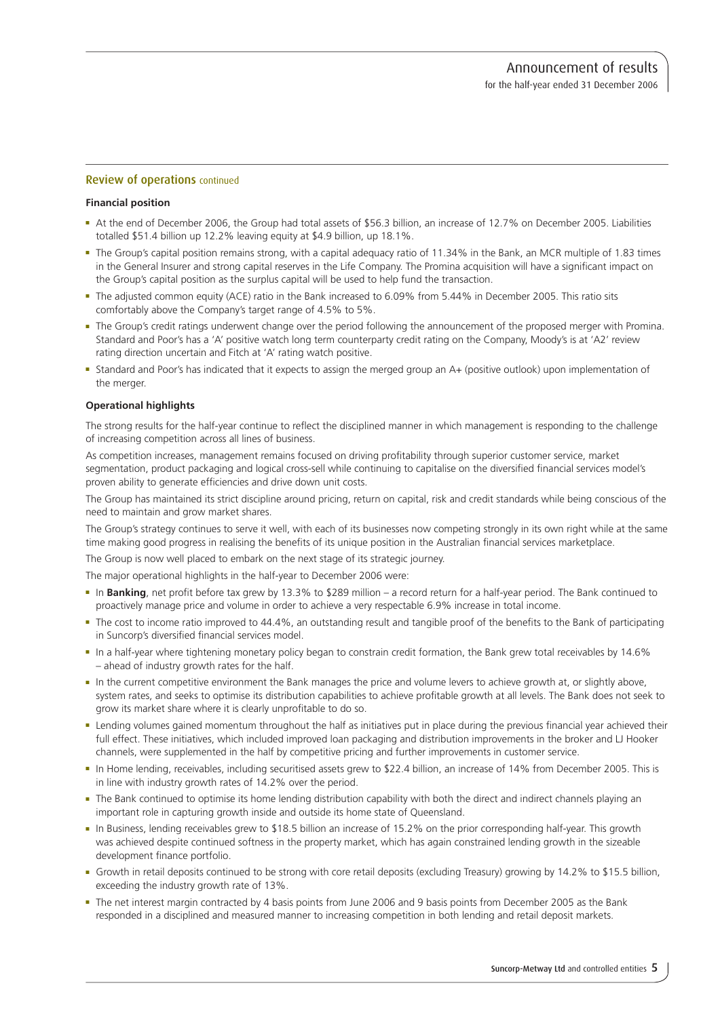### Review of operations continued

### **Financial position**

- <sup>n</sup> At the end of December 2006, the Group had total assets of \$56.3 billion, an increase of 12.7% on December 2005. Liabilities totalled \$51.4 billion up 12.2% leaving equity at \$4.9 billion, up 18.1%.
- <sup>n</sup> The Group's capital position remains strong, with a capital adequacy ratio of 11.34% in the Bank, an MCR multiple of 1.83 times in the General Insurer and strong capital reserves in the Life Company. The Promina acquisition will have a significant impact on the Group's capital position as the surplus capital will be used to help fund the transaction.
- The adjusted common equity (ACE) ratio in the Bank increased to 6.09% from 5.44% in December 2005. This ratio sits comfortably above the Company's target range of 4.5% to 5%.
- <sup>n</sup> The Group's credit ratings underwent change over the period following the announcement of the proposed merger with Promina. Standard and Poor's has a 'A' positive watch long term counterparty credit rating on the Company, Moody's is at 'A2' review rating direction uncertain and Fitch at 'A' rating watch positive.
- <sup>n</sup> Standard and Poor's has indicated that it expects to assign the merged group an A+ (positive outlook) upon implementation of the merger.

#### **Operational highlights**

The strong results for the half-year continue to reflect the disciplined manner in which management is responding to the challenge of increasing competition across all lines of business.

As competition increases, management remains focused on driving profitability through superior customer service, market segmentation, product packaging and logical cross-sell while continuing to capitalise on the diversified financial services model's proven ability to generate efficiencies and drive down unit costs.

The Group has maintained its strict discipline around pricing, return on capital, risk and credit standards while being conscious of the need to maintain and grow market shares.

The Group's strategy continues to serve it well, with each of its businesses now competing strongly in its own right while at the same time making good progress in realising the benefits of its unique position in the Australian financial services marketplace.

The Group is now well placed to embark on the next stage of its strategic journey.

The major operational highlights in the half-year to December 2006 were:

- <sup>n</sup> In **Banking**, net profit before tax grew by 13.3% to \$289 million a record return for a half-year period. The Bank continued to proactively manage price and volume in order to achieve a very respectable 6.9% increase in total income.
- <sup>n</sup> The cost to income ratio improved to 44.4%, an outstanding result and tangible proof of the benefits to the Bank of participating in Suncorp's diversified financial services model.
- <sup>n</sup> In a half-year where tightening monetary policy began to constrain credit formation, the Bank grew total receivables by 14.6% – ahead of industry growth rates for the half.
- n the current competitive environment the Bank manages the price and volume levers to achieve growth at, or slightly above, system rates, and seeks to optimise its distribution capabilities to achieve profitable growth at all levels. The Bank does not seek to grow its market share where it is clearly unprofitable to do so.
- <sup>n</sup> Lending volumes gained momentum throughout the half as initiatives put in place during the previous financial year achieved their full effect. These initiatives, which included improved loan packaging and distribution improvements in the broker and LJ Hooker channels, were supplemented in the half by competitive pricing and further improvements in customer service.
- <sup>n</sup> In Home lending, receivables, including securitised assets grew to \$22.4 billion, an increase of 14% from December 2005. This is in line with industry growth rates of 14.2% over the period.
- The Bank continued to optimise its home lending distribution capability with both the direct and indirect channels playing an important role in capturing growth inside and outside its home state of Queensland.
- <sup>n</sup> In Business, lending receivables grew to \$18.5 billion an increase of 15.2% on the prior corresponding half-year. This growth was achieved despite continued softness in the property market, which has again constrained lending growth in the sizeable development finance portfolio.
- <sup>n</sup> Growth in retail deposits continued to be strong with core retail deposits (excluding Treasury) growing by 14.2% to \$15.5 billion, exceeding the industry growth rate of 13%.
- <sup>n</sup> The net interest margin contracted by 4 basis points from June 2006 and 9 basis points from December 2005 as the Bank responded in a disciplined and measured manner to increasing competition in both lending and retail deposit markets.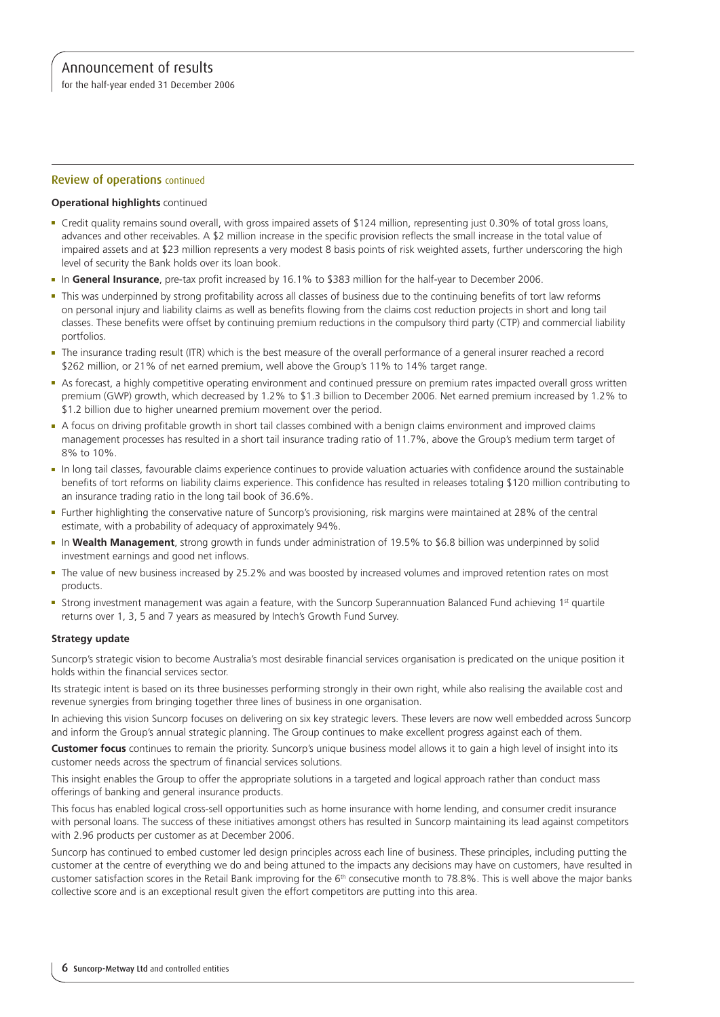for the half-year ended 31 December 2006

### Review of operations continued

### **Operational highlights** continued

- <sup>n</sup> Credit quality remains sound overall, with gross impaired assets of \$124 million, representing just 0.30% of total gross loans, advances and other receivables. A \$2 million increase in the specific provision reflects the small increase in the total value of impaired assets and at \$23 million represents a very modest 8 basis points of risk weighted assets, further underscoring the high level of security the Bank holds over its loan book.
- <sup>n</sup> In **General Insurance**, pre-tax profit increased by 16.1% to \$383 million for the half-year to December 2006.
- <sup>n</sup> This was underpinned by strong profitability across all classes of business due to the continuing benefits of tort law reforms on personal injury and liability claims as well as benefits flowing from the claims cost reduction projects in short and long tail classes. These benefits were offset by continuing premium reductions in the compulsory third party (CTP) and commercial liability portfolios.
- <sup>n</sup> The insurance trading result (ITR) which is the best measure of the overall performance of a general insurer reached a record \$262 million, or 21% of net earned premium, well above the Group's 11% to 14% target range.
- <sup>n</sup> As forecast, a highly competitive operating environment and continued pressure on premium rates impacted overall gross written premium (GWP) growth, which decreased by 1.2% to \$1.3 billion to December 2006. Net earned premium increased by 1.2% to \$1.2 billion due to higher unearned premium movement over the period.
- A focus on driving profitable growth in short tail classes combined with a benign claims environment and improved claims management processes has resulted in a short tail insurance trading ratio of 11.7%, above the Group's medium term target of 8% to 10%.
- <sup>n</sup> In long tail classes, favourable claims experience continues to provide valuation actuaries with confidence around the sustainable benefits of tort reforms on liability claims experience. This confidence has resulted in releases totaling \$120 million contributing to an insurance trading ratio in the long tail book of 36.6%.
- <sup>n</sup> Further highlighting the conservative nature of Suncorp's provisioning, risk margins were maintained at 28% of the central estimate, with a probability of adequacy of approximately 94%.
- <sup>n</sup> In **Wealth Management**, strong growth in funds under administration of 19.5% to \$6.8 billion was underpinned by solid investment earnings and good net inflows.
- The value of new business increased by 25.2% and was boosted by increased volumes and improved retention rates on most products.
- Strong investment management was again a feature, with the Suncorp Superannuation Balanced Fund achieving 1<sup>st</sup> quartile returns over 1, 3, 5 and 7 years as measured by Intech's Growth Fund Survey.

### **Strategy update**

Suncorp's strategic vision to become Australia's most desirable financial services organisation is predicated on the unique position it holds within the financial services sector.

Its strategic intent is based on its three businesses performing strongly in their own right, while also realising the available cost and revenue synergies from bringing together three lines of business in one organisation.

In achieving this vision Suncorp focuses on delivering on six key strategic levers. These levers are now well embedded across Suncorp and inform the Group's annual strategic planning. The Group continues to make excellent progress against each of them.

**Customer focus** continues to remain the priority. Suncorp's unique business model allows it to gain a high level of insight into its customer needs across the spectrum of financial services solutions.

This insight enables the Group to offer the appropriate solutions in a targeted and logical approach rather than conduct mass offerings of banking and general insurance products.

This focus has enabled logical cross-sell opportunities such as home insurance with home lending, and consumer credit insurance with personal loans. The success of these initiatives amongst others has resulted in Suncorp maintaining its lead against competitors with 2.96 products per customer as at December 2006.

Suncorp has continued to embed customer led design principles across each line of business. These principles, including putting the customer at the centre of everything we do and being attuned to the impacts any decisions may have on customers, have resulted in customer satisfaction scores in the Retail Bank improving for the 6<sup>th</sup> consecutive month to 78.8%. This is well above the major banks collective score and is an exceptional result given the effort competitors are putting into this area.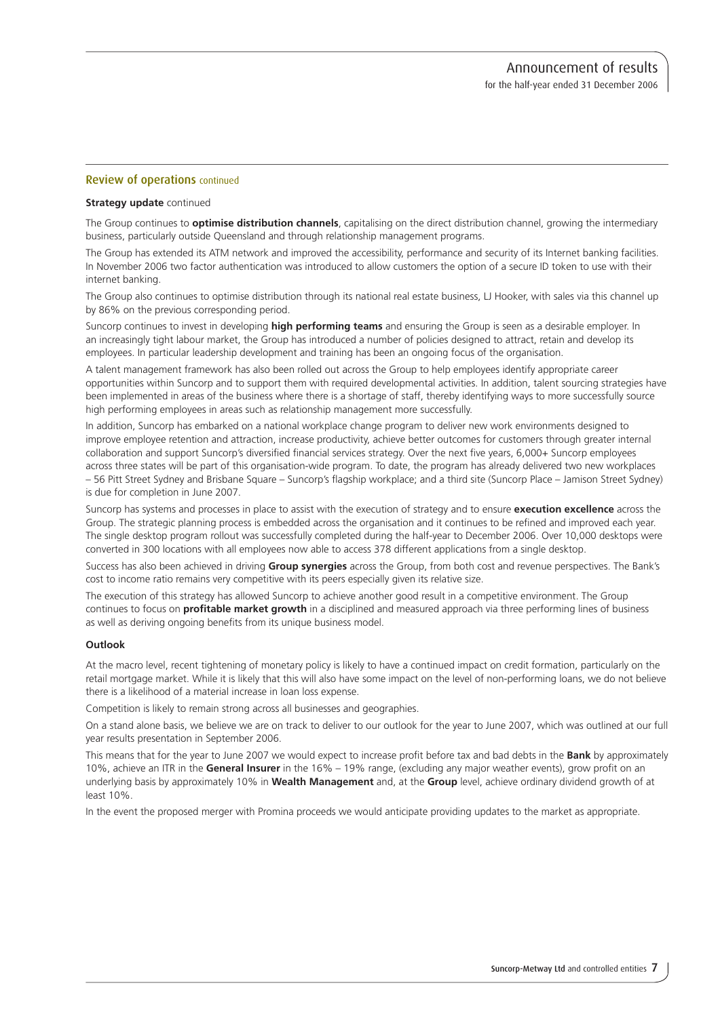### Review of operations continued

#### **Strategy update** continued

The Group continues to **optimise distribution channels**, capitalising on the direct distribution channel, growing the intermediary business, particularly outside Queensland and through relationship management programs.

The Group has extended its ATM network and improved the accessibility, performance and security of its Internet banking facilities. In November 2006 two factor authentication was introduced to allow customers the option of a secure ID token to use with their internet banking.

The Group also continues to optimise distribution through its national real estate business, LJ Hooker, with sales via this channel up by 86% on the previous corresponding period.

Suncorp continues to invest in developing **high performing teams** and ensuring the Group is seen as a desirable employer. In an increasingly tight labour market, the Group has introduced a number of policies designed to attract, retain and develop its employees. In particular leadership development and training has been an ongoing focus of the organisation.

A talent management framework has also been rolled out across the Group to help employees identify appropriate career opportunities within Suncorp and to support them with required developmental activities. In addition, talent sourcing strategies have been implemented in areas of the business where there is a shortage of staff, thereby identifying ways to more successfully source high performing employees in areas such as relationship management more successfully.

In addition, Suncorp has embarked on a national workplace change program to deliver new work environments designed to improve employee retention and attraction, increase productivity, achieve better outcomes for customers through greater internal collaboration and support Suncorp's diversified financial services strategy. Over the next five years, 6,000+ Suncorp employees across three states will be part of this organisation-wide program. To date, the program has already delivered two new workplaces – 56 Pitt Street Sydney and Brisbane Square – Suncorp's flagship workplace; and a third site (Suncorp Place – Jamison Street Sydney) is due for completion in June 2007.

Suncorp has systems and processes in place to assist with the execution of strategy and to ensure **execution excellence** across the Group. The strategic planning process is embedded across the organisation and it continues to be refined and improved each year. The single desktop program rollout was successfully completed during the half-year to December 2006. Over 10,000 desktops were converted in 300 locations with all employees now able to access 378 different applications from a single desktop.

Success has also been achieved in driving **Group synergies** across the Group, from both cost and revenue perspectives. The Bank's cost to income ratio remains very competitive with its peers especially given its relative size.

The execution of this strategy has allowed Suncorp to achieve another good result in a competitive environment. The Group continues to focus on **profitable market growth** in a disciplined and measured approach via three performing lines of business as well as deriving ongoing benefits from its unique business model.

### **Outlook**

At the macro level, recent tightening of monetary policy is likely to have a continued impact on credit formation, particularly on the retail mortgage market. While it is likely that this will also have some impact on the level of non-performing loans, we do not believe there is a likelihood of a material increase in loan loss expense.

Competition is likely to remain strong across all businesses and geographies.

On a stand alone basis, we believe we are on track to deliver to our outlook for the year to June 2007, which was outlined at our full year results presentation in September 2006.

This means that for the year to June 2007 we would expect to increase profit before tax and bad debts in the **Bank** by approximately 10%, achieve an ITR in the **General Insurer** in the 16% – 19% range, (excluding any major weather events), grow profit on an underlying basis by approximately 10% in **Wealth Management** and, at the **Group** level, achieve ordinary dividend growth of at least 10%.

In the event the proposed merger with Promina proceeds we would anticipate providing updates to the market as appropriate.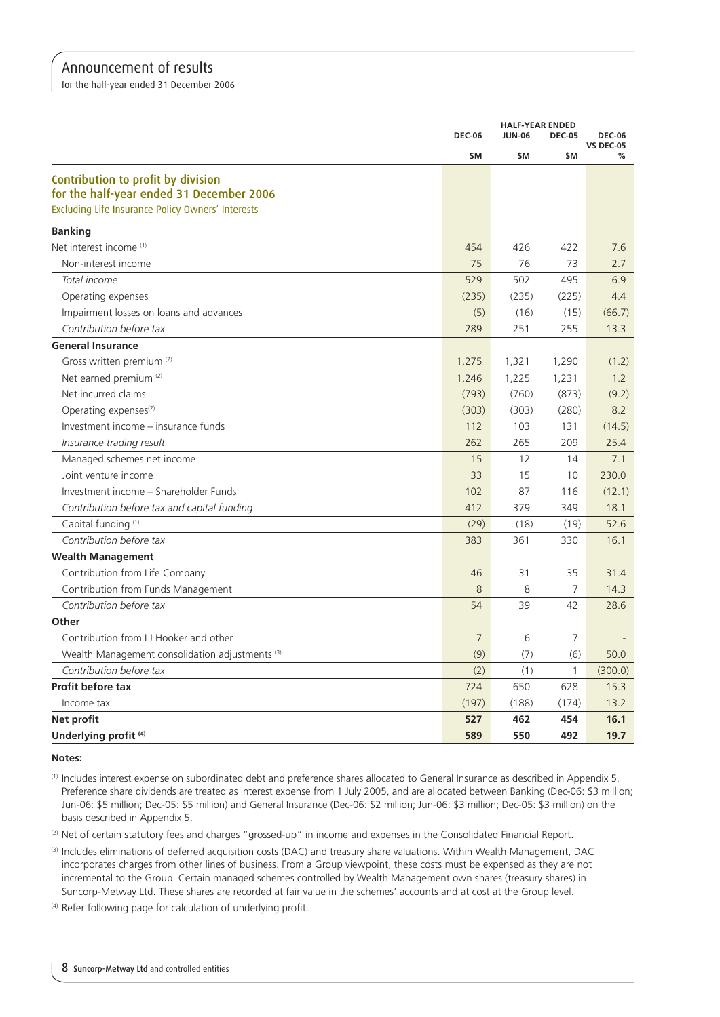for the half-year ended 31 December 2006

|                                                            | <b>DEC-06</b>  | <b>HALF-YEAR ENDED</b> | <b>DEC-05</b><br><b>JUN-06</b> |                                   |
|------------------------------------------------------------|----------------|------------------------|--------------------------------|-----------------------------------|
|                                                            |                |                        |                                | <b>DEC-06</b><br><b>VS DEC-05</b> |
|                                                            | \$M            | \$M                    | \$M                            | ℅                                 |
| Contribution to profit by division                         |                |                        |                                |                                   |
| for the half-year ended 31 December 2006                   |                |                        |                                |                                   |
| Excluding Life Insurance Policy Owners' Interests          |                |                        |                                |                                   |
| <b>Banking</b>                                             |                |                        |                                |                                   |
| Net interest income (1)                                    | 454            | 426                    | 422                            | 7.6                               |
| Non-interest income                                        | 75             | 76                     | 73                             | 2.7                               |
| Total income                                               | 529            | 502                    | 495                            | 6.9                               |
| Operating expenses                                         | (235)          | (235)                  | (225)                          | 4.4                               |
| Impairment losses on loans and advances                    | (5)            | (16)                   | (15)                           | (66.7)                            |
| Contribution before tax                                    | 289            | 251                    | 255                            | 13.3                              |
| <b>General Insurance</b>                                   |                |                        |                                |                                   |
| Gross written premium (2)                                  | 1,275          | 1,321                  | 1,290                          | (1.2)                             |
| Net earned premium (2)                                     | 1,246          | 1,225                  | 1,231                          | 1.2                               |
| Net incurred claims                                        | (793)          | (760)                  | (873)                          | (9.2)                             |
| Operating expenses $(2)$                                   | (303)          | (303)                  | (280)                          | 8.2                               |
| Investment income – insurance funds                        | 112            | 103                    | 131                            | (14.5)                            |
| Insurance trading result                                   | 262            | 265                    | 209                            | 25.4                              |
| Managed schemes net income                                 | 15             | 12                     | 14                             | 7.1                               |
| Joint venture income                                       | 33             | 15                     | 10                             | 230.0                             |
| Investment income - Shareholder Funds                      | 102            | 87                     | 116                            | (12.1)                            |
| Contribution before tax and capital funding                | 412            | 379                    | 349                            | 18.1                              |
| Capital funding (1)                                        | (29)           | (18)                   | (19)                           | 52.6                              |
| Contribution before tax                                    | 383            | 361                    | 330                            | 16.1                              |
| <b>Wealth Management</b>                                   |                |                        |                                |                                   |
| Contribution from Life Company                             | 46             | 31                     | 35                             | 31.4                              |
| Contribution from Funds Management                         | 8              | 8                      | $\overline{7}$                 | 14.3                              |
| Contribution before tax                                    | 54             | 39                     | 42                             | 28.6                              |
| Other                                                      |                |                        |                                |                                   |
| Contribution from LJ Hooker and other                      | $\overline{7}$ | 6                      | $\overline{7}$                 |                                   |
| Wealth Management consolidation adjustments <sup>(3)</sup> | (9)            | (7)                    | (6)                            | 50.0                              |
| Contribution before tax                                    | (2)            | (1)                    | 1                              | (300.0)                           |
| Profit before tax                                          | 724            | 650                    | 628                            | 15.3                              |
| Income tax                                                 | (197)          | (188)                  | (174)                          | 13.2                              |
| Net profit                                                 | 527            | 462                    | 454                            | 16.1                              |
| Underlying profit (4)                                      | 589            | 550                    | 492                            | 19.7                              |

**Notes:**

(1) Includes interest expense on subordinated debt and preference shares allocated to General Insurance as described in Appendix 5. Preference share dividends are treated as interest expense from 1 July 2005, and are allocated between Banking (Dec-06: \$3 million; Jun-06: \$5 million; Dec-05: \$5 million) and General Insurance (Dec-06: \$2 million; Jun-06: \$3 million; Dec-05: \$3 million) on the basis described in Appendix 5.

(2) Net of certain statutory fees and charges "grossed-up" in income and expenses in the Consolidated Financial Report.

(3) Includes eliminations of deferred acquisition costs (DAC) and treasury share valuations. Within Wealth Management, DAC incorporates charges from other lines of business. From a Group viewpoint, these costs must be expensed as they are not incremental to the Group. Certain managed schemes controlled by Wealth Management own shares (treasury shares) in Suncorp-Metway Ltd. These shares are recorded at fair value in the schemes' accounts and at cost at the Group level.

(4) Refer following page for calculation of underlying profit.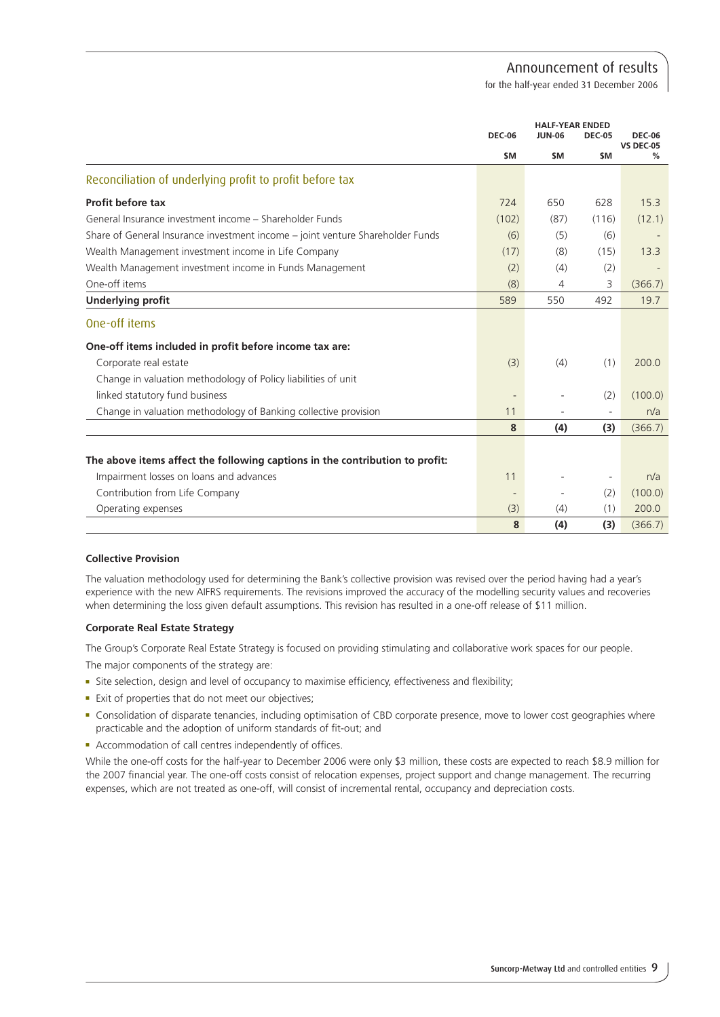for the half-year ended 31 December 2006

|                                                                                |               | <b>HALF-YEAR ENDED</b> |                          |                                   |
|--------------------------------------------------------------------------------|---------------|------------------------|--------------------------|-----------------------------------|
|                                                                                | <b>DEC-06</b> | <b>JUN-06</b>          | <b>DEC-05</b>            | <b>DEC-06</b><br><b>VS DEC-05</b> |
|                                                                                | <b>SM</b>     | \$M                    | \$M                      | %                                 |
| Reconciliation of underlying profit to profit before tax                       |               |                        |                          |                                   |
| Profit before tax                                                              | 724           | 650                    | 628                      | 15.3                              |
| General Insurance investment income – Shareholder Funds                        | (102)         | (87)                   | (116)                    | (12.1)                            |
| Share of General Insurance investment income – joint venture Shareholder Funds | (6)           | (5)                    | (6)                      |                                   |
| Wealth Management investment income in Life Company                            | (17)          | (8)                    | (15)                     | 13.3                              |
| Wealth Management investment income in Funds Management                        | (2)           | (4)                    | (2)                      |                                   |
| One-off items                                                                  | (8)           | 4                      | 3                        | (366.7)                           |
| <b>Underlying profit</b>                                                       | 589           | 550                    | 492                      | 19.7                              |
| One-off items                                                                  |               |                        |                          |                                   |
| One-off items included in profit before income tax are:                        |               |                        |                          |                                   |
| Corporate real estate                                                          | (3)           | (4)                    | (1)                      | 200.0                             |
| Change in valuation methodology of Policy liabilities of unit                  |               |                        |                          |                                   |
| linked statutory fund business                                                 |               |                        | (2)                      | (100.0)                           |
| Change in valuation methodology of Banking collective provision                | 11            |                        |                          | n/a                               |
|                                                                                | 8             | (4)                    | (3)                      | (366.7)                           |
|                                                                                |               |                        |                          |                                   |
| The above items affect the following captions in the contribution to profit:   |               |                        |                          |                                   |
| Impairment losses on loans and advances                                        | 11            |                        | $\overline{\phantom{a}}$ | n/a                               |
| Contribution from Life Company                                                 |               |                        | (2)                      | (100.0)                           |
| Operating expenses                                                             | (3)           | (4)                    | (1)                      | 200.0                             |
|                                                                                | 8             | (4)                    | (3)                      | (366.7)                           |

### **Collective Provision**

The valuation methodology used for determining the Bank's collective provision was revised over the period having had a year's experience with the new AIFRS requirements. The revisions improved the accuracy of the modelling security values and recoveries when determining the loss given default assumptions. This revision has resulted in a one-off release of \$11 million.

### **Corporate Real Estate Strategy**

The Group's Corporate Real Estate Strategy is focused on providing stimulating and collaborative work spaces for our people. The major components of the strategy are:

- <sup>n</sup> Site selection, design and level of occupancy to maximise efficiency, effectiveness and flexibility;
- Exit of properties that do not meet our objectives;
- <sup>n</sup> Consolidation of disparate tenancies, including optimisation of CBD corporate presence, move to lower cost geographies where practicable and the adoption of uniform standards of fit-out; and
- **n** Accommodation of call centres independently of offices.

While the one-off costs for the half-year to December 2006 were only \$3 million, these costs are expected to reach \$8.9 million for the 2007 financial year. The one-off costs consist of relocation expenses, project support and change management. The recurring expenses, which are not treated as one-off, will consist of incremental rental, occupancy and depreciation costs.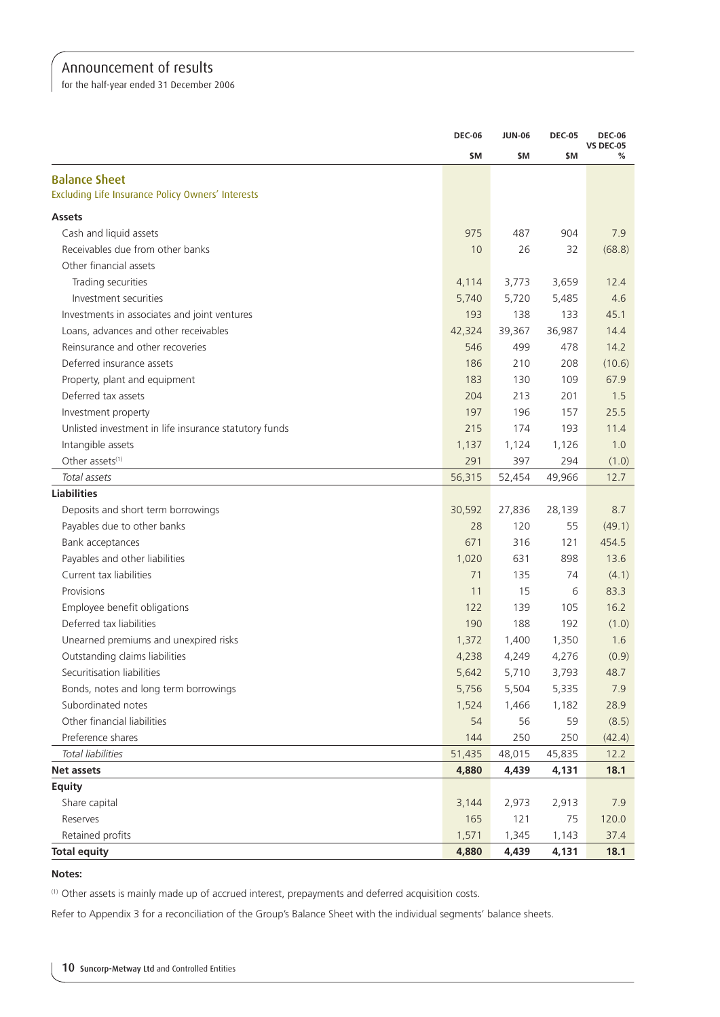for the half-year ended 31 December 2006

|                                                       | <b>DEC-06</b> | <b>JUN-06</b> | <b>DEC-05</b> | <b>DEC-06</b>         |
|-------------------------------------------------------|---------------|---------------|---------------|-----------------------|
|                                                       | \$M           | \$M           | \$M           | <b>VS DEC-05</b><br>% |
| <b>Balance Sheet</b>                                  |               |               |               |                       |
| Excluding Life Insurance Policy Owners' Interests     |               |               |               |                       |
| <b>Assets</b>                                         |               |               |               |                       |
| Cash and liquid assets                                | 975           | 487           | 904           | 7.9                   |
| Receivables due from other banks                      | 10            | 26            | 32            | (68.8)                |
| Other financial assets                                |               |               |               |                       |
| Trading securities                                    | 4,114         | 3,773         | 3,659         | 12.4                  |
| Investment securities                                 | 5,740         | 5,720         | 5,485         | 4.6                   |
| Investments in associates and joint ventures          | 193           | 138           | 133           | 45.1                  |
| Loans, advances and other receivables                 | 42,324        | 39,367        | 36,987        | 14.4                  |
| Reinsurance and other recoveries                      | 546           | 499           | 478           | 14.2                  |
| Deferred insurance assets                             | 186           | 210           | 208           | (10.6)                |
| Property, plant and equipment                         | 183           | 130           | 109           | 67.9                  |
| Deferred tax assets                                   | 204           | 213           | 201           | 1.5                   |
| Investment property                                   | 197           | 196           | 157           | 25.5                  |
| Unlisted investment in life insurance statutory funds | 215           | 174           | 193           | 11.4                  |
| Intangible assets                                     | 1,137         | 1,124         | 1,126         | 1.0                   |
| Other assets <sup>(1)</sup>                           | 291           | 397           | 294           | (1.0)                 |
| Total assets                                          | 56,315        | 52,454        | 49,966        | 12.7                  |
| <b>Liabilities</b>                                    |               |               |               |                       |
| Deposits and short term borrowings                    | 30,592        | 27,836        | 28,139        | 8.7                   |
| Payables due to other banks                           | 28            | 120           | 55            | (49.1)                |
| Bank acceptances                                      | 671           | 316           | 121           | 454.5                 |
| Payables and other liabilities                        | 1,020         | 631           | 898           | 13.6                  |
| Current tax liabilities                               | 71            | 135           | 74            | (4.1)                 |
| Provisions                                            | 11            | 15            | 6             | 83.3                  |
| Employee benefit obligations                          | 122           | 139           | 105           | 16.2                  |
| Deferred tax liabilities                              | 190           | 188           | 192           | (1.0)                 |
| Unearned premiums and unexpired risks                 | 1,372         | 1,400         | 1,350         | 1.6                   |
| Outstanding claims liabilities                        | 4,238         | 4,249         | 4,276         | (0.9)                 |
| Securitisation liabilities                            | 5,642         | 5,710         | 3,793         | 48.7                  |
| Bonds, notes and long term borrowings                 | 5,756         | 5,504         | 5,335         | 7.9                   |
| Subordinated notes                                    | 1,524         | 1,466         | 1,182         | 28.9                  |
| Other financial liabilities                           | 54            | 56            | 59            | (8.5)                 |
| Preference shares                                     | 144           | 250           | 250           | (42.4)                |
| Total liabilities                                     | 51,435        | 48,015        | 45,835        | 12.2                  |
| Net assets                                            | 4,880         | 4,439         | 4,131         | 18.1                  |
| <b>Equity</b>                                         |               |               |               |                       |
| Share capital                                         | 3,144         | 2,973         | 2,913         | 7.9                   |
| Reserves                                              | 165           | 121           | 75            | 120.0                 |
| Retained profits                                      | 1,571         | 1,345         | 1,143         | 37.4                  |
| <b>Total equity</b>                                   | 4,880         | 4,439         | 4,131         | 18.1                  |

**Notes:**

(1) Other assets is mainly made up of accrued interest, prepayments and deferred acquisition costs.

Refer to Appendix 3 for a reconciliation of the Group's Balance Sheet with the individual segments' balance sheets.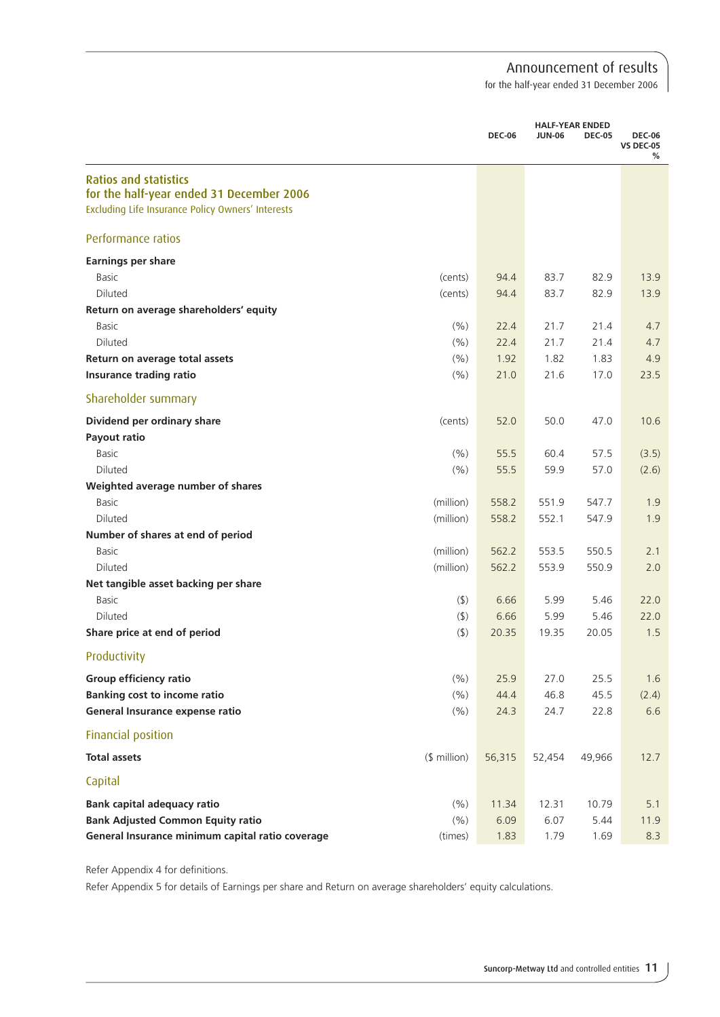for the half-year ended 31 December 2006

|                                                   |              | <b>DEC-06</b> | <b>JUN-06</b> | <b>HALF-YEAR ENDED</b><br><b>DEC-05</b> | <b>DEC-06</b><br><b>VS DEC-05</b><br>% |
|---------------------------------------------------|--------------|---------------|---------------|-----------------------------------------|----------------------------------------|
| <b>Ratios and statistics</b>                      |              |               |               |                                         |                                        |
| for the half-year ended 31 December 2006          |              |               |               |                                         |                                        |
| Excluding Life Insurance Policy Owners' Interests |              |               |               |                                         |                                        |
| Performance ratios                                |              |               |               |                                         |                                        |
| <b>Earnings per share</b>                         |              |               |               |                                         |                                        |
| <b>Basic</b>                                      | (cents)      | 94.4          | 83.7          | 82.9                                    | 13.9                                   |
| Diluted                                           | (cents)      | 94.4          | 83.7          | 82.9                                    | 13.9                                   |
| Return on average shareholders' equity            |              |               |               |                                         |                                        |
| <b>Basic</b>                                      | (% )         | 22.4          | 21.7          | 21.4                                    | 4.7                                    |
| Diluted                                           | (% )         | 22.4          | 21.7          | 21.4                                    | 4.7                                    |
| Return on average total assets                    | (% )         | 1.92          | 1.82          | 1.83                                    | 4.9                                    |
| <b>Insurance trading ratio</b>                    | (% )         | 21.0          | 21.6          | 17.0                                    | 23.5                                   |
| Shareholder summary                               |              |               |               |                                         |                                        |
| Dividend per ordinary share                       | (cents)      | 52.0          | 50.0          | 47.0                                    | 10.6                                   |
| Payout ratio                                      |              |               |               |                                         |                                        |
| <b>Basic</b>                                      | (% )         | 55.5          | 60.4          | 57.5                                    | (3.5)                                  |
| Diluted                                           | (% )         | 55.5          | 59.9          | 57.0                                    | (2.6)                                  |
| Weighted average number of shares                 |              |               |               |                                         |                                        |
| <b>Basic</b>                                      | (million)    | 558.2         | 551.9         | 547.7                                   | 1.9                                    |
| Diluted                                           | (million)    | 558.2         | 552.1         | 547.9                                   | 1.9                                    |
| Number of shares at end of period                 |              |               |               |                                         |                                        |
| Basic                                             | (million)    | 562.2         | 553.5         | 550.5                                   | 2.1                                    |
| Diluted                                           | (million)    | 562.2         | 553.9         | 550.9                                   | 2.0                                    |
| Net tangible asset backing per share              |              |               |               |                                         |                                        |
| <b>Basic</b>                                      | $($ \$)      | 6.66          | 5.99          | 5.46                                    | 22.0                                   |
| Diluted                                           | $($ \$)      | 6.66          | 5.99          | 5.46                                    | 22.0                                   |
| Share price at end of period                      | $($ \$)      | 20.35         | 19.35         | 20.05                                   | 1.5                                    |
| Productivity                                      |              |               |               |                                         |                                        |
| Group efficiency ratio                            | (% )         | 25.9          | 27.0          | 25.5                                    | 1.6                                    |
| <b>Banking cost to income ratio</b>               | (% )         | 44.4          | 46.8          | 45.5                                    | (2.4)                                  |
| General Insurance expense ratio                   | (%)          | 24.3          | 24.7          | 22.8                                    | 6.6                                    |
| Financial position                                |              |               |               |                                         |                                        |
| <b>Total assets</b>                               | $$$ million) | 56,315        | 52,454        | 49,966                                  | 12.7                                   |
| Capital                                           |              |               |               |                                         |                                        |
| <b>Bank capital adequacy ratio</b>                | (% )         | 11.34         | 12.31         | 10.79                                   | 5.1                                    |
| <b>Bank Adjusted Common Equity ratio</b>          | (% )         | 6.09          | 6.07          | 5.44                                    | 11.9                                   |
| General Insurance minimum capital ratio coverage  | (times)      | 1.83          | 1.79          | 1.69                                    | 8.3                                    |

Refer Appendix 4 for definitions.

Refer Appendix 5 for details of Earnings per share and Return on average shareholders' equity calculations.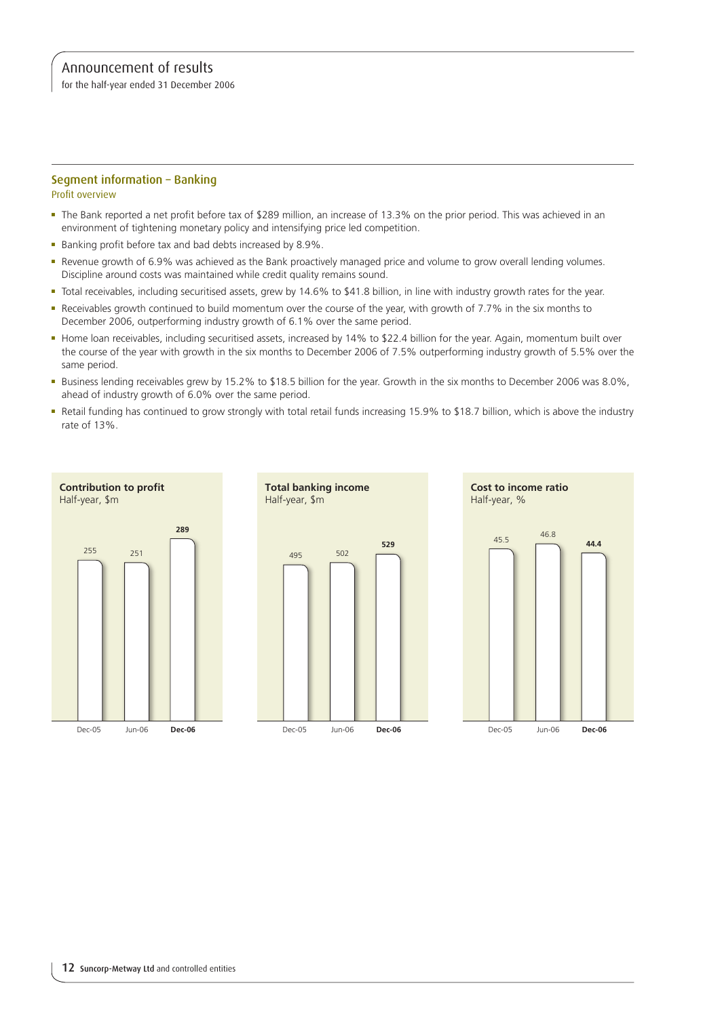for the half-year ended 31 December 2006

### Segment information – Banking

Profit overview

- <sup>n</sup> The Bank reported a net profit before tax of \$289 million, an increase of 13.3% on the prior period. This was achieved in an environment of tightening monetary policy and intensifying price led competition.
- Banking profit before tax and bad debts increased by 8.9%.
- <sup>n</sup> Revenue growth of 6.9% was achieved as the Bank proactively managed price and volume to grow overall lending volumes. Discipline around costs was maintained while credit quality remains sound.
- <sup>n</sup> Total receivables, including securitised assets, grew by 14.6% to \$41.8 billion, in line with industry growth rates for the year.
- Receivables growth continued to build momentum over the course of the year, with growth of 7.7% in the six months to December 2006, outperforming industry growth of 6.1% over the same period.
- <sup>n</sup> Home loan receivables, including securitised assets, increased by 14% to \$22.4 billion for the year. Again, momentum built over the course of the year with growth in the six months to December 2006 of 7.5% outperforming industry growth of 5.5% over the same period.
- <sup>n</sup> Business lending receivables grew by 15.2% to \$18.5 billion for the year. Growth in the six months to December 2006 was 8.0%, ahead of industry growth of 6.0% over the same period.
- <sup>n</sup> Retail funding has continued to grow strongly with total retail funds increasing 15.9% to \$18.7 billion, which is above the industry rate of 13%.

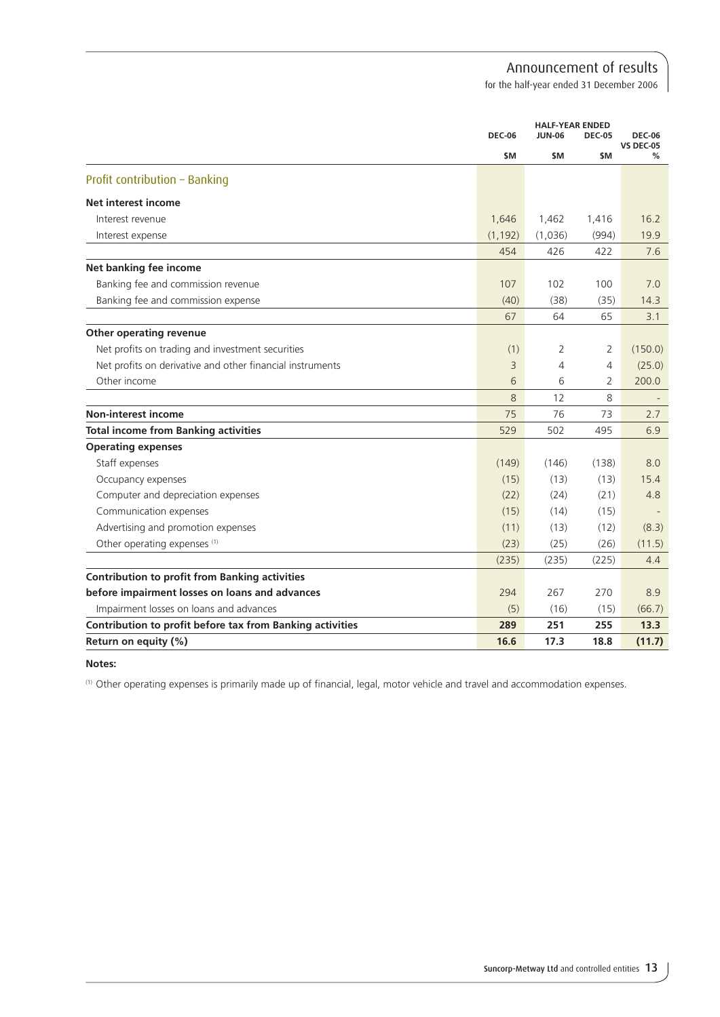for the half-year ended 31 December 2006

|                                                           |               | <b>HALF-YEAR ENDED</b> |                |                                   |
|-----------------------------------------------------------|---------------|------------------------|----------------|-----------------------------------|
|                                                           | <b>DEC-06</b> | <b>JUN-06</b>          | <b>DEC-05</b>  | <b>DEC-06</b><br><b>VS DEC-05</b> |
|                                                           | \$M           | \$M                    | \$M            | %                                 |
| Profit contribution - Banking                             |               |                        |                |                                   |
| <b>Net interest income</b>                                |               |                        |                |                                   |
| Interest revenue                                          | 1,646         | 1,462                  | 1,416          | 16.2                              |
| Interest expense                                          | (1, 192)      | (1,036)                | (994)          | 19.9                              |
|                                                           | 454           | 426                    | 422            | 7.6                               |
| Net banking fee income                                    |               |                        |                |                                   |
| Banking fee and commission revenue                        | 107           | 102                    | 100            | 7.0                               |
| Banking fee and commission expense                        | (40)          | (38)                   | (35)           | 14.3                              |
|                                                           | 67            | 64                     | 65             | 3.1                               |
| Other operating revenue                                   |               |                        |                |                                   |
| Net profits on trading and investment securities          | (1)           | 2                      | 2              | (150.0)                           |
| Net profits on derivative and other financial instruments | 3             | 4                      | $\overline{4}$ | (25.0)                            |
| Other income                                              | 6             | 6                      | $\overline{2}$ | 200.0                             |
|                                                           | 8             | 12                     | 8              |                                   |
| <b>Non-interest income</b>                                | 75            | 76                     | 73             | 2.7                               |
| <b>Total income from Banking activities</b>               | 529           | 502                    | 495            | 6.9                               |
| <b>Operating expenses</b>                                 |               |                        |                |                                   |
| Staff expenses                                            | (149)         | (146)                  | (138)          | 8.0                               |
| Occupancy expenses                                        | (15)          | (13)                   | (13)           | 15.4                              |
| Computer and depreciation expenses                        | (22)          | (24)                   | (21)           | 4.8                               |
| Communication expenses                                    | (15)          | (14)                   | (15)           |                                   |
| Advertising and promotion expenses                        | (11)          | (13)                   | (12)           | (8.3)                             |
| Other operating expenses (1)                              | (23)          | (25)                   | (26)           | (11.5)                            |
|                                                           | (235)         | (235)                  | (225)          | 4.4                               |
| <b>Contribution to profit from Banking activities</b>     |               |                        |                |                                   |
| before impairment losses on loans and advances            | 294           | 267                    | 270            | 8.9                               |
| Impairment losses on loans and advances                   | (5)           | (16)                   | (15)           | (66.7)                            |
| Contribution to profit before tax from Banking activities | 289           | 251                    | 255            | 13.3                              |
| Return on equity (%)                                      | 16.6          | 17.3                   | 18.8           | (11.7)                            |

#### **Notes:**

(1) Other operating expenses is primarily made up of financial, legal, motor vehicle and travel and accommodation expenses.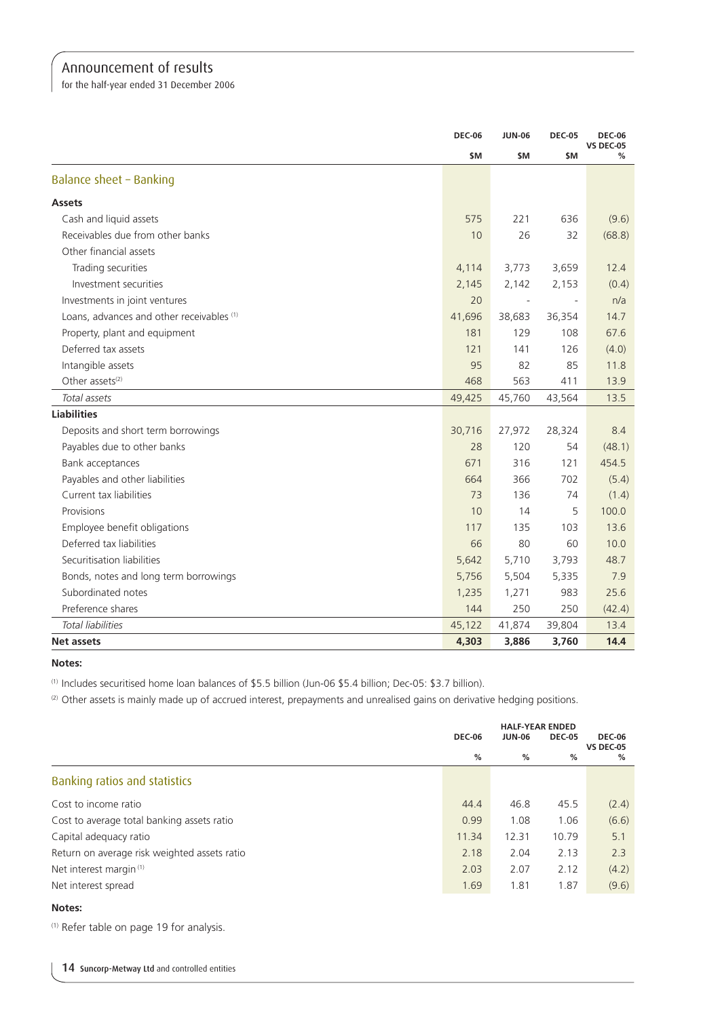for the half-year ended 31 December 2006

|                                           | <b>DEC-06</b> | <b>JUN-06</b>            | <b>DEC-05</b>            | <b>DEC-06</b><br>VS DEC-05 |
|-------------------------------------------|---------------|--------------------------|--------------------------|----------------------------|
|                                           | \$M           | \$M                      | \$M                      | ℅                          |
| Balance sheet - Banking                   |               |                          |                          |                            |
| <b>Assets</b>                             |               |                          |                          |                            |
| Cash and liquid assets                    | 575           | 221                      | 636                      | (9.6)                      |
| Receivables due from other banks          | 10            | 26                       | 32                       | (68.8)                     |
| Other financial assets                    |               |                          |                          |                            |
| Trading securities                        | 4,114         | 3,773                    | 3,659                    | 12.4                       |
| Investment securities                     | 2,145         | 2,142                    | 2,153                    | (0.4)                      |
| Investments in joint ventures             | 20            | $\overline{\phantom{a}}$ | $\overline{\phantom{a}}$ | n/a                        |
| Loans, advances and other receivables (1) | 41,696        | 38,683                   | 36,354                   | 14.7                       |
| Property, plant and equipment             | 181           | 129                      | 108                      | 67.6                       |
| Deferred tax assets                       | 121           | 141                      | 126                      | (4.0)                      |
| Intangible assets                         | 95            | 82                       | 85                       | 11.8                       |
| Other assets <sup>(2)</sup>               | 468           | 563                      | 411                      | 13.9                       |
| Total assets                              | 49,425        | 45,760                   | 43,564                   | 13.5                       |
| <b>Liabilities</b>                        |               |                          |                          |                            |
| Deposits and short term borrowings        | 30,716        | 27,972                   | 28,324                   | 8.4                        |
| Payables due to other banks               | 28            | 120                      | 54                       | (48.1)                     |
| Bank acceptances                          | 671           | 316                      | 121                      | 454.5                      |
| Payables and other liabilities            | 664           | 366                      | 702                      | (5.4)                      |
| Current tax liabilities                   | 73            | 136                      | 74                       | (1.4)                      |
| Provisions                                | 10            | 14                       | 5                        | 100.0                      |
| Employee benefit obligations              | 117           | 135                      | 103                      | 13.6                       |
| Deferred tax liabilities                  | 66            | 80                       | 60                       | 10.0                       |
| Securitisation liabilities                | 5,642         | 5,710                    | 3,793                    | 48.7                       |
| Bonds, notes and long term borrowings     | 5,756         | 5,504                    | 5,335                    | 7.9                        |
| Subordinated notes                        | 1,235         | 1,271                    | 983                      | 25.6                       |
| Preference shares                         | 144           | 250                      | 250                      | (42.4)                     |
| <b>Total liabilities</b>                  | 45,122        | 41,874                   | 39,804                   | 13.4                       |
| Net assets                                | 4,303         | 3,886                    | 3,760                    | 14.4                       |

**Notes:**

(1) Includes securitised home loan balances of \$5.5 billion (Jun-06 \$5.4 billion; Dec-05: \$3.7 billion).

(2) Other assets is mainly made up of accrued interest, prepayments and unrealised gains on derivative hedging positions.

|                                              | <b>HALF-YEAR ENDED</b><br><b>DEC-06</b><br><b>JUN-06</b><br><b>DEC-05</b> |       |       | <b>DEC-06</b>         |
|----------------------------------------------|---------------------------------------------------------------------------|-------|-------|-----------------------|
|                                              | %                                                                         | %     | %     | <b>VS DEC-05</b><br>% |
| Banking ratios and statistics                |                                                                           |       |       |                       |
| Cost to income ratio                         | 44.4                                                                      | 46.8  | 45.5  | (2.4)                 |
| Cost to average total banking assets ratio   | 0.99                                                                      | 1.08  | 1.06  | (6.6)                 |
| Capital adequacy ratio                       | 11.34                                                                     | 12.31 | 10.79 | 5.1                   |
| Return on average risk weighted assets ratio | 2.18                                                                      | 2.04  | 2.13  | 2.3                   |
| Net interest margin <sup>(1)</sup>           | 2.03                                                                      | 2.07  | 2.12  | (4.2)                 |
| Net interest spread                          | 1.69                                                                      | 1.81  | 1.87  | (9.6)                 |
|                                              |                                                                           |       |       |                       |

### **Notes:**

(1) Refer table on page 19 for analysis.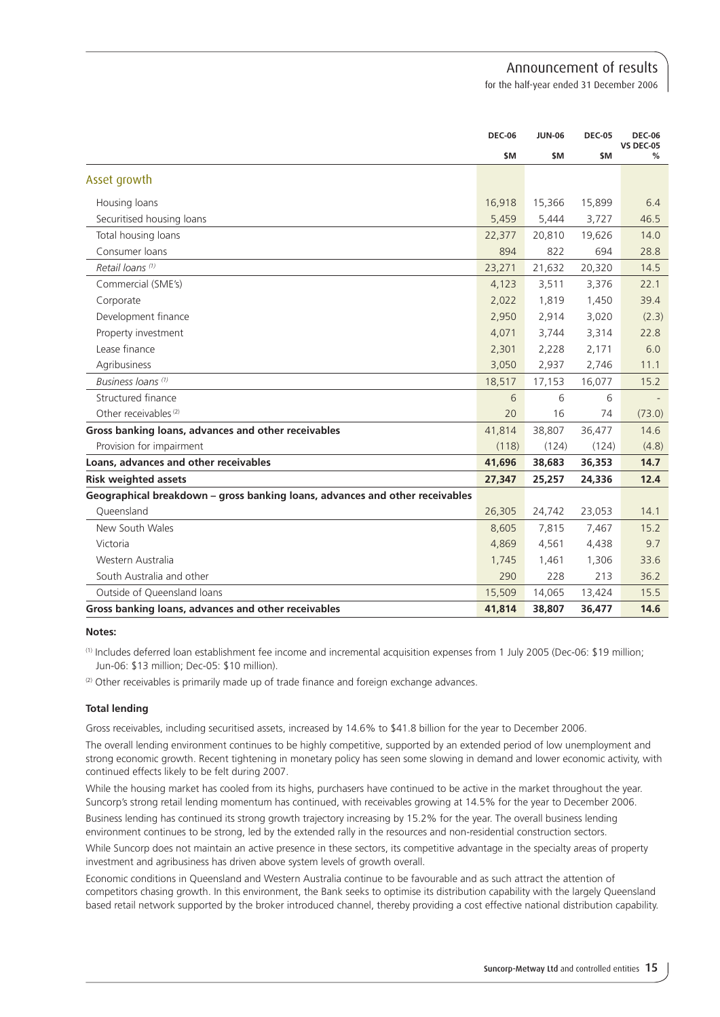for the half-year ended 31 December 2006

|                                                                              | <b>DEC-06</b> | <b>JUN-06</b> | <b>DEC-05</b> | <b>DEC-06</b><br><b>VS DEC-05</b> |
|------------------------------------------------------------------------------|---------------|---------------|---------------|-----------------------------------|
|                                                                              | \$M           | \$M           | \$M           | %                                 |
| Asset growth                                                                 |               |               |               |                                   |
| Housing loans                                                                | 16,918        | 15,366        | 15,899        | 6.4                               |
| Securitised housing loans                                                    | 5,459         | 5,444         | 3,727         | 46.5                              |
| Total housing loans                                                          | 22,377        | 20,810        | 19,626        | 14.0                              |
| Consumer loans                                                               | 894           | 822           | 694           | 28.8                              |
| Retail loans (1)                                                             | 23,271        | 21,632        | 20,320        | 14.5                              |
| Commercial (SME's)                                                           | 4,123         | 3,511         | 3,376         | 22.1                              |
| Corporate                                                                    | 2,022         | 1,819         | 1,450         | 39.4                              |
| Development finance                                                          | 2,950         | 2,914         | 3,020         | (2.3)                             |
| Property investment                                                          | 4,071         | 3,744         | 3,314         | 22.8                              |
| Lease finance                                                                | 2,301         | 2,228         | 2,171         | 6.0                               |
| Agribusiness                                                                 | 3,050         | 2,937         | 2,746         | 11.1                              |
| Business Ioans <sup>(1)</sup>                                                | 18,517        | 17,153        | 16,077        | 15.2                              |
| Structured finance                                                           | 6             | 6             | 6             |                                   |
| Other receivables <sup>(2)</sup>                                             | 20            | 16            | 74            | (73.0)                            |
| Gross banking loans, advances and other receivables                          | 41,814        | 38,807        | 36,477        | 14.6                              |
| Provision for impairment                                                     | (118)         | (124)         | (124)         | (4.8)                             |
| Loans, advances and other receivables                                        | 41,696        | 38,683        | 36,353        | 14.7                              |
| <b>Risk weighted assets</b>                                                  | 27,347        | 25,257        | 24,336        | 12.4                              |
| Geographical breakdown - gross banking loans, advances and other receivables |               |               |               |                                   |
| Oueensland                                                                   | 26,305        | 24,742        | 23,053        | 14.1                              |
| New South Wales                                                              | 8,605         | 7,815         | 7,467         | 15.2                              |
| Victoria                                                                     | 4,869         | 4,561         | 4,438         | 9.7                               |
| Western Australia                                                            | 1,745         | 1,461         | 1,306         | 33.6                              |
| South Australia and other                                                    | 290           | 228           | 213           | 36.2                              |
| Outside of Queensland loans                                                  | 15,509        | 14,065        | 13,424        | 15.5                              |
| Gross banking loans, advances and other receivables                          | 41,814        | 38,807        | 36,477        | 14.6                              |

### **Notes:**

(1) Includes deferred loan establishment fee income and incremental acquisition expenses from 1 July 2005 (Dec-06: \$19 million; Jun-06: \$13 million; Dec-05: \$10 million).

(2) Other receivables is primarily made up of trade finance and foreign exchange advances.

### **Total lending**

Gross receivables, including securitised assets, increased by 14.6% to \$41.8 billion for the year to December 2006.

The overall lending environment continues to be highly competitive, supported by an extended period of low unemployment and strong economic growth. Recent tightening in monetary policy has seen some slowing in demand and lower economic activity, with continued effects likely to be felt during 2007.

While the housing market has cooled from its highs, purchasers have continued to be active in the market throughout the year. Suncorp's strong retail lending momentum has continued, with receivables growing at 14.5% for the year to December 2006.

Business lending has continued its strong growth trajectory increasing by 15.2% for the year. The overall business lending environment continues to be strong, led by the extended rally in the resources and non-residential construction sectors.

While Suncorp does not maintain an active presence in these sectors, its competitive advantage in the specialty areas of property investment and agribusiness has driven above system levels of growth overall.

Economic conditions in Queensland and Western Australia continue to be favourable and as such attract the attention of competitors chasing growth. In this environment, the Bank seeks to optimise its distribution capability with the largely Queensland based retail network supported by the broker introduced channel, thereby providing a cost effective national distribution capability.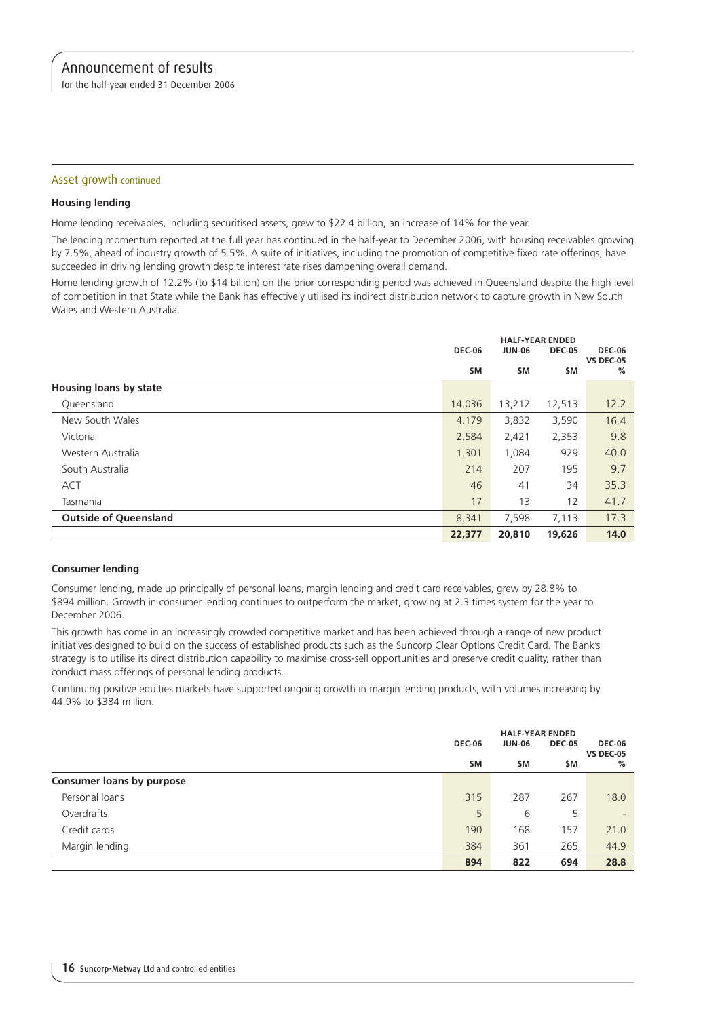for the half-year ended 31 December 2006

### Asset growth continued

### **Housing lending**

Home lending receivables, including securitised assets, grew to \$22.4 billion, an increase of 14% for the year.

The lending momentum reported at the full year has continued in the half-year to December 2006, with housing receivables growing by 7.5%, ahead of industry growth of 5.5%. A suite of initiatives, including the promotion of competitive fixed rate offerings, have succeeded in driving lending growth despite interest rate rises dampening overall demand.

Home lending growth of 12.2% (to \$14 billion) on the prior corresponding period was achieved in Queensland despite the high level of competition in that State while the Bank has effectively utilised its indirect distribution network to capture growth in New South Wales and Western Australia.

|                               |               | <b>HALF-YEAR ENDED</b> |               |                                   |
|-------------------------------|---------------|------------------------|---------------|-----------------------------------|
|                               | <b>DEC-06</b> | <b>JUN-06</b>          | <b>DEC-05</b> | <b>DEC-06</b><br><b>VS DEC-05</b> |
|                               | <b>SM</b>     | \$M                    | \$M           | %                                 |
| <b>Housing loans by state</b> |               |                        |               |                                   |
| Queensland                    | 14,036        | 13,212                 | 12,513        | 12.2                              |
| New South Wales               | 4,179         | 3,832                  | 3,590         | 16.4                              |
| Victoria                      | 2,584         | 2,421                  | 2,353         | 9.8                               |
| Western Australia             | 1,301         | 1,084                  | 929           | 40.0                              |
| South Australia               | 214           | 207                    | 195           | 9.7                               |
| <b>ACT</b>                    | 46            | 41                     | 34            | 35.3                              |
| Tasmania                      | 17            | 13                     | 12            | 41.7                              |
| <b>Outside of Queensland</b>  | 8,341         | 7,598                  | 7,113         | 17.3                              |
|                               | 22,377        | 20,810                 | 19,626        | 14.0                              |

### **Consumer lending**

Consumer lending, made up principally of personal loans, margin lending and credit card receivables, grew by 28.8% to \$894 million. Growth in consumer lending continues to outperform the market, growing at 2.3 times system for the year to December 2006.

This growth has come in an increasingly crowded competitive market and has been achieved through a range of new product initiatives designed to build on the success of established products such as the Suncorp Clear Options Credit Card. The Bank's strategy is to utilise its direct distribution capability to maximise cross-sell opportunities and preserve credit quality, rather than conduct mass offerings of personal lending products.

Continuing positive equities markets have supported ongoing growth in margin lending products, with volumes increasing by 44.9% to \$384 million.

|                                  | <b>HALF-YEAR ENDED</b> |                                |     |                          |
|----------------------------------|------------------------|--------------------------------|-----|--------------------------|
|                                  | <b>DEC-06</b>          | <b>DEC-05</b><br><b>JUN-06</b> |     | <b>DEC-06</b>            |
|                                  | \$M                    | \$M                            | \$M | <b>VS DEC-05</b><br>%    |
| <b>Consumer loans by purpose</b> |                        |                                |     |                          |
| Personal loans                   | 315                    | 287                            | 267 | 18.0                     |
| Overdrafts                       | 5                      | 6                              | 5   | $\overline{\phantom{a}}$ |
| Credit cards                     | 190                    | 168                            | 157 | 21.0                     |
| Margin lending                   | 384                    | 361                            | 265 | 44.9                     |
|                                  | 894                    | 822                            | 694 | 28.8                     |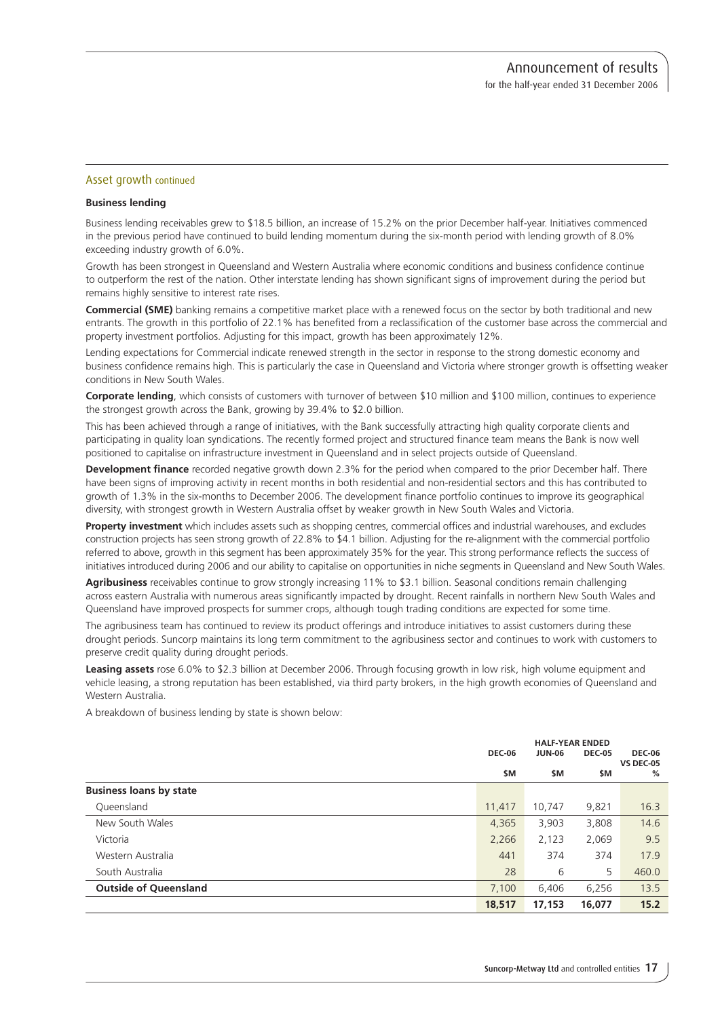### Asset growth continued

### **Business lending**

Business lending receivables grew to \$18.5 billion, an increase of 15.2% on the prior December half-year. Initiatives commenced in the previous period have continued to build lending momentum during the six-month period with lending growth of 8.0% exceeding industry growth of 6.0%.

Growth has been strongest in Queensland and Western Australia where economic conditions and business confidence continue to outperform the rest of the nation. Other interstate lending has shown significant signs of improvement during the period but remains highly sensitive to interest rate rises.

**Commercial (SME)** banking remains a competitive market place with a renewed focus on the sector by both traditional and new entrants. The growth in this portfolio of 22.1% has benefited from a reclassification of the customer base across the commercial and property investment portfolios. Adjusting for this impact, growth has been approximately 12%.

Lending expectations for Commercial indicate renewed strength in the sector in response to the strong domestic economy and business confidence remains high. This is particularly the case in Queensland and Victoria where stronger growth is offsetting weaker conditions in New South Wales.

**Corporate lending**, which consists of customers with turnover of between \$10 million and \$100 million, continues to experience the strongest growth across the Bank, growing by 39.4% to \$2.0 billion.

This has been achieved through a range of initiatives, with the Bank successfully attracting high quality corporate clients and participating in quality loan syndications. The recently formed project and structured finance team means the Bank is now well positioned to capitalise on infrastructure investment in Queensland and in select projects outside of Queensland.

**Development finance** recorded negative growth down 2.3% for the period when compared to the prior December half. There have been signs of improving activity in recent months in both residential and non-residential sectors and this has contributed to growth of 1.3% in the six-months to December 2006. The development finance portfolio continues to improve its geographical diversity, with strongest growth in Western Australia offset by weaker growth in New South Wales and Victoria.

**Property investment** which includes assets such as shopping centres, commercial offices and industrial warehouses, and excludes construction projects has seen strong growth of 22.8% to \$4.1 billion. Adjusting for the re-alignment with the commercial portfolio referred to above, growth in this segment has been approximately 35% for the year. This strong performance reflects the success of initiatives introduced during 2006 and our ability to capitalise on opportunities in niche segments in Queensland and New South Wales.

**Agribusiness** receivables continue to grow strongly increasing 11% to \$3.1 billion. Seasonal conditions remain challenging across eastern Australia with numerous areas significantly impacted by drought. Recent rainfalls in northern New South Wales and Queensland have improved prospects for summer crops, although tough trading conditions are expected for some time.

The agribusiness team has continued to review its product offerings and introduce initiatives to assist customers during these drought periods. Suncorp maintains its long term commitment to the agribusiness sector and continues to work with customers to preserve credit quality during drought periods.

**Leasing assets** rose 6.0% to \$2.3 billion at December 2006. Through focusing growth in low risk, high volume equipment and vehicle leasing, a strong reputation has been established, via third party brokers, in the high growth economies of Queensland and Western Australia.

A breakdown of business lending by state is shown below:

|                                |               |               | <b>HALF-YEAR ENDED</b> |                       |  |
|--------------------------------|---------------|---------------|------------------------|-----------------------|--|
|                                | <b>DEC-06</b> | <b>JUN-06</b> | <b>DEC-05</b>          | <b>DEC-06</b>         |  |
|                                | \$M           | \$M           | \$M                    | <b>VS DEC-05</b><br>% |  |
| <b>Business loans by state</b> |               |               |                        |                       |  |
| Queensland                     | 11,417        | 10.747        | 9,821                  | 16.3                  |  |
| New South Wales                | 4,365         | 3,903         | 3,808                  | 14.6                  |  |
| Victoria                       | 2,266         | 2,123         | 2,069                  | 9.5                   |  |
| Western Australia              | 441           | 374           | 374                    | 17.9                  |  |
| South Australia                | 28            | 6             | 5                      | 460.0                 |  |
| <b>Outside of Queensland</b>   | 7,100         | 6,406         | 6,256                  | 13.5                  |  |
|                                | 18,517        | 17,153        | 16,077                 | 15.2                  |  |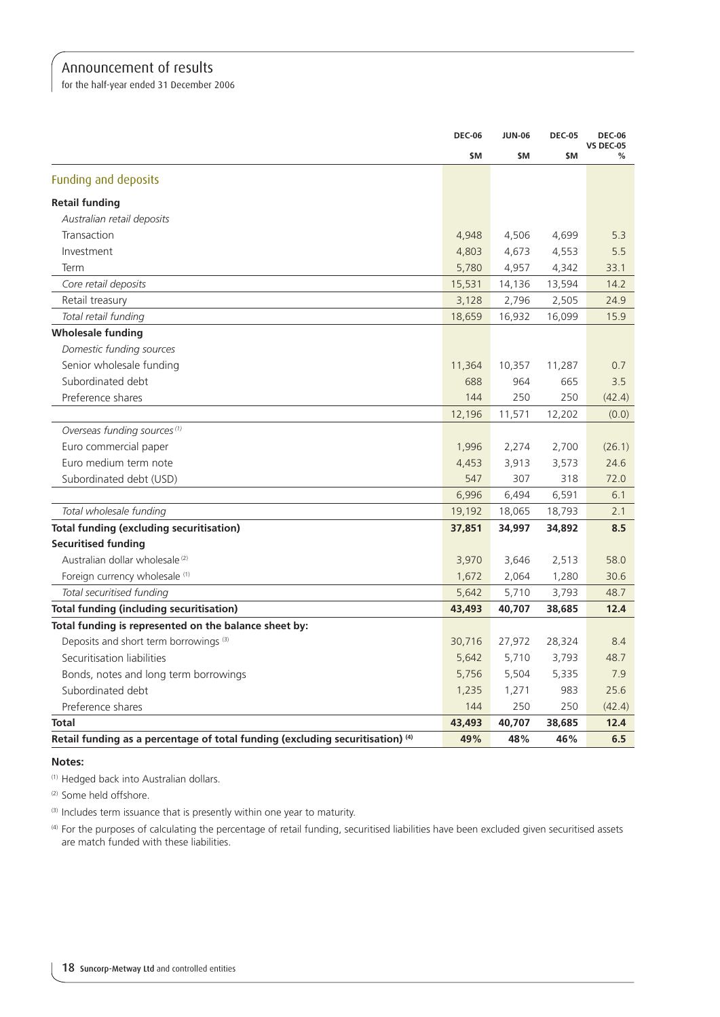for the half-year ended 31 December 2006

|                                                                                           | <b>DEC-06</b> | <b>JUN-06</b> | <b>DEC-05</b> | <b>DEC-06</b><br><b>VS DEC-05</b> |
|-------------------------------------------------------------------------------------------|---------------|---------------|---------------|-----------------------------------|
|                                                                                           | \$M           | \$M           | \$M           | %                                 |
| Funding and deposits                                                                      |               |               |               |                                   |
| <b>Retail funding</b>                                                                     |               |               |               |                                   |
| Australian retail deposits                                                                |               |               |               |                                   |
| Transaction                                                                               | 4,948         | 4,506         | 4,699         | 5.3                               |
| Investment                                                                                | 4,803         | 4,673         | 4,553         | 5.5                               |
| Term                                                                                      | 5,780         | 4,957         | 4,342         | 33.1                              |
| Core retail deposits                                                                      | 15,531        | 14,136        | 13,594        | 14.2                              |
| Retail treasury                                                                           | 3,128         | 2,796         | 2,505         | 24.9                              |
| Total retail funding                                                                      | 18,659        | 16,932        | 16,099        | 15.9                              |
| <b>Wholesale funding</b>                                                                  |               |               |               |                                   |
| Domestic funding sources                                                                  |               |               |               |                                   |
| Senior wholesale funding                                                                  | 11,364        | 10,357        | 11,287        | 0.7                               |
| Subordinated debt                                                                         | 688           | 964           | 665           | 3.5                               |
| Preference shares                                                                         | 144           | 250           | 250           | (42.4)                            |
|                                                                                           | 12,196        | 11,571        | 12,202        | (0.0)                             |
| Overseas funding sources <sup>(1)</sup>                                                   |               |               |               |                                   |
| Euro commercial paper                                                                     | 1,996         | 2,274         | 2,700         | (26.1)                            |
| Euro medium term note                                                                     | 4,453         | 3,913         | 3,573         | 24.6                              |
| Subordinated debt (USD)                                                                   | 547           | 307           | 318           | 72.0                              |
|                                                                                           | 6,996         | 6,494         | 6,591         | 6.1                               |
| Total wholesale funding                                                                   | 19,192        | 18,065        | 18,793        | 2.1                               |
| <b>Total funding (excluding securitisation)</b>                                           | 37,851        | 34,997        | 34,892        | 8.5                               |
| <b>Securitised funding</b>                                                                |               |               |               |                                   |
| Australian dollar wholesale <sup>(2)</sup>                                                | 3,970         | 3,646         | 2,513         | 58.0                              |
| Foreign currency wholesale (1)                                                            | 1,672         | 2,064         | 1,280         | 30.6                              |
| Total securitised funding                                                                 | 5,642         | 5,710         | 3,793         | 48.7                              |
| <b>Total funding (including securitisation)</b>                                           | 43,493        | 40,707        | 38,685        | 12.4                              |
| Total funding is represented on the balance sheet by:                                     |               |               |               |                                   |
| Deposits and short term borrowings <sup>(3)</sup>                                         | 30,716        | 27,972        | 28,324        | 8.4                               |
| Securitisation liabilities                                                                | 5,642         | 5,710         | 3,793         | 48.7                              |
| Bonds, notes and long term borrowings                                                     | 5,756         | 5,504         | 5,335         | 7.9                               |
| Subordinated debt                                                                         | 1,235         | 1,271         | 983           | 25.6                              |
| Preference shares                                                                         | 144           | 250           | 250           | (42.4)                            |
| <b>Total</b>                                                                              | 43,493        | 40,707        | 38,685        | 12.4                              |
| Retail funding as a percentage of total funding (excluding securitisation) <sup>(4)</sup> | 49%           | 48%           | 46%           | 6.5                               |

### **Notes:**

(1) Hedged back into Australian dollars.

(2) Some held offshore.

(3) Includes term issuance that is presently within one year to maturity.

(4) For the purposes of calculating the percentage of retail funding, securitised liabilities have been excluded given securitised assets are match funded with these liabilities.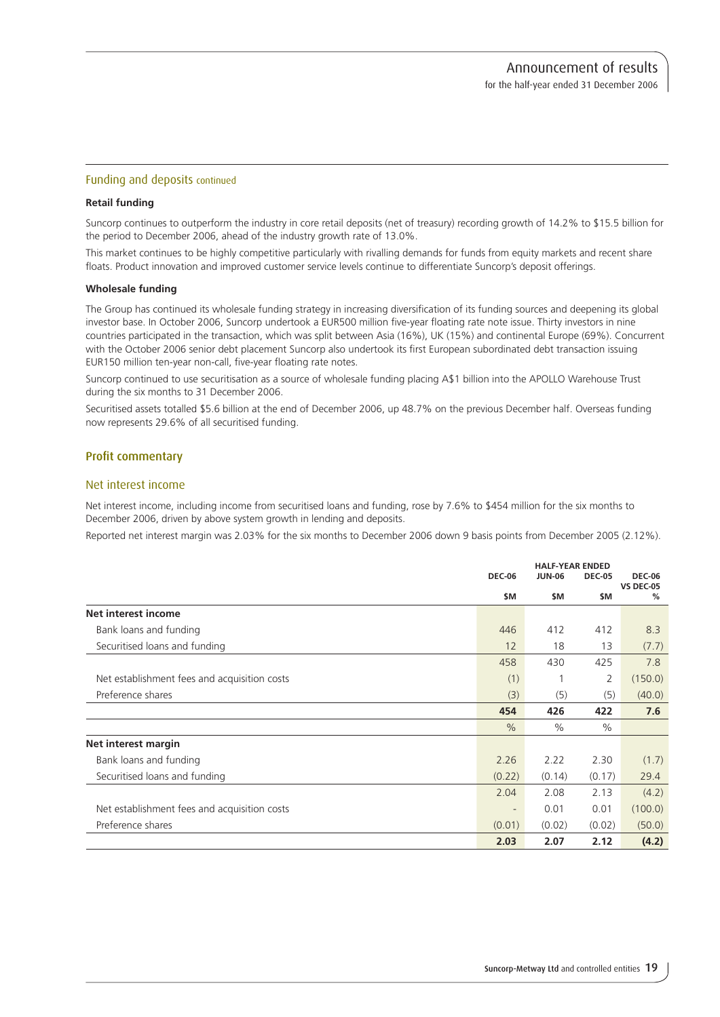### Funding and deposits continued

### **Retail funding**

Suncorp continues to outperform the industry in core retail deposits (net of treasury) recording growth of 14.2% to \$15.5 billion for the period to December 2006, ahead of the industry growth rate of 13.0%.

This market continues to be highly competitive particularly with rivalling demands for funds from equity markets and recent share floats. Product innovation and improved customer service levels continue to differentiate Suncorp's deposit offerings.

### **Wholesale funding**

The Group has continued its wholesale funding strategy in increasing diversification of its funding sources and deepening its global investor base. In October 2006, Suncorp undertook a EUR500 million five-year floating rate note issue. Thirty investors in nine countries participated in the transaction, which was split between Asia (16%), UK (15%) and continental Europe (69%). Concurrent with the October 2006 senior debt placement Suncorp also undertook its first European subordinated debt transaction issuing EUR150 million ten-year non-call, five-year floating rate notes.

Suncorp continued to use securitisation as a source of wholesale funding placing A\$1 billion into the APOLLO Warehouse Trust during the six months to 31 December 2006.

Securitised assets totalled \$5.6 billion at the end of December 2006, up 48.7% on the previous December half. Overseas funding now represents 29.6% of all securitised funding.

### Profit commentary

### Net interest income

Net interest income, including income from securitised loans and funding, rose by 7.6% to \$454 million for the six months to December 2006, driven by above system growth in lending and deposits.

Reported net interest margin was 2.03% for the six months to December 2006 down 9 basis points from December 2005 (2.12%).

|                                              |                          | <b>HALF-YEAR ENDED</b> |                |                                   |
|----------------------------------------------|--------------------------|------------------------|----------------|-----------------------------------|
|                                              | <b>DEC-06</b>            | <b>JUN-06</b>          | <b>DEC-05</b>  | <b>DEC-06</b><br><b>VS DEC-05</b> |
|                                              | \$M                      | \$M                    | \$M            | %                                 |
| Net interest income                          |                          |                        |                |                                   |
| Bank loans and funding                       | 446                      | 412                    | 412            | 8.3                               |
| Securitised loans and funding                | 12                       | 18                     | 13             | (7.7)                             |
|                                              | 458                      | 430                    | 425            | 7.8                               |
| Net establishment fees and acquisition costs | (1)                      |                        | $\overline{2}$ | (150.0)                           |
| Preference shares                            | (3)                      | (5)                    | (5)            | (40.0)                            |
|                                              | 454                      | 426                    | 422            | 7.6                               |
|                                              | $\frac{0}{0}$            | $\%$                   | $\%$           |                                   |
| Net interest margin                          |                          |                        |                |                                   |
| Bank loans and funding                       | 2.26                     | 2.22                   | 2.30           | (1.7)                             |
| Securitised loans and funding                | (0.22)                   | (0.14)                 | (0.17)         | 29.4                              |
|                                              | 2.04                     | 2.08                   | 2.13           | (4.2)                             |
| Net establishment fees and acquisition costs | $\overline{\phantom{a}}$ | 0.01                   | 0.01           | (100.0)                           |
| Preference shares                            | (0.01)                   | (0.02)                 | (0.02)         | (50.0)                            |
|                                              | 2.03                     | 2.07                   | 2.12           | (4.2)                             |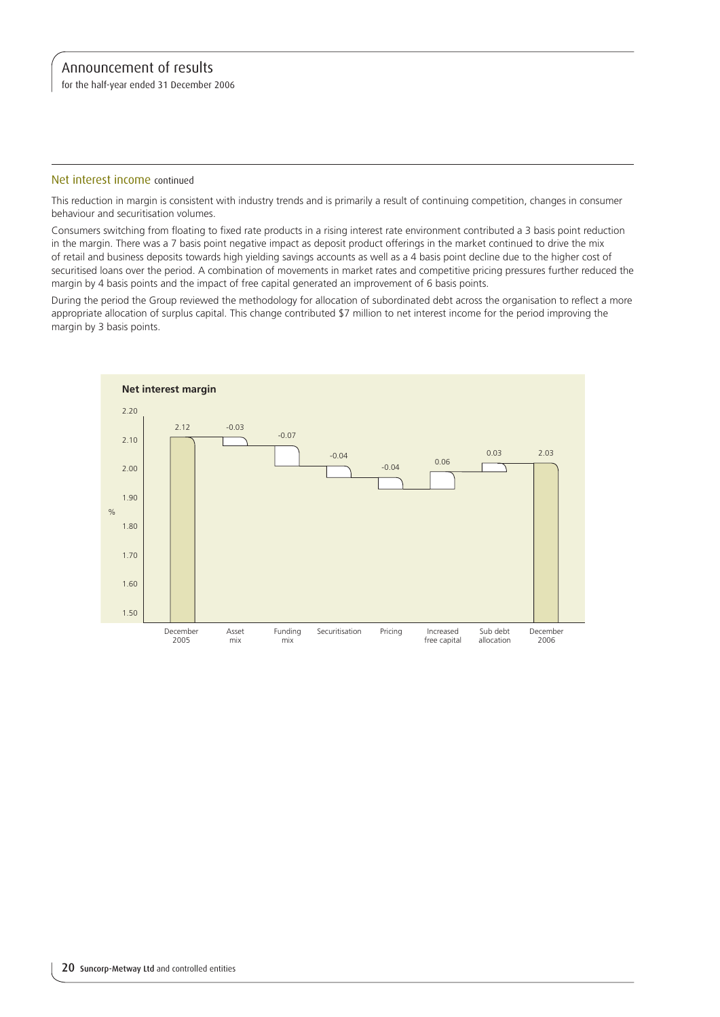for the half-year ended 31 December 2006

### Net interest income continued

This reduction in margin is consistent with industry trends and is primarily a result of continuing competition, changes in consumer behaviour and securitisation volumes.

Consumers switching from floating to fixed rate products in a rising interest rate environment contributed a 3 basis point reduction in the margin. There was a 7 basis point negative impact as deposit product offerings in the market continued to drive the mix of retail and business deposits towards high yielding savings accounts as well as a 4 basis point decline due to the higher cost of securitised loans over the period. A combination of movements in market rates and competitive pricing pressures further reduced the margin by 4 basis points and the impact of free capital generated an improvement of 6 basis points.

During the period the Group reviewed the methodology for allocation of subordinated debt across the organisation to reflect a more appropriate allocation of surplus capital. This change contributed \$7 million to net interest income for the period improving the margin by 3 basis points.

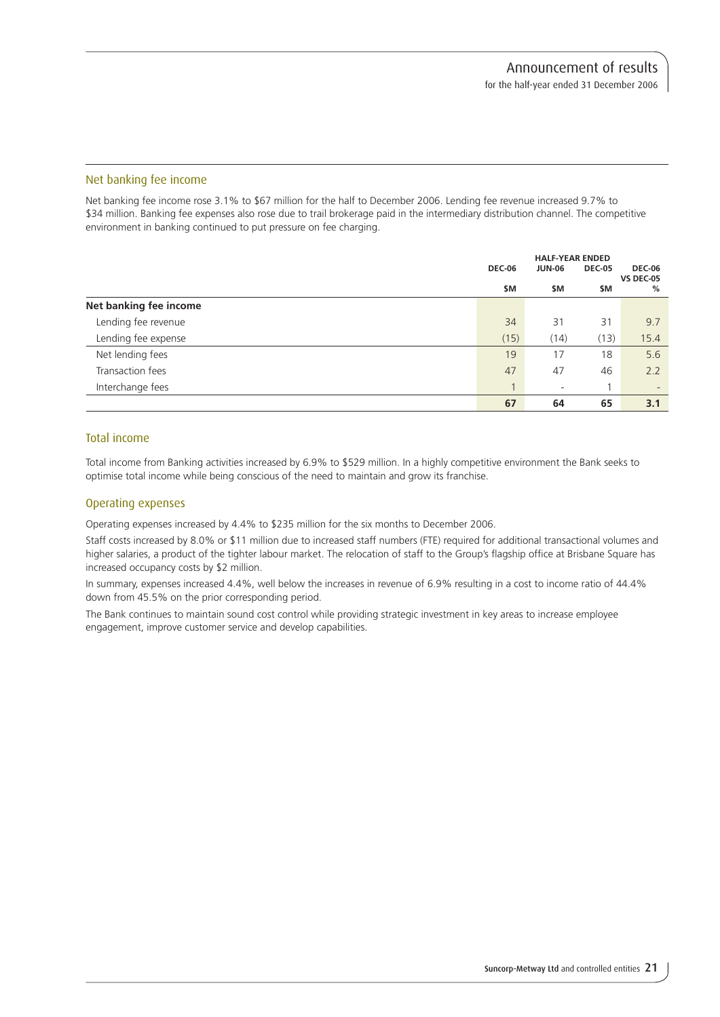### Net banking fee income

Net banking fee income rose 3.1% to \$67 million for the half to December 2006. Lending fee revenue increased 9.7% to \$34 million. Banking fee expenses also rose due to trail brokerage paid in the intermediary distribution channel. The competitive environment in banking continued to put pressure on fee charging.

|                        | <b>DEC-06</b> | <b>HALF-YEAR ENDED</b><br><b>JUN-06</b> | <b>DEC-05</b> | <b>DEC-06</b><br><b>VS DEC-05</b> |
|------------------------|---------------|-----------------------------------------|---------------|-----------------------------------|
|                        | \$M           | \$M                                     | \$M           | %                                 |
| Net banking fee income |               |                                         |               |                                   |
| Lending fee revenue    | 34            | 31                                      | 31            | 9.7                               |
| Lending fee expense    | (15)          | (14)                                    | (13)          | 15.4                              |
| Net lending fees       | 19            | 17                                      | 18            | 5.6                               |
| Transaction fees       | 47            | 47                                      | 46            | 2.2                               |
| Interchange fees       | 1             | $\overline{\phantom{a}}$                |               | $\overline{\phantom{a}}$          |
|                        | 67            | 64                                      | 65            | 3.1                               |

### Total income

Total income from Banking activities increased by 6.9% to \$529 million. In a highly competitive environment the Bank seeks to optimise total income while being conscious of the need to maintain and grow its franchise.

### Operating expenses

Operating expenses increased by 4.4% to \$235 million for the six months to December 2006.

Staff costs increased by 8.0% or \$11 million due to increased staff numbers (FTE) required for additional transactional volumes and higher salaries, a product of the tighter labour market. The relocation of staff to the Group's flagship office at Brisbane Square has increased occupancy costs by \$2 million.

In summary, expenses increased 4.4%, well below the increases in revenue of 6.9% resulting in a cost to income ratio of 44.4% down from 45.5% on the prior corresponding period.

The Bank continues to maintain sound cost control while providing strategic investment in key areas to increase employee engagement, improve customer service and develop capabilities.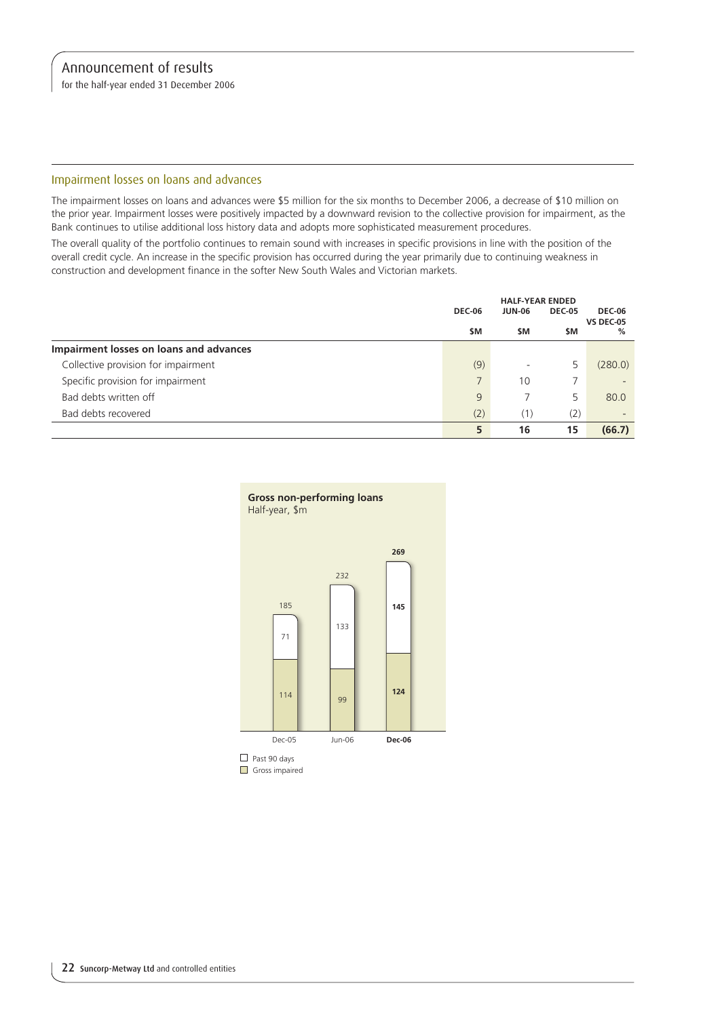for the half-year ended 31 December 2006

### Impairment losses on loans and advances

The impairment losses on loans and advances were \$5 million for the six months to December 2006, a decrease of \$10 million on the prior year. Impairment losses were positively impacted by a downward revision to the collective provision for impairment, as the Bank continues to utilise additional loss history data and adopts more sophisticated measurement procedures.

The overall quality of the portfolio continues to remain sound with increases in specific provisions in line with the position of the overall credit cycle. An increase in the specific provision has occurred during the year primarily due to continuing weakness in construction and development finance in the softer New South Wales and Victorian markets.

|                                         |               | <b>HALF-YEAR ENDED</b> |               |                                   |  |
|-----------------------------------------|---------------|------------------------|---------------|-----------------------------------|--|
|                                         | <b>DEC-06</b> | <b>JUN-06</b>          | <b>DEC-05</b> | <b>DEC-06</b><br><b>VS DEC-05</b> |  |
|                                         | \$M           | \$M                    | \$M           | %                                 |  |
| Impairment losses on loans and advances |               |                        |               |                                   |  |
| Collective provision for impairment     | (9)           |                        |               | (280.0)                           |  |
| Specific provision for impairment       |               | 10                     |               | $\overline{\phantom{a}}$          |  |
| Bad debts written off                   | 9             |                        | 5             | 80.0                              |  |
| Bad debts recovered                     | (2)           | (1)                    | (2)           | $\overline{\phantom{0}}$          |  |
|                                         | 5             | 16                     | 15            | (66.7)                            |  |



Gross impaired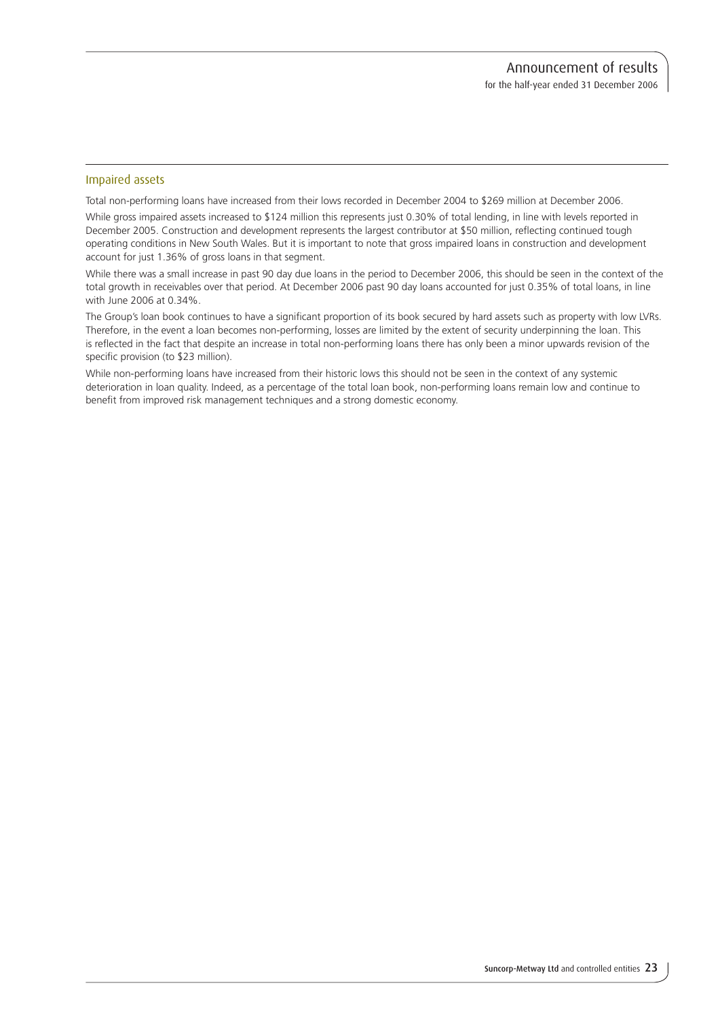### Impaired assets

Total non-performing loans have increased from their lows recorded in December 2004 to \$269 million at December 2006.

While gross impaired assets increased to \$124 million this represents just 0.30% of total lending, in line with levels reported in December 2005. Construction and development represents the largest contributor at \$50 million, reflecting continued tough operating conditions in New South Wales. But it is important to note that gross impaired loans in construction and development account for just 1.36% of gross loans in that segment.

While there was a small increase in past 90 day due loans in the period to December 2006, this should be seen in the context of the total growth in receivables over that period. At December 2006 past 90 day loans accounted for just 0.35% of total loans, in line with June 2006 at 0.34%.

The Group's loan book continues to have a significant proportion of its book secured by hard assets such as property with low LVRs. Therefore, in the event a loan becomes non-performing, losses are limited by the extent of security underpinning the loan. This is reflected in the fact that despite an increase in total non-performing loans there has only been a minor upwards revision of the specific provision (to \$23 million).

While non-performing loans have increased from their historic lows this should not be seen in the context of any systemic deterioration in loan quality. Indeed, as a percentage of the total loan book, non-performing loans remain low and continue to benefit from improved risk management techniques and a strong domestic economy.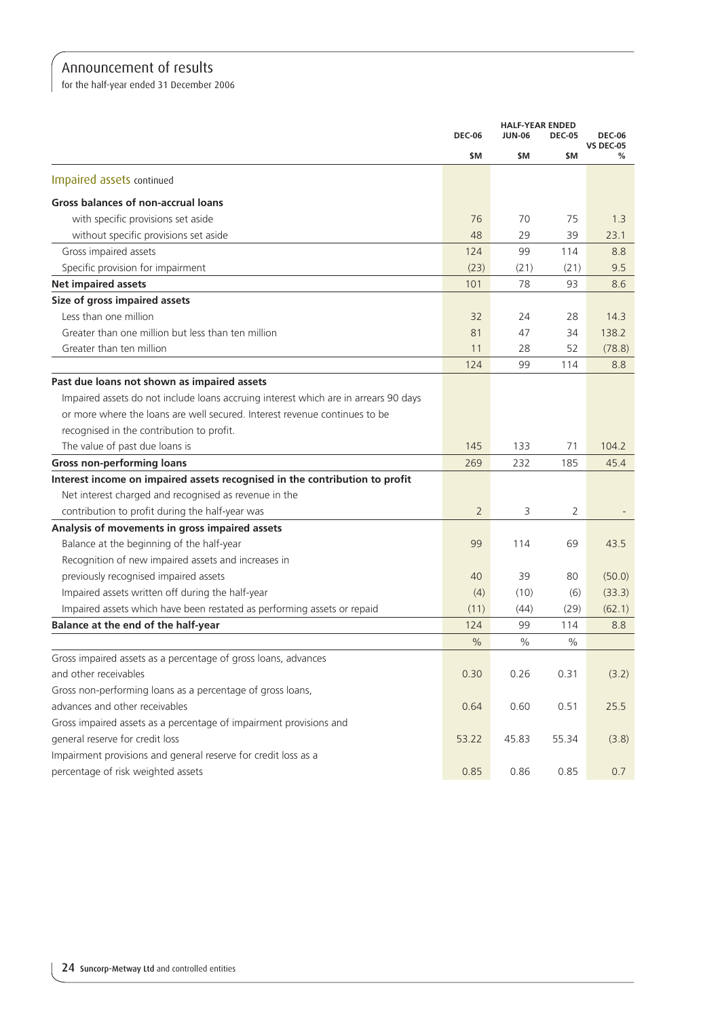for the half-year ended 31 December 2006

|                                                                                     |                | <b>HALF-YEAR ENDED</b> |               |                                   |
|-------------------------------------------------------------------------------------|----------------|------------------------|---------------|-----------------------------------|
|                                                                                     | <b>DEC-06</b>  | <b>JUN-06</b>          | <b>DEC-05</b> | <b>DEC-06</b><br><b>VS DEC-05</b> |
|                                                                                     | \$M            | \$M                    | \$M           | ℅                                 |
| Impaired assets continued                                                           |                |                        |               |                                   |
| <b>Gross balances of non-accrual loans</b>                                          |                |                        |               |                                   |
| with specific provisions set aside                                                  | 76             | 70                     | 75            | 1.3                               |
| without specific provisions set aside                                               | 48             | 29                     | 39            | 23.1                              |
| Gross impaired assets                                                               | 124            | 99                     | 114           | 8.8                               |
| Specific provision for impairment                                                   | (23)           | (21)                   | (21)          | 9.5                               |
| <b>Net impaired assets</b>                                                          | 101            | 78                     | 93            | 8.6                               |
| Size of gross impaired assets                                                       |                |                        |               |                                   |
| Less than one million                                                               | 32             | 24                     | 28            | 14.3                              |
| Greater than one million but less than ten million                                  | 81             | 47                     | 34            | 138.2                             |
| Greater than ten million                                                            | 11             | 28                     | 52            | (78.8)                            |
|                                                                                     | 124            | 99                     | 114           | 8.8                               |
| Past due loans not shown as impaired assets                                         |                |                        |               |                                   |
| Impaired assets do not include loans accruing interest which are in arrears 90 days |                |                        |               |                                   |
| or more where the loans are well secured. Interest revenue continues to be          |                |                        |               |                                   |
| recognised in the contribution to profit.                                           |                |                        |               |                                   |
| The value of past due loans is                                                      | 145            | 133                    | 71            | 104.2                             |
| <b>Gross non-performing loans</b>                                                   | 269            | 232                    | 185           | 45.4                              |
| Interest income on impaired assets recognised in the contribution to profit         |                |                        |               |                                   |
| Net interest charged and recognised as revenue in the                               |                |                        |               |                                   |
| contribution to profit during the half-year was                                     | $\overline{2}$ | 3                      | 2             |                                   |
| Analysis of movements in gross impaired assets                                      |                |                        |               |                                   |
| Balance at the beginning of the half-year                                           | 99             | 114                    | 69            | 43.5                              |
| Recognition of new impaired assets and increases in                                 |                |                        |               |                                   |
| previously recognised impaired assets                                               | 40             | 39                     | 80            | (50.0)                            |
| Impaired assets written off during the half-year                                    | (4)            | (10)                   | (6)           | (33.3)                            |
| Impaired assets which have been restated as performing assets or repaid             | (11)           | (44)                   | (29)          | (62.1)                            |
| Balance at the end of the half-year                                                 | 124            | 99                     | 114           | 8.8                               |
|                                                                                     | $\%$           | %                      | ℅             |                                   |
| Gross impaired assets as a percentage of gross loans, advances                      |                |                        |               |                                   |
| and other receivables                                                               | 0.30           | 0.26                   | 0.31          | (3.2)                             |
| Gross non-performing loans as a percentage of gross loans,                          |                |                        |               |                                   |
| advances and other receivables                                                      | 0.64           | 0.60                   | 0.51          | 25.5                              |
| Gross impaired assets as a percentage of impairment provisions and                  |                |                        |               |                                   |
| general reserve for credit loss                                                     | 53.22          | 45.83                  | 55.34         | (3.8)                             |
| Impairment provisions and general reserve for credit loss as a                      |                |                        |               |                                   |
| percentage of risk weighted assets                                                  | 0.85           | 0.86                   | 0.85          | 0.7                               |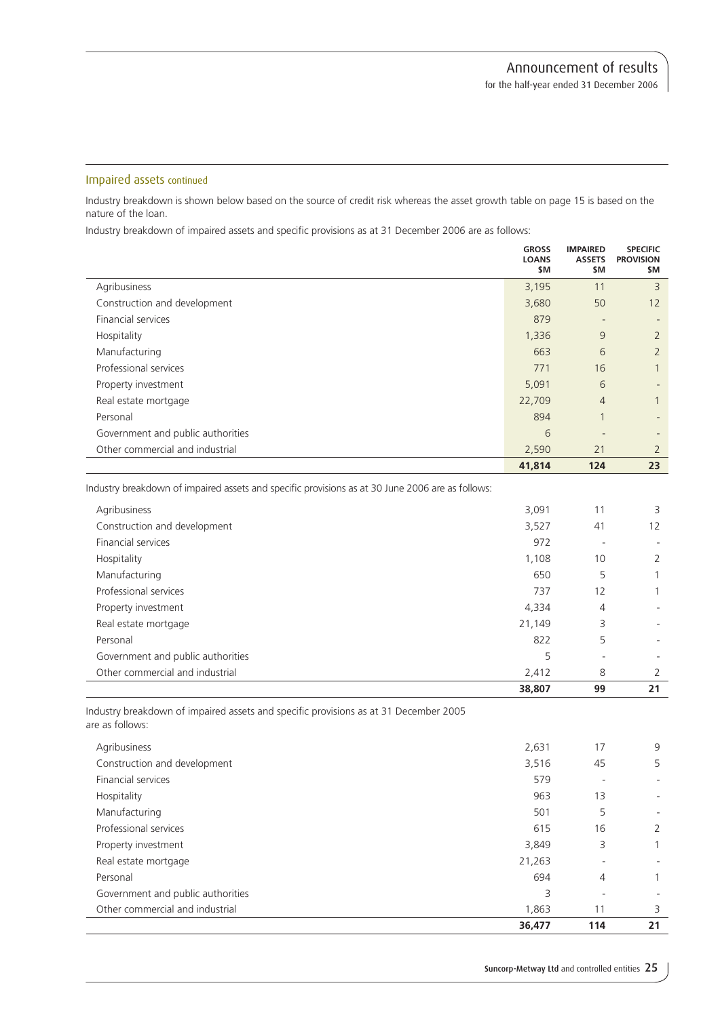### Impaired assets continued

Industry breakdown is shown below based on the source of credit risk whereas the asset growth table on page 15 is based on the nature of the loan.

Industry breakdown of impaired assets and specific provisions as at 31 December 2006 are as follows:

|                                   | <b>GROSS</b><br><b>LOANS</b><br>\$M | <b>IMPAIRED</b><br><b>ASSETS</b><br>\$M | <b>SPECIFIC</b><br><b>PROVISION</b><br>\$M |
|-----------------------------------|-------------------------------------|-----------------------------------------|--------------------------------------------|
| Agribusiness                      | 3,195                               | 11                                      | 3                                          |
| Construction and development      | 3,680                               | 50                                      | 12                                         |
| Financial services                | 879                                 |                                         |                                            |
| Hospitality                       | 1,336                               | 9                                       | $\overline{2}$                             |
| Manufacturing                     | 663                                 | 6                                       | $\overline{2}$                             |
| Professional services             | 771                                 | 16                                      | 1                                          |
| Property investment               | 5,091                               | 6                                       |                                            |
| Real estate mortgage              | 22,709                              | $\overline{4}$                          |                                            |
| Personal                          | 894                                 | $\overline{ }$                          |                                            |
| Government and public authorities | 6                                   |                                         |                                            |
| Other commercial and industrial   | 2,590                               | 21                                      | $\overline{2}$                             |
|                                   | 41,814                              | 124                                     | 23                                         |

Industry breakdown of impaired assets and specific provisions as at 30 June 2006 are as follows:

|                                   | 38,807 | 99 | 21 |
|-----------------------------------|--------|----|----|
| Other commercial and industrial   | 2,412  | 8  | 2  |
| Government and public authorities | 5      |    |    |
| Personal                          | 822    | 5  |    |
| Real estate mortgage              | 21,149 | 3  |    |
| Property investment               | 4,334  | 4  |    |
| Professional services             | 737    | 12 |    |
| Manufacturing                     | 650    | 5  |    |
| Hospitality                       | 1,108  | 10 | 2  |
| Financial services                | 972    |    |    |
| Construction and development      | 3,527  | 41 | 12 |
| Agribusiness                      | 3,091  | 11 | 3  |
|                                   |        |    |    |

Industry breakdown of impaired assets and specific provisions as at 31 December 2005 are as follows:

|                                   | 36,477 | 114            | 21             |
|-----------------------------------|--------|----------------|----------------|
| Other commercial and industrial   | 1,863  | 11             | 3              |
| Government and public authorities | 3      | -              |                |
| Personal                          | 694    | $\overline{4}$ |                |
| Real estate mortgage              | 21,263 |                |                |
| Property investment               | 3,849  | 3              |                |
| Professional services             | 615    | 16             | $\overline{2}$ |
| Manufacturing                     | 501    | 5              |                |
| Hospitality                       | 963    | 13             |                |
| Financial services                | 579    |                |                |
| Construction and development      | 3,516  | 45             | 5              |
| Agribusiness                      | 2,631  | 17             | 9              |
|                                   |        |                |                |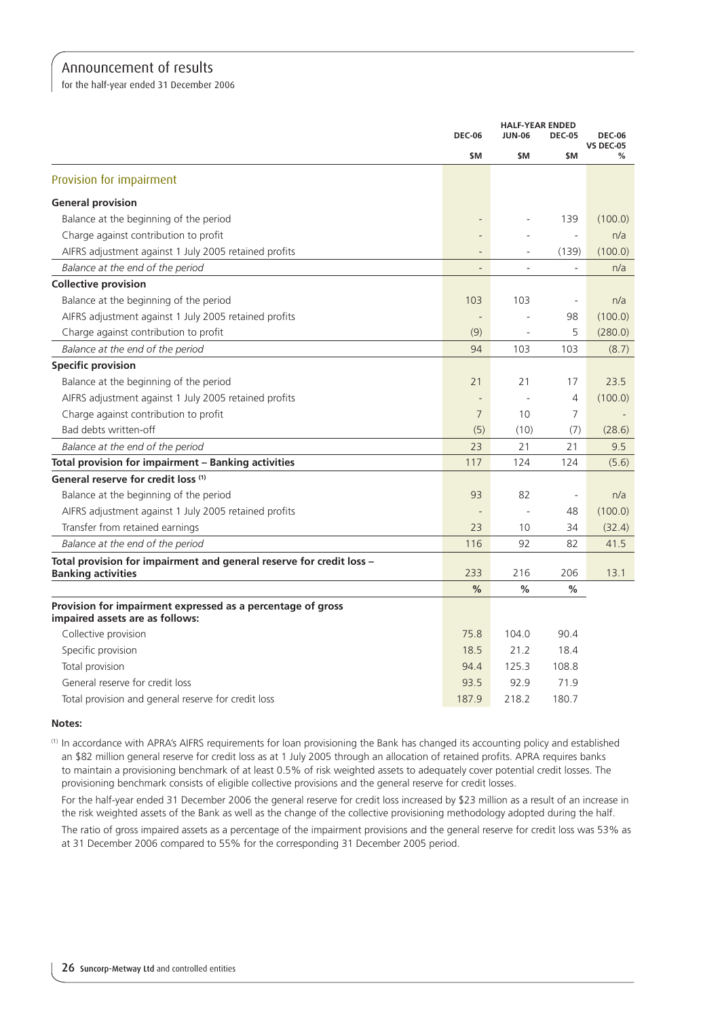for the half-year ended 31 December 2006

|                                                                                                |                          | <b>HALF-YEAR ENDED</b>       |                          |                                   |
|------------------------------------------------------------------------------------------------|--------------------------|------------------------------|--------------------------|-----------------------------------|
|                                                                                                | <b>DEC-06</b>            | <b>JUN-06</b>                | <b>DEC-05</b>            | <b>DEC-06</b><br><b>VS DEC-05</b> |
|                                                                                                | \$M                      | \$M                          | \$M                      | %                                 |
| Provision for impairment                                                                       |                          |                              |                          |                                   |
| <b>General provision</b>                                                                       |                          |                              |                          |                                   |
| Balance at the beginning of the period                                                         |                          |                              | 139                      | (100.0)                           |
| Charge against contribution to profit                                                          |                          |                              | $\overline{\phantom{a}}$ | n/a                               |
| AIFRS adjustment against 1 July 2005 retained profits                                          | $\overline{\phantom{a}}$ |                              | (139)                    | (100.0)                           |
| Balance at the end of the period                                                               | $\qquad \qquad =$        | $\overline{a}$               | $\bar{a}$                | n/a                               |
| <b>Collective provision</b>                                                                    |                          |                              |                          |                                   |
| Balance at the beginning of the period                                                         | 103                      | 103                          | $\overline{\phantom{a}}$ | n/a                               |
| AIFRS adjustment against 1 July 2005 retained profits                                          | $\overline{\phantom{m}}$ |                              | 98                       | (100.0)                           |
| Charge against contribution to profit                                                          | (9)                      | $\qquad \qquad \blacksquare$ | 5                        | (280.0)                           |
| Balance at the end of the period                                                               | 94                       | 103                          | 103                      | (8.7)                             |
| <b>Specific provision</b>                                                                      |                          |                              |                          |                                   |
| Balance at the beginning of the period                                                         | 21                       | 21                           | 17                       | 23.5                              |
| AIFRS adjustment against 1 July 2005 retained profits                                          |                          |                              | 4                        | (100.0)                           |
| Charge against contribution to profit                                                          | $\overline{7}$           | 10                           | 7                        |                                   |
| Bad debts written-off                                                                          | (5)                      | (10)                         | (7)                      | (28.6)                            |
| Balance at the end of the period                                                               | 23                       | 21                           | 21                       | 9.5                               |
| Total provision for impairment - Banking activities                                            | 117                      | 124                          | 124                      | (5.6)                             |
| General reserve for credit loss (1)                                                            |                          |                              |                          |                                   |
| Balance at the beginning of the period                                                         | 93                       | 82                           | $\overline{\phantom{a}}$ | n/a                               |
| AIFRS adjustment against 1 July 2005 retained profits                                          |                          |                              | 48                       | (100.0)                           |
| Transfer from retained earnings                                                                | 23                       | 10                           | 34                       | (32.4)                            |
| Balance at the end of the period                                                               | 116                      | 92                           | 82                       | 41.5                              |
| Total provision for impairment and general reserve for credit loss -                           |                          |                              |                          |                                   |
| <b>Banking activities</b>                                                                      | 233                      | 216                          | 206                      | 13.1                              |
|                                                                                                | %                        | %                            | %                        |                                   |
| Provision for impairment expressed as a percentage of gross<br>impaired assets are as follows: |                          |                              |                          |                                   |
| Collective provision                                                                           | 75.8                     | 104.0                        | 90.4                     |                                   |
| Specific provision                                                                             | 18.5                     | 21.2                         | 18.4                     |                                   |
| Total provision                                                                                | 94.4                     | 125.3                        | 108.8                    |                                   |
| General reserve for credit loss                                                                | 93.5                     | 92.9                         | 71.9                     |                                   |
| Total provision and general reserve for credit loss                                            | 187.9                    | 218.2                        | 180.7                    |                                   |

#### **Notes:**

(1) In accordance with APRA's AIFRS requirements for loan provisioning the Bank has changed its accounting policy and established an \$82 million general reserve for credit loss as at 1 July 2005 through an allocation of retained profits. APRA requires banks to maintain a provisioning benchmark of at least 0.5% of risk weighted assets to adequately cover potential credit losses. The provisioning benchmark consists of eligible collective provisions and the general reserve for credit losses.

For the half-year ended 31 December 2006 the general reserve for credit loss increased by \$23 million as a result of an increase in the risk weighted assets of the Bank as well as the change of the collective provisioning methodology adopted during the half.

The ratio of gross impaired assets as a percentage of the impairment provisions and the general reserve for credit loss was 53% as at 31 December 2006 compared to 55% for the corresponding 31 December 2005 period.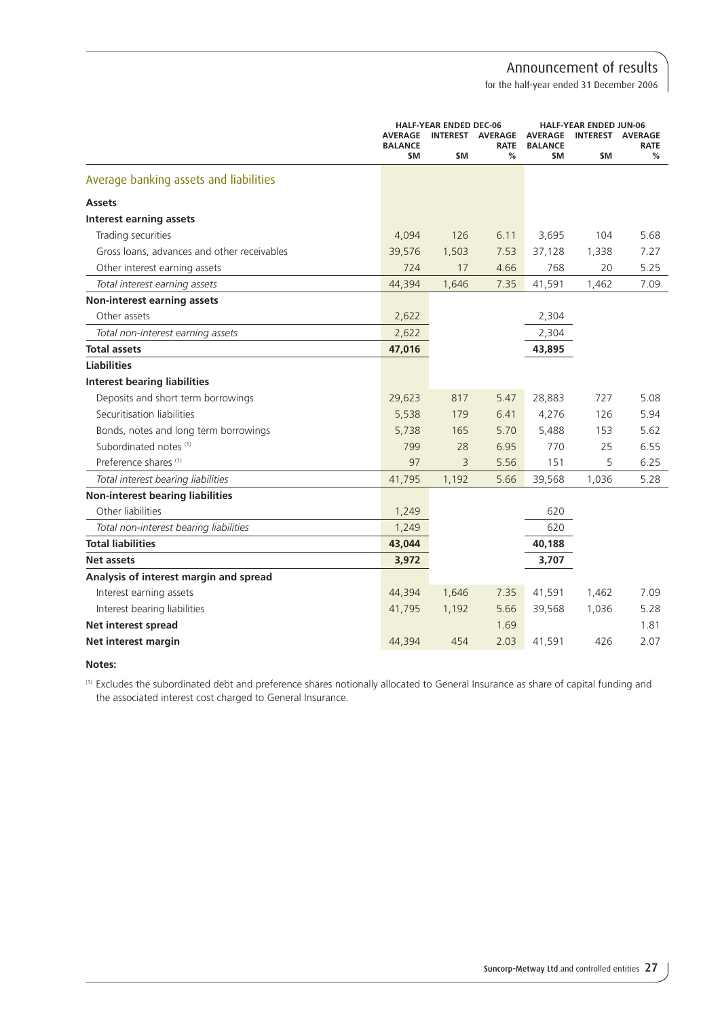for the half-year ended 31 December 2006

|                                             |                                  | <b>HALF-YEAR ENDED DEC-06</b> |                          |                                  | <b>HALF-YEAR ENDED JUN-06</b> |                               |
|---------------------------------------------|----------------------------------|-------------------------------|--------------------------|----------------------------------|-------------------------------|-------------------------------|
|                                             | <b>AVERAGE</b><br><b>BALANCE</b> |                               | INTEREST AVERAGE<br>RATE | <b>AVERAGE</b><br><b>BALANCE</b> | <b>INTEREST</b>               | <b>AVERAGE</b><br><b>RATE</b> |
|                                             | \$M                              | \$M                           | %                        | <b>SM</b>                        | \$M.                          | %                             |
| Average banking assets and liabilities      |                                  |                               |                          |                                  |                               |                               |
| <b>Assets</b>                               |                                  |                               |                          |                                  |                               |                               |
| <b>Interest earning assets</b>              |                                  |                               |                          |                                  |                               |                               |
| Trading securities                          | 4,094                            | 126                           | 6.11                     | 3,695                            | 104                           | 5.68                          |
| Gross loans, advances and other receivables | 39,576                           | 1,503                         | 7.53                     | 37,128                           | 1,338                         | 7.27                          |
| Other interest earning assets               | 724                              | 17                            | 4.66                     | 768                              | 20                            | 5.25                          |
| Total interest earning assets               | 44,394                           | 1,646                         | 7.35                     | 41,591                           | 1,462                         | 7.09                          |
| Non-interest earning assets                 |                                  |                               |                          |                                  |                               |                               |
| Other assets                                | 2,622                            |                               |                          | 2,304                            |                               |                               |
| Total non-interest earning assets           | 2,622                            |                               |                          | 2,304                            |                               |                               |
| <b>Total assets</b>                         | 47,016                           |                               |                          | 43,895                           |                               |                               |
| <b>Liabilities</b>                          |                                  |                               |                          |                                  |                               |                               |
| <b>Interest bearing liabilities</b>         |                                  |                               |                          |                                  |                               |                               |
| Deposits and short term borrowings          | 29,623                           | 817                           | 5.47                     | 28,883                           | 727                           | 5.08                          |
| Securitisation liabilities                  | 5,538                            | 179                           | 6.41                     | 4,276                            | 126                           | 5.94                          |
| Bonds, notes and long term borrowings       | 5,738                            | 165                           | 5.70                     | 5,488                            | 153                           | 5.62                          |
| Subordinated notes (1)                      | 799                              | 28                            | 6.95                     | 770                              | 25                            | 6.55                          |
| Preference shares <sup>(1)</sup>            | 97                               | 3                             | 5.56                     | 151                              | 5                             | 6.25                          |
| Total interest bearing liabilities          | 41,795                           | 1,192                         | 5.66                     | 39,568                           | 1,036                         | 5.28                          |
| <b>Non-interest bearing liabilities</b>     |                                  |                               |                          |                                  |                               |                               |
| Other liabilities                           | 1,249                            |                               |                          | 620                              |                               |                               |
| Total non-interest bearing liabilities      | 1,249                            |                               |                          | 620                              |                               |                               |
| <b>Total liabilities</b>                    | 43,044                           |                               |                          | 40,188                           |                               |                               |
| <b>Net assets</b>                           | 3,972                            |                               |                          | 3,707                            |                               |                               |
| Analysis of interest margin and spread      |                                  |                               |                          |                                  |                               |                               |
| Interest earning assets                     | 44,394                           | 1,646                         | 7.35                     | 41,591                           | 1,462                         | 7.09                          |
| Interest bearing liabilities                | 41,795                           | 1,192                         | 5.66                     | 39,568                           | 1,036                         | 5.28                          |
| <b>Net interest spread</b>                  |                                  |                               | 1.69                     |                                  |                               | 1.81                          |
| Net interest margin                         | 44,394                           | 454                           | 2.03                     | 41,591                           | 426                           | 2.07                          |

**Notes:**

(1) Excludes the subordinated debt and preference shares notionally allocated to General Insurance as share of capital funding and the associated interest cost charged to General Insurance.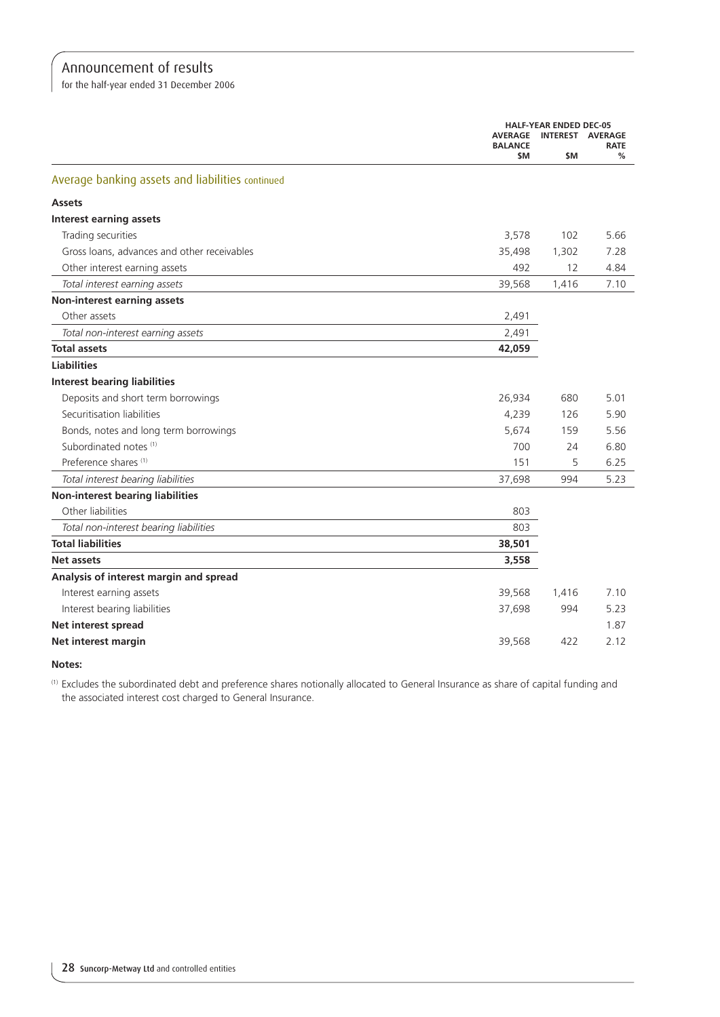for the half-year ended 31 December 2006

|                                                  |                       | <b>HALF-YEAR ENDED DEC-05</b> |                  |  |  |
|--------------------------------------------------|-----------------------|-------------------------------|------------------|--|--|
|                                                  | <b>AVERAGE</b>        | INTEREST AVERAGE              |                  |  |  |
|                                                  | <b>BALANCE</b><br>\$M | \$M                           | <b>RATE</b><br>% |  |  |
| Average banking assets and liabilities continued |                       |                               |                  |  |  |
| <b>Assets</b>                                    |                       |                               |                  |  |  |
| <b>Interest earning assets</b>                   |                       |                               |                  |  |  |
| Trading securities                               | 3,578                 | 102                           | 5.66             |  |  |
| Gross loans, advances and other receivables      | 35,498                | 1,302                         | 7.28             |  |  |
| Other interest earning assets                    | 492                   | 12                            | 4.84             |  |  |
| Total interest earning assets                    | 39,568                | 1,416                         | 7.10             |  |  |
| <b>Non-interest earning assets</b>               |                       |                               |                  |  |  |
| Other assets                                     | 2,491                 |                               |                  |  |  |
| Total non-interest earning assets                | 2,491                 |                               |                  |  |  |
| <b>Total assets</b>                              | 42,059                |                               |                  |  |  |
| <b>Liabilities</b>                               |                       |                               |                  |  |  |
| <b>Interest bearing liabilities</b>              |                       |                               |                  |  |  |
| Deposits and short term borrowings               | 26,934                | 680                           | 5.01             |  |  |
| Securitisation liabilities                       | 4,239                 | 126                           | 5.90             |  |  |
| Bonds, notes and long term borrowings            | 5,674                 | 159                           | 5.56             |  |  |
| Subordinated notes (1)                           | 700                   | 24                            | 6.80             |  |  |
| Preference shares <sup>(1)</sup>                 | 151                   | 5                             | 6.25             |  |  |
| Total interest bearing liabilities               | 37,698                | 994                           | 5.23             |  |  |
| <b>Non-interest bearing liabilities</b>          |                       |                               |                  |  |  |
| Other liabilities                                | 803                   |                               |                  |  |  |
| Total non-interest bearing liabilities           | 803                   |                               |                  |  |  |
| <b>Total liabilities</b>                         | 38,501                |                               |                  |  |  |
| Net assets                                       | 3,558                 |                               |                  |  |  |
| Analysis of interest margin and spread           |                       |                               |                  |  |  |
| Interest earning assets                          | 39,568                | 1,416                         | 7.10             |  |  |
| Interest bearing liabilities                     | 37,698                | 994                           | 5.23             |  |  |
| Net interest spread                              |                       |                               | 1.87             |  |  |
| Net interest margin                              | 39,568                | 422                           | 2.12             |  |  |

**Notes:**

(1) Excludes the subordinated debt and preference shares notionally allocated to General Insurance as share of capital funding and the associated interest cost charged to General Insurance.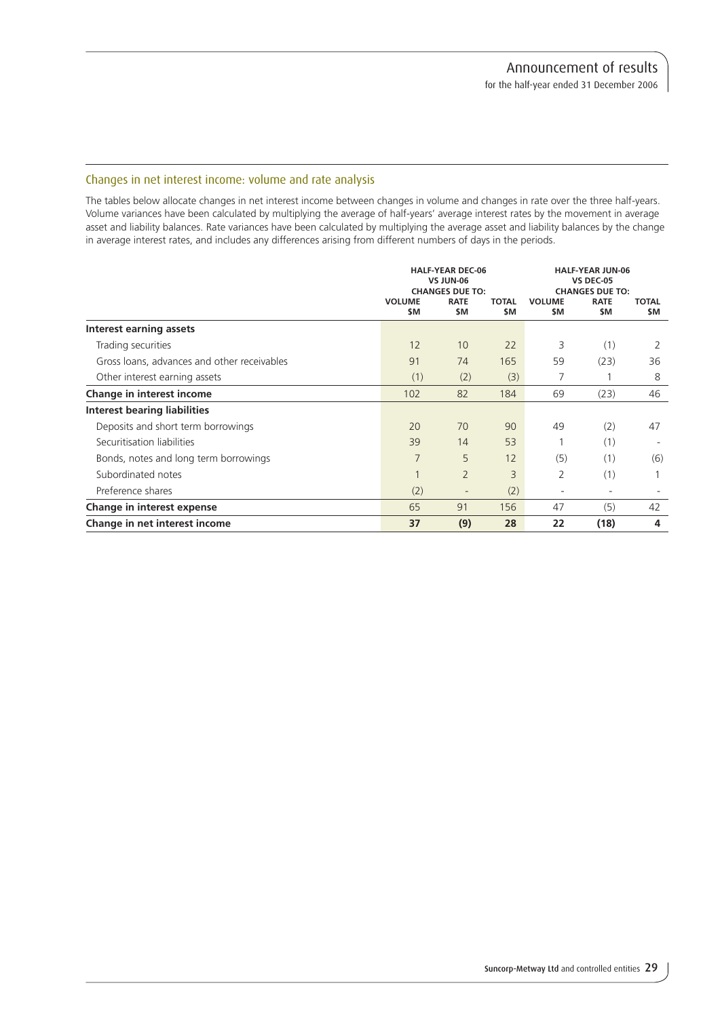### Changes in net interest income: volume and rate analysis

The tables below allocate changes in net interest income between changes in volume and changes in rate over the three half-years. Volume variances have been calculated by multiplying the average of half-years' average interest rates by the movement in average asset and liability balances. Rate variances have been calculated by multiplying the average asset and liability balances by the change in average interest rates, and includes any differences arising from different numbers of days in the periods.

|                                             | <b>VOLUME</b><br>\$M | <b>HALF-YEAR DEC-06</b><br>VS JUN-06<br><b>CHANGES DUE TO:</b><br><b>RATE</b><br>\$M | <b>TOTAL</b><br>\$M | <b>VOLUME</b><br>\$M | <b>HALF-YEAR JUN-06</b><br><b>VS DEC-05</b><br><b>CHANGES DUE TO:</b><br><b>RATE</b><br>\$M | <b>TOTAL</b><br>\$M |
|---------------------------------------------|----------------------|--------------------------------------------------------------------------------------|---------------------|----------------------|---------------------------------------------------------------------------------------------|---------------------|
| Interest earning assets                     |                      |                                                                                      |                     |                      |                                                                                             |                     |
| Trading securities                          | 12                   | 10                                                                                   | 22                  | 3                    | (1)                                                                                         | 2                   |
| Gross loans, advances and other receivables | 91                   | 74                                                                                   | 165                 | 59                   | (23)                                                                                        | 36                  |
| Other interest earning assets               | (1)                  | (2)                                                                                  | (3)                 | 7                    |                                                                                             | 8                   |
| Change in interest income                   | 102                  | 82                                                                                   | 184                 | 69                   | (23)                                                                                        | 46                  |
| Interest bearing liabilities                |                      |                                                                                      |                     |                      |                                                                                             |                     |
| Deposits and short term borrowings          | 20                   | 70                                                                                   | 90                  | 49                   | (2)                                                                                         | 47                  |
| Securitisation liabilities                  | 39                   | 14                                                                                   | 53                  |                      | (1)                                                                                         |                     |
| Bonds, notes and long term borrowings       | 7                    | 5                                                                                    | 12                  | (5)                  | (1)                                                                                         | (6)                 |
| Subordinated notes                          | $\mathbf 1$          | $\overline{2}$                                                                       | 3                   | 2                    | (1)                                                                                         |                     |
| Preference shares                           | (2)                  | $\overline{\phantom{a}}$                                                             | (2)                 | ٠                    | $\overline{\phantom{a}}$                                                                    |                     |
| Change in interest expense                  | 65                   | 91                                                                                   | 156                 | 47                   | (5)                                                                                         | 42                  |
| Change in net interest income               | 37                   | (9)                                                                                  | 28                  | 22                   | (18)                                                                                        | 4                   |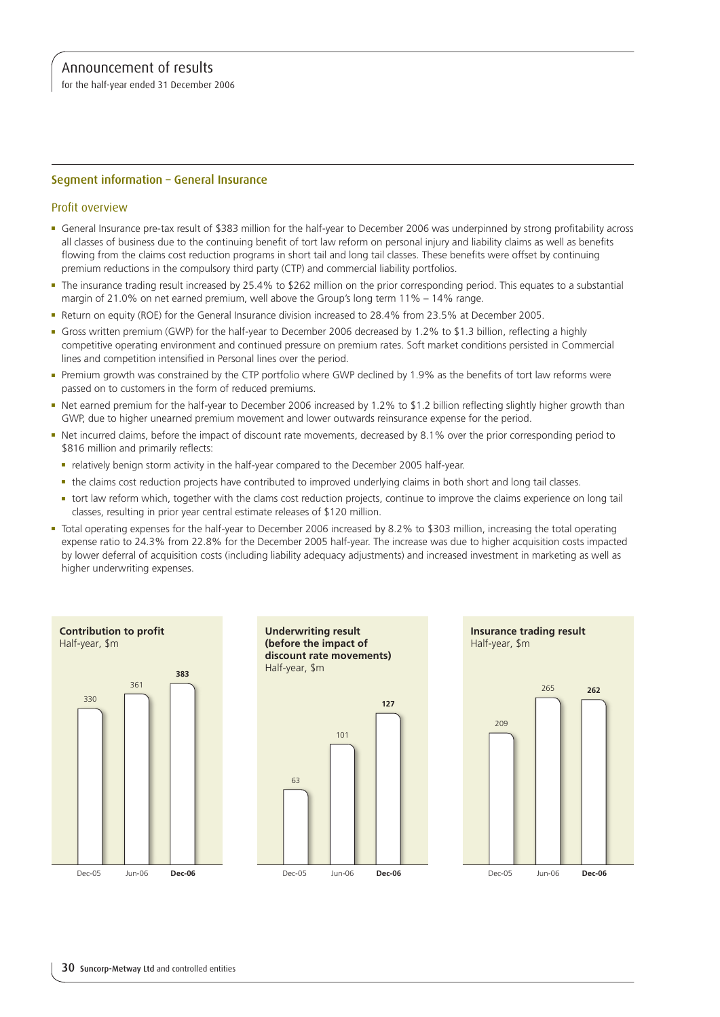for the half-year ended 31 December 2006

### Segment information – General Insurance

### Profit overview

- <sup>n</sup> General Insurance pre-tax result of \$383 million for the half-year to December 2006 was underpinned by strong profitability across all classes of business due to the continuing benefit of tort law reform on personal injury and liability claims as well as benefits flowing from the claims cost reduction programs in short tail and long tail classes. These benefits were offset by continuing premium reductions in the compulsory third party (CTP) and commercial liability portfolios.
- <sup>n</sup> The insurance trading result increased by 25.4% to \$262 million on the prior corresponding period. This equates to a substantial margin of 21.0% on net earned premium, well above the Group's long term 11% – 14% range.
- Return on equity (ROE) for the General Insurance division increased to 28.4% from 23.5% at December 2005.
- <sup>n</sup> Gross written premium (GWP) for the half-year to December 2006 decreased by 1.2% to \$1.3 billion, reflecting a highly competitive operating environment and continued pressure on premium rates. Soft market conditions persisted in Commercial lines and competition intensified in Personal lines over the period.
- <sup>n</sup> Premium growth was constrained by the CTP portfolio where GWP declined by 1.9% as the benefits of tort law reforms were passed on to customers in the form of reduced premiums.
- Net earned premium for the half-year to December 2006 increased by 1.2% to \$1.2 billion reflecting slightly higher growth than GWP, due to higher unearned premium movement and lower outwards reinsurance expense for the period.
- Net incurred claims, before the impact of discount rate movements, decreased by 8.1% over the prior corresponding period to \$816 million and primarily reflects:
	- <sup>n</sup> relatively benign storm activity in the half-year compared to the December 2005 half-year.
	- the claims cost reduction projects have contributed to improved underlying claims in both short and long tail classes.
	- <sup>n</sup> tort law reform which, together with the clams cost reduction projects, continue to improve the claims experience on long tail classes, resulting in prior year central estimate releases of \$120 million.
- <sup>n</sup> Total operating expenses for the half-year to December 2006 increased by 8.2% to \$303 million, increasing the total operating expense ratio to 24.3% from 22.8% for the December 2005 half-year. The increase was due to higher acquisition costs impacted by lower deferral of acquisition costs (including liability adequacy adjustments) and increased investment in marketing as well as higher underwriting expenses.

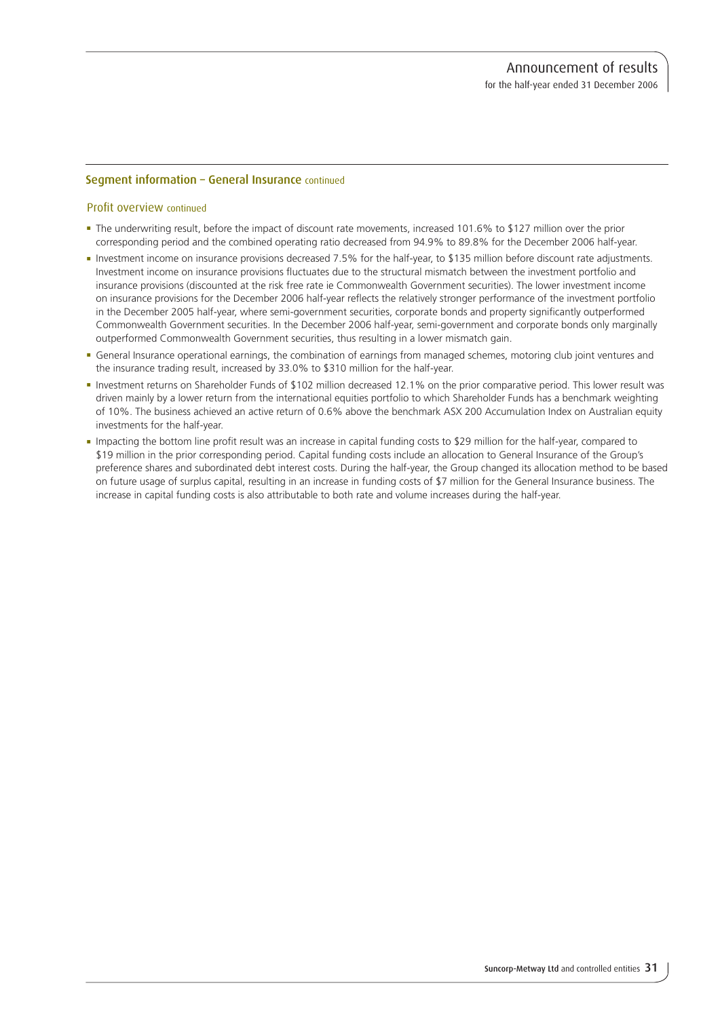### Segment information – General Insurance continued

### Profit overview continued

- <sup>n</sup> The underwriting result, before the impact of discount rate movements, increased 101.6% to \$127 million over the prior corresponding period and the combined operating ratio decreased from 94.9% to 89.8% for the December 2006 half-year.
- n Investment income on insurance provisions decreased 7.5% for the half-year, to \$135 million before discount rate adjustments. Investment income on insurance provisions fluctuates due to the structural mismatch between the investment portfolio and insurance provisions (discounted at the risk free rate ie Commonwealth Government securities). The lower investment income on insurance provisions for the December 2006 half-year reflects the relatively stronger performance of the investment portfolio in the December 2005 half-year, where semi-government securities, corporate bonds and property significantly outperformed Commonwealth Government securities. In the December 2006 half-year, semi-government and corporate bonds only marginally outperformed Commonwealth Government securities, thus resulting in a lower mismatch gain.
- <sup>n</sup> General Insurance operational earnings, the combination of earnings from managed schemes, motoring club joint ventures and the insurance trading result, increased by 33.0% to \$310 million for the half-year.
- n Investment returns on Shareholder Funds of \$102 million decreased 12.1% on the prior comparative period. This lower result was driven mainly by a lower return from the international equities portfolio to which Shareholder Funds has a benchmark weighting of 10%. The business achieved an active return of 0.6% above the benchmark ASX 200 Accumulation Index on Australian equity investments for the half-year.
- <sup>n</sup> Impacting the bottom line profit result was an increase in capital funding costs to \$29 million for the half-year, compared to \$19 million in the prior corresponding period. Capital funding costs include an allocation to General Insurance of the Group's preference shares and subordinated debt interest costs. During the half-year, the Group changed its allocation method to be based on future usage of surplus capital, resulting in an increase in funding costs of \$7 million for the General Insurance business. The increase in capital funding costs is also attributable to both rate and volume increases during the half-year.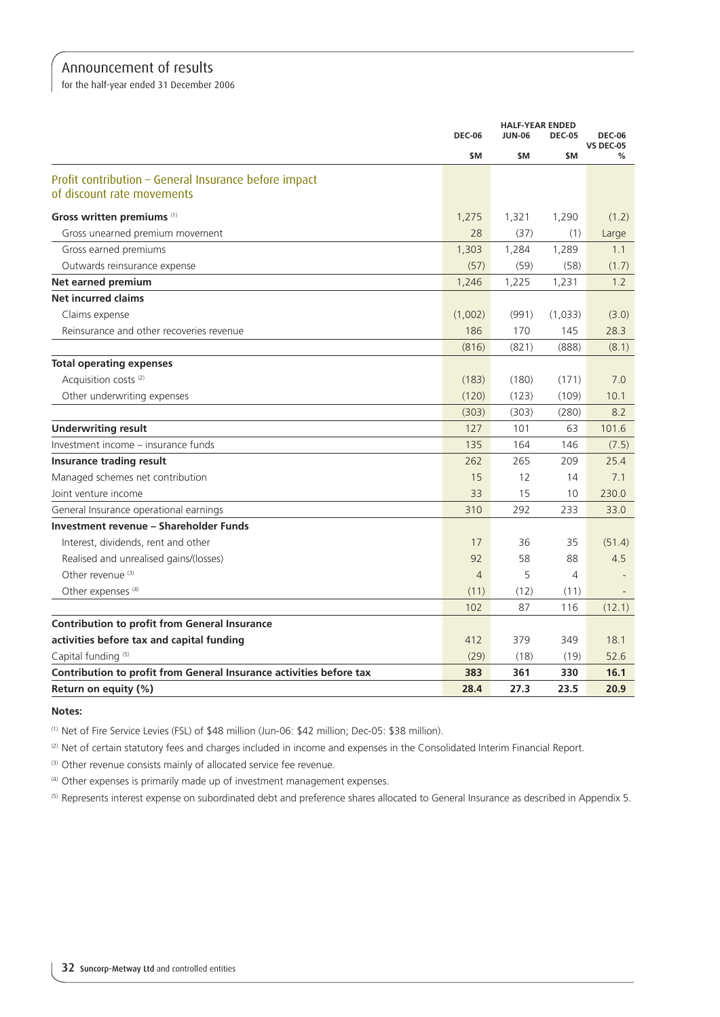for the half-year ended 31 December 2006

|                                                                     |                | <b>HALF-YEAR ENDED</b> |               |                                   |
|---------------------------------------------------------------------|----------------|------------------------|---------------|-----------------------------------|
|                                                                     | <b>DEC-06</b>  | <b>JUN-06</b>          | <b>DEC-05</b> | <b>DEC-06</b><br><b>VS DEC-05</b> |
|                                                                     | \$M            | \$M                    | <b>SM</b>     | %                                 |
| Profit contribution - General Insurance before impact               |                |                        |               |                                   |
| of discount rate movements                                          |                |                        |               |                                   |
| Gross written premiums (1)                                          | 1,275          | 1,321                  | 1,290         | (1.2)                             |
| Gross unearned premium movement                                     | 28             | (37)                   | (1)           | Large                             |
| Gross earned premiums                                               | 1,303          | 1,284                  | 1,289         | 1.1                               |
| Outwards reinsurance expense                                        | (57)           | (59)                   | (58)          | (1.7)                             |
| Net earned premium                                                  | 1,246          | 1,225                  | 1,231         | 1.2                               |
| <b>Net incurred claims</b>                                          |                |                        |               |                                   |
| Claims expense                                                      | (1,002)        | (991)                  | (1,033)       | (3.0)                             |
| Reinsurance and other recoveries revenue                            | 186            | 170                    | 145           | 28.3                              |
|                                                                     | (816)          | (821)                  | (888)         | (8.1)                             |
| <b>Total operating expenses</b>                                     |                |                        |               |                                   |
| Acquisition costs <sup>(2)</sup>                                    | (183)          | (180)                  | (171)         | 7.0                               |
| Other underwriting expenses                                         | (120)          | (123)                  | (109)         | 10.1                              |
|                                                                     | (303)          | (303)                  | (280)         | 8.2                               |
| <b>Underwriting result</b>                                          | 127            | 101                    | 63            | 101.6                             |
| Investment income - insurance funds                                 | 135            | 164                    | 146           | (7.5)                             |
| <b>Insurance trading result</b>                                     | 262            | 265                    | 209           | 25.4                              |
| Managed schemes net contribution                                    | 15             | 12                     | 14            | 7.1                               |
| Joint venture income                                                | 33             | 15                     | 10            | 230.0                             |
| General Insurance operational earnings                              | 310            | 292                    | 233           | 33.0                              |
| Investment revenue – Shareholder Funds                              |                |                        |               |                                   |
| Interest, dividends, rent and other                                 | 17             | 36                     | 35            | (51.4)                            |
| Realised and unrealised gains/(losses)                              | 92             | 58                     | 88            | 4.5                               |
| Other revenue <sup>(3)</sup>                                        | $\overline{4}$ | 5                      | 4             |                                   |
| Other expenses <sup>(4)</sup>                                       | (11)           | (12)                   | (11)          |                                   |
|                                                                     | 102            | 87                     | 116           | (12.1)                            |
| <b>Contribution to profit from General Insurance</b>                |                |                        |               |                                   |
| activities before tax and capital funding                           | 412            | 379                    | 349           | 18.1                              |
| Capital funding (5)                                                 | (29)           | (18)                   | (19)          | 52.6                              |
| Contribution to profit from General Insurance activities before tax | 383            | 361                    | 330           | 16.1                              |
| Return on equity (%)                                                | 28.4           | 27.3                   | 23.5          | 20.9                              |

#### **Notes:**

(1) Net of Fire Service Levies (FSL) of \$48 million (Jun-06: \$42 million; Dec-05: \$38 million).

<sup>(2)</sup> Net of certain statutory fees and charges included in income and expenses in the Consolidated Interim Financial Report.

(3) Other revenue consists mainly of allocated service fee revenue.

(4) Other expenses is primarily made up of investment management expenses.

(5) Represents interest expense on subordinated debt and preference shares allocated to General Insurance as described in Appendix 5.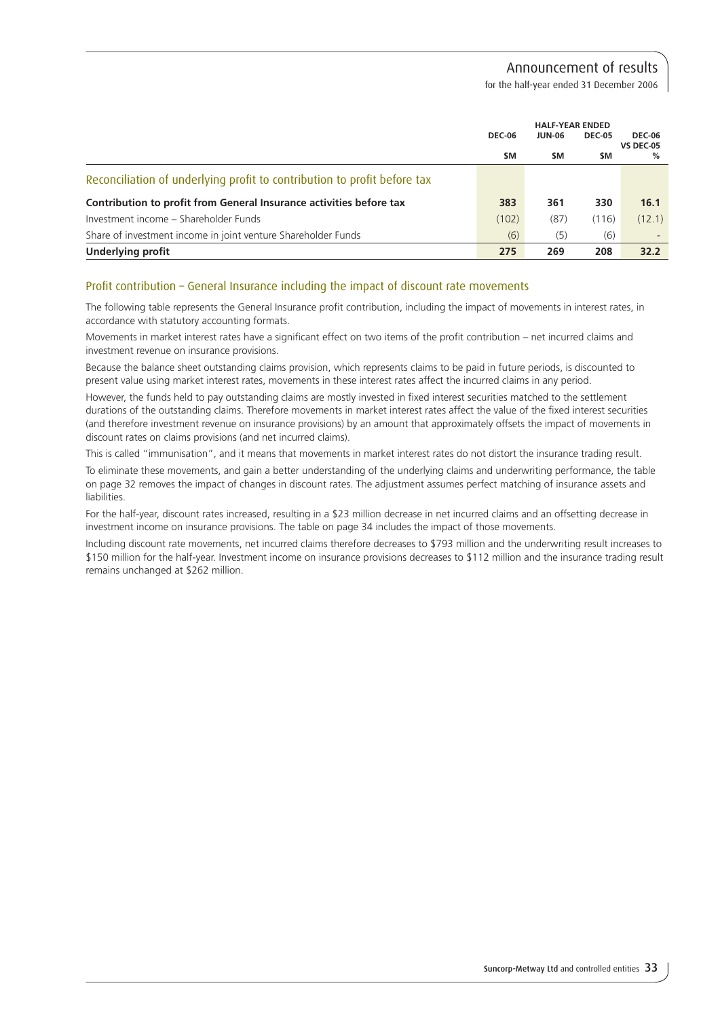for the half-year ended 31 December 2006

|                                                                          |               | <b>HALF-YEAR ENDED</b> |               |                                   |  |
|--------------------------------------------------------------------------|---------------|------------------------|---------------|-----------------------------------|--|
|                                                                          | <b>DEC-06</b> | <b>JUN-06</b>          | <b>DEC-05</b> | <b>DEC-06</b><br><b>VS DEC-05</b> |  |
|                                                                          | \$M           | \$M                    | \$M           | %                                 |  |
| Reconciliation of underlying profit to contribution to profit before tax |               |                        |               |                                   |  |
| Contribution to profit from General Insurance activities before tax      | 383           | 361                    | 330           | 16.1                              |  |
| Investment income – Shareholder Funds                                    | (102)         | (87)                   | (116)         | (12.1)                            |  |
| Share of investment income in joint venture Shareholder Funds            | (6)           | (5)                    | (6)           |                                   |  |
| Underlying profit                                                        | 275           | 269                    | 208           | 32.2                              |  |

### Profit contribution – General Insurance including the impact of discount rate movements

The following table represents the General Insurance profit contribution, including the impact of movements in interest rates, in accordance with statutory accounting formats.

Movements in market interest rates have a significant effect on two items of the profit contribution – net incurred claims and investment revenue on insurance provisions.

Because the balance sheet outstanding claims provision, which represents claims to be paid in future periods, is discounted to present value using market interest rates, movements in these interest rates affect the incurred claims in any period.

However, the funds held to pay outstanding claims are mostly invested in fixed interest securities matched to the settlement durations of the outstanding claims. Therefore movements in market interest rates affect the value of the fixed interest securities (and therefore investment revenue on insurance provisions) by an amount that approximately offsets the impact of movements in discount rates on claims provisions (and net incurred claims).

This is called "immunisation", and it means that movements in market interest rates do not distort the insurance trading result.

To eliminate these movements, and gain a better understanding of the underlying claims and underwriting performance, the table on page 32 removes the impact of changes in discount rates. The adjustment assumes perfect matching of insurance assets and liabilities.

For the half-year, discount rates increased, resulting in a \$23 million decrease in net incurred claims and an offsetting decrease in investment income on insurance provisions. The table on page 34 includes the impact of those movements.

Including discount rate movements, net incurred claims therefore decreases to \$793 million and the underwriting result increases to \$150 million for the half-year. Investment income on insurance provisions decreases to \$112 million and the insurance trading result remains unchanged at \$262 million.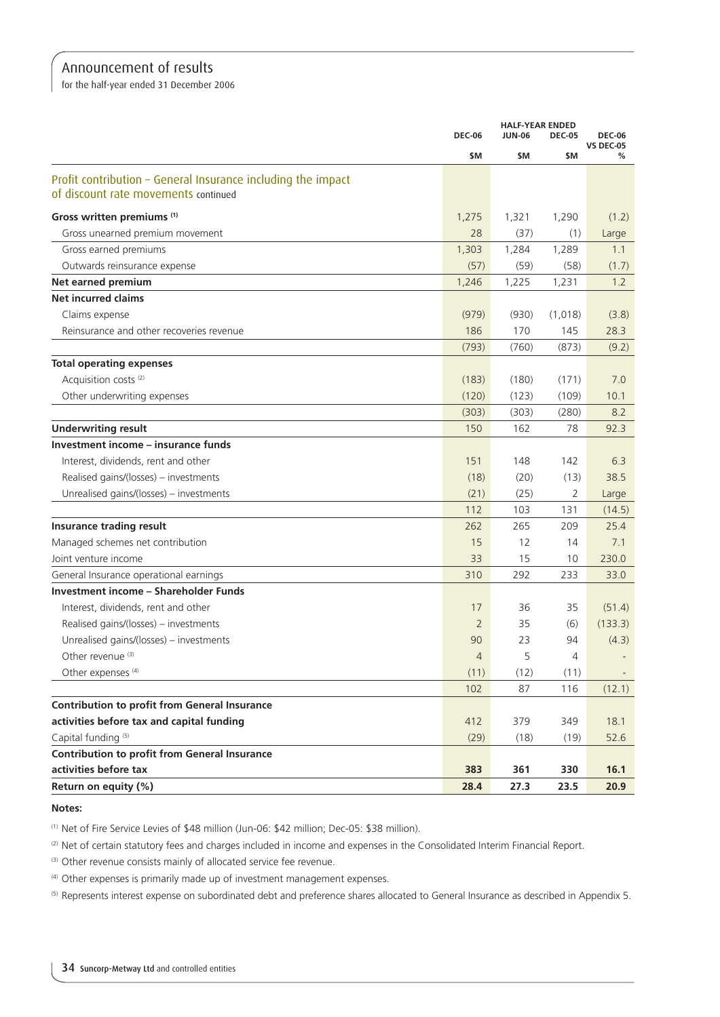for the half-year ended 31 December 2006

|                                                                                                      |                | <b>HALF-YEAR ENDED</b><br><b>JUN-06</b><br><b>DEC-06</b><br><b>DEC-05</b> |                |                                        |
|------------------------------------------------------------------------------------------------------|----------------|---------------------------------------------------------------------------|----------------|----------------------------------------|
|                                                                                                      | \$M            | \$M                                                                       | \$M            | <b>DEC-06</b><br><b>VS DEC-05</b><br>℅ |
| Profit contribution - General Insurance including the impact<br>of discount rate movements continued |                |                                                                           |                |                                        |
| Gross written premiums (1)                                                                           | 1,275          | 1,321                                                                     | 1,290          | (1.2)                                  |
| Gross unearned premium movement                                                                      | 28             | (37)                                                                      | (1)            | Large                                  |
| Gross earned premiums                                                                                | 1,303          | 1,284                                                                     | 1,289          | 1.1                                    |
| Outwards reinsurance expense                                                                         | (57)           | (59)                                                                      | (58)           | (1.7)                                  |
| Net earned premium                                                                                   | 1,246          | 1,225                                                                     | 1,231          | 1.2                                    |
| <b>Net incurred claims</b>                                                                           |                |                                                                           |                |                                        |
| Claims expense                                                                                       | (979)          | (930)                                                                     | (1,018)        | (3.8)                                  |
| Reinsurance and other recoveries revenue                                                             | 186            | 170                                                                       | 145            | 28.3                                   |
|                                                                                                      | (793)          | (760)                                                                     | (873)          | (9.2)                                  |
| <b>Total operating expenses</b>                                                                      |                |                                                                           |                |                                        |
| Acquisition costs <sup>(2)</sup>                                                                     | (183)          | (180)                                                                     | (171)          | 7.0                                    |
| Other underwriting expenses                                                                          | (120)          | (123)                                                                     | (109)          | 10.1                                   |
|                                                                                                      | (303)          | (303)                                                                     | (280)          | 8.2                                    |
| <b>Underwriting result</b>                                                                           | 150            | 162                                                                       | 78             | 92.3                                   |
| Investment income - insurance funds                                                                  |                |                                                                           |                |                                        |
| Interest, dividends, rent and other                                                                  | 151            | 148                                                                       | 142            | 6.3                                    |
| Realised gains/(losses) - investments                                                                | (18)           | (20)                                                                      | (13)           | 38.5                                   |
| Unrealised gains/(losses) - investments                                                              | (21)           | (25)                                                                      | $\overline{2}$ | Large                                  |
|                                                                                                      | 112            | 103                                                                       | 131            | (14.5)                                 |
| Insurance trading result                                                                             | 262            | 265                                                                       | 209            | 25.4                                   |
| Managed schemes net contribution                                                                     | 15             | 12                                                                        | 14             | 7.1                                    |
| Joint venture income                                                                                 | 33             | 15                                                                        | 10             | 230.0                                  |
| General Insurance operational earnings                                                               | 310            | 292                                                                       | 233            | 33.0                                   |
| <b>Investment income - Shareholder Funds</b>                                                         |                |                                                                           |                |                                        |
| Interest, dividends, rent and other                                                                  | 17             | 36                                                                        | 35             | (51.4)                                 |
| Realised gains/(losses) - investments                                                                | $\overline{2}$ | 35                                                                        | (6)            | (133.3)                                |
| Unrealised gains/(losses) - investments                                                              | 90             | 23                                                                        | 94             | (4.3)                                  |
| Other revenue (3)                                                                                    | $\overline{4}$ | 5                                                                         | 4              |                                        |
| Other expenses <sup>(4)</sup>                                                                        | (11)           | (12)                                                                      | (11)           |                                        |
|                                                                                                      | 102            | 87                                                                        | 116            | (12.1)                                 |
| <b>Contribution to profit from General Insurance</b>                                                 |                |                                                                           |                |                                        |
| activities before tax and capital funding                                                            | 412            | 379                                                                       | 349            | 18.1                                   |
| Capital funding <sup>(5)</sup>                                                                       | (29)           | (18)                                                                      | (19)           | 52.6                                   |
| <b>Contribution to profit from General Insurance</b>                                                 |                |                                                                           |                |                                        |
| activities before tax                                                                                | 383            | 361                                                                       | 330            | 16.1                                   |
| Return on equity (%)                                                                                 | 28.4           | 27.3                                                                      | 23.5           | 20.9                                   |

### **Notes:**

(1) Net of Fire Service Levies of \$48 million (Jun-06: \$42 million; Dec-05: \$38 million).

(2) Net of certain statutory fees and charges included in income and expenses in the Consolidated Interim Financial Report.

(3) Other revenue consists mainly of allocated service fee revenue.

(4) Other expenses is primarily made up of investment management expenses.

(5) Represents interest expense on subordinated debt and preference shares allocated to General Insurance as described in Appendix 5.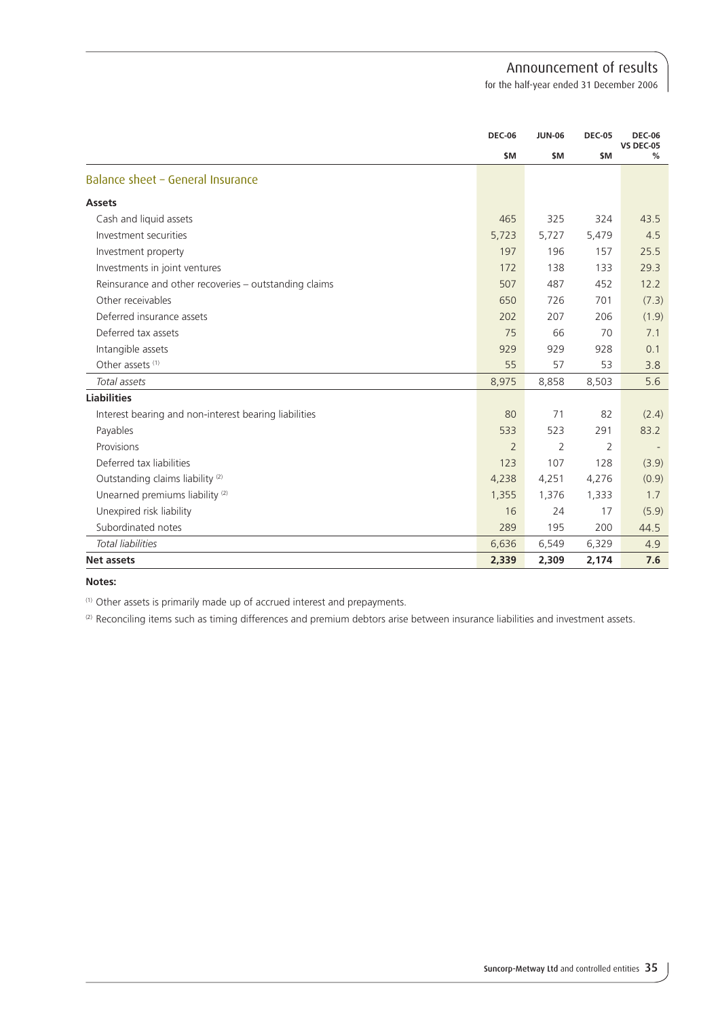for the half-year ended 31 December 2006

|                                                       |       | <b>DEC-06</b><br>\$M |           | <b>JUN-06</b> | <b>DEC-05</b> | <b>DEC-06</b><br><b>VS DEC-05</b> |
|-------------------------------------------------------|-------|----------------------|-----------|---------------|---------------|-----------------------------------|
|                                                       |       |                      | <b>SM</b> | \$M           | %             |                                   |
| Balance sheet - General Insurance                     |       |                      |           |               |               |                                   |
| <b>Assets</b>                                         |       |                      |           |               |               |                                   |
| Cash and liquid assets                                |       | 465                  | 325       | 324           | 43.5          |                                   |
| Investment securities                                 | 5,723 |                      | 5,727     | 5,479         | 4.5           |                                   |
| Investment property                                   |       | 197                  | 196       | 157           | 25.5          |                                   |
| Investments in joint ventures                         |       | 172                  | 138       | 133           | 29.3          |                                   |
| Reinsurance and other recoveries - outstanding claims |       | 507                  | 487       | 452           | 12.2          |                                   |
| Other receivables                                     |       | 650                  | 726       | 701           | (7.3)         |                                   |
| Deferred insurance assets                             |       | 202                  | 207       | 206           | (1.9)         |                                   |
| Deferred tax assets                                   |       | 75                   | 66        | 70            | 7.1           |                                   |
| Intangible assets                                     |       | 929                  | 929       | 928           | 0.1           |                                   |
| Other assets <sup>(1)</sup>                           |       | 55                   | 57        | 53            | 3.8           |                                   |
| Total assets                                          | 8,975 |                      | 8,858     | 8,503         | 5.6           |                                   |
| <b>Liabilities</b>                                    |       |                      |           |               |               |                                   |
| Interest bearing and non-interest bearing liabilities |       | 80                   | 71        | 82            | (2.4)         |                                   |
| Payables                                              |       | 533                  | 523       | 291           | 83.2          |                                   |
| Provisions                                            |       | $\overline{2}$       | 2         | 2             |               |                                   |
| Deferred tax liabilities                              |       | 123                  | 107       | 128           | (3.9)         |                                   |
| Outstanding claims liability <sup>(2)</sup>           | 4,238 |                      | 4,251     | 4,276         | (0.9)         |                                   |
| Unearned premiums liability <sup>(2)</sup>            | 1,355 |                      | 1,376     | 1,333         | 1.7           |                                   |
| Unexpired risk liability                              |       | 16                   | 24        | 17            | (5.9)         |                                   |
| Subordinated notes                                    |       | 289                  | 195       | 200           | 44.5          |                                   |
| Total liabilities                                     | 6,636 |                      | 6,549     | 6,329         | 4.9           |                                   |
| <b>Net assets</b>                                     | 2,339 |                      | 2,309     | 2.174         | 7.6           |                                   |

**Notes:**

(1) Other assets is primarily made up of accrued interest and prepayments.

(2) Reconciling items such as timing differences and premium debtors arise between insurance liabilities and investment assets.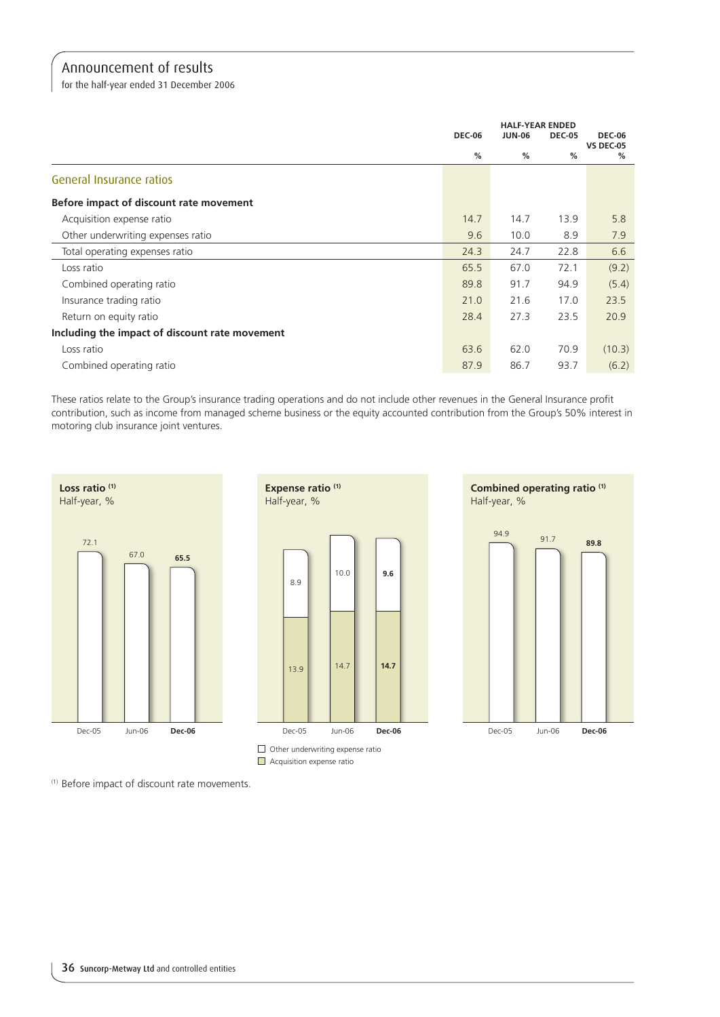for the half-year ended 31 December 2006

|                                                | <b>DEC-06</b> | <b>JUN-06</b> | <b>DEC-05</b> | <b>DEC-06</b><br><b>VS DEC-05</b> |
|------------------------------------------------|---------------|---------------|---------------|-----------------------------------|
|                                                | %             | $\%$          | $\%$          | %                                 |
| General Insurance ratios                       |               |               |               |                                   |
| Before impact of discount rate movement        |               |               |               |                                   |
| Acquisition expense ratio                      | 14.7          | 14.7          | 13.9          | 5.8                               |
| Other underwriting expenses ratio              | 9.6           | 10.0          | 8.9           | 7.9                               |
| Total operating expenses ratio                 | 24.3          | 24.7          | 22.8          | 6.6                               |
| Loss ratio                                     | 65.5          | 67.0          | 72.1          | (9.2)                             |
| Combined operating ratio                       | 89.8          | 91.7          | 94.9          | (5.4)                             |
| Insurance trading ratio                        | 21.0          | 21.6          | 17.0          | 23.5                              |
| Return on equity ratio                         | 28.4          | 27.3          | 23.5          | 20.9                              |
| Including the impact of discount rate movement |               |               |               |                                   |
| Loss ratio                                     | 63.6          | 62.0          | 70.9          | (10.3)                            |
| Combined operating ratio                       | 87.9          | 86.7          | 93.7          | (6.2)                             |

These ratios relate to the Group's insurance trading operations and do not include other revenues in the General Insurance profit contribution, such as income from managed scheme business or the equity accounted contribution from the Group's 50% interest in motoring club insurance joint ventures.



(1) Before impact of discount rate movements.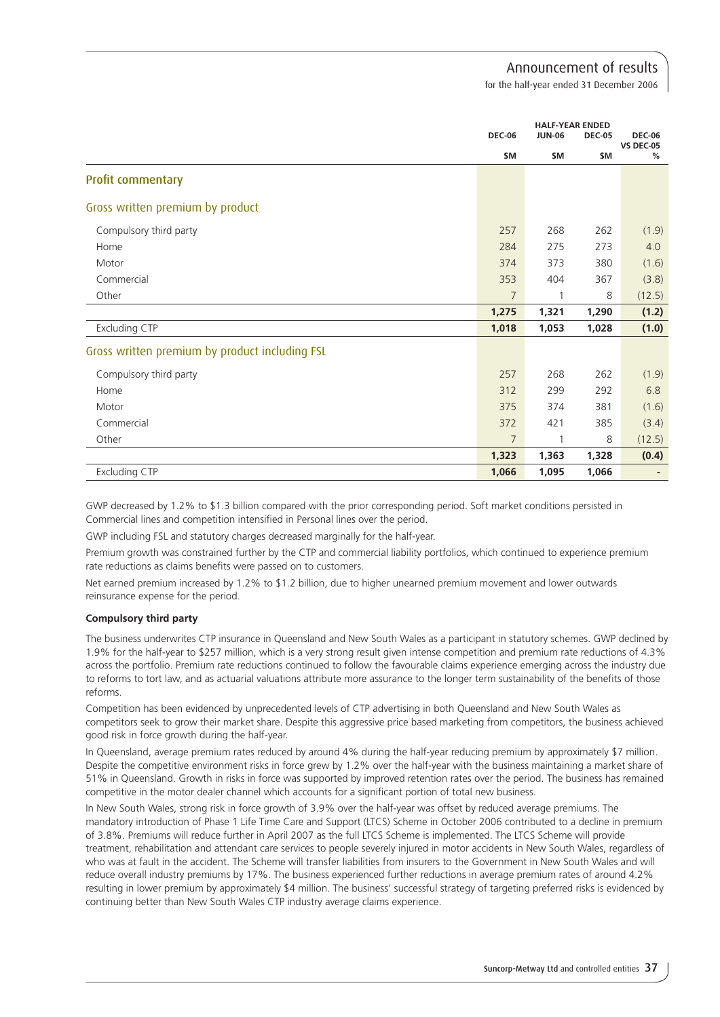for the half-year ended 31 December 2006

|                                                | <b>DEC-06</b>  | <b>HALF-YEAR ENDED</b><br><b>JUN-06</b> | <b>DEC-05</b> | <b>DEC-06</b>         |
|------------------------------------------------|----------------|-----------------------------------------|---------------|-----------------------|
|                                                | \$M            | \$M                                     | \$M           | <b>VS DEC-05</b><br>% |
| <b>Profit commentary</b>                       |                |                                         |               |                       |
| Gross written premium by product               |                |                                         |               |                       |
| Compulsory third party                         | 257            | 268                                     | 262           | (1.9)                 |
| Home                                           | 284            | 275                                     | 273           | 4.0                   |
| Motor                                          | 374            | 373                                     | 380           | (1.6)                 |
| Commercial                                     | 353            | 404                                     | 367           | (3.8)                 |
| Other                                          | $\overline{7}$ | 1                                       | 8             | (12.5)                |
|                                                | 1,275          | 1,321                                   | 1,290         | (1.2)                 |
| <b>Excluding CTP</b>                           | 1,018          | 1,053                                   | 1,028         | (1.0)                 |
| Gross written premium by product including FSL |                |                                         |               |                       |
| Compulsory third party                         | 257            | 268                                     | 262           | (1.9)                 |
| Home                                           | 312            | 299                                     | 292           | 6.8                   |
| Motor                                          | 375            | 374                                     | 381           | (1.6)                 |
| Commercial                                     | 372            | 421                                     | 385           | (3.4)                 |
| Other                                          | $\overline{7}$ | 1                                       | 8             | (12.5)                |
|                                                | 1,323          | 1,363                                   | 1,328         | (0.4)                 |
| <b>Excluding CTP</b>                           | 1,066          | 1,095                                   | 1,066         |                       |

GWP decreased by 1.2% to \$1.3 billion compared with the prior corresponding period. Soft market conditions persisted in Commercial lines and competition intensified in Personal lines over the period.

GWP including FSL and statutory charges decreased marginally for the half-year.

Premium growth was constrained further by the CTP and commercial liability portfolios, which continued to experience premium rate reductions as claims benefits were passed on to customers.

Net earned premium increased by 1.2% to \$1.2 billion, due to higher unearned premium movement and lower outwards reinsurance expense for the period.

## **Compulsory third party**

The business underwrites CTP insurance in Queensland and New South Wales as a participant in statutory schemes. GWP declined by 1.9% for the half-year to \$257 million, which is a very strong result given intense competition and premium rate reductions of 4.3% across the portfolio. Premium rate reductions continued to follow the favourable claims experience emerging across the industry due to reforms to tort law, and as actuarial valuations attribute more assurance to the longer term sustainability of the benefits of those reforms.

Competition has been evidenced by unprecedented levels of CTP advertising in both Queensland and New South Wales as competitors seek to grow their market share. Despite this aggressive price based marketing from competitors, the business achieved good risk in force growth during the half-year.

In Queensland, average premium rates reduced by around 4% during the half-year reducing premium by approximately \$7 million. Despite the competitive environment risks in force grew by 1.2% over the half-year with the business maintaining a market share of 51% in Queensland. Growth in risks in force was supported by improved retention rates over the period. The business has remained competitive in the motor dealer channel which accounts for a significant portion of total new business.

In New South Wales, strong risk in force growth of 3.9% over the half-year was offset by reduced average premiums. The mandatory introduction of Phase 1 Life Time Care and Support (LTCS) Scheme in October 2006 contributed to a decline in premium of 3.8%. Premiums will reduce further in April 2007 as the full LTCS Scheme is implemented. The LTCS Scheme will provide treatment, rehabilitation and attendant care services to people severely injured in motor accidents in New South Wales, regardless of who was at fault in the accident. The Scheme will transfer liabilities from insurers to the Government in New South Wales and will reduce overall industry premiums by 17%. The business experienced further reductions in average premium rates of around 4.2% resulting in lower premium by approximately \$4 million. The business' successful strategy of targeting preferred risks is evidenced by continuing better than New South Wales CTP industry average claims experience.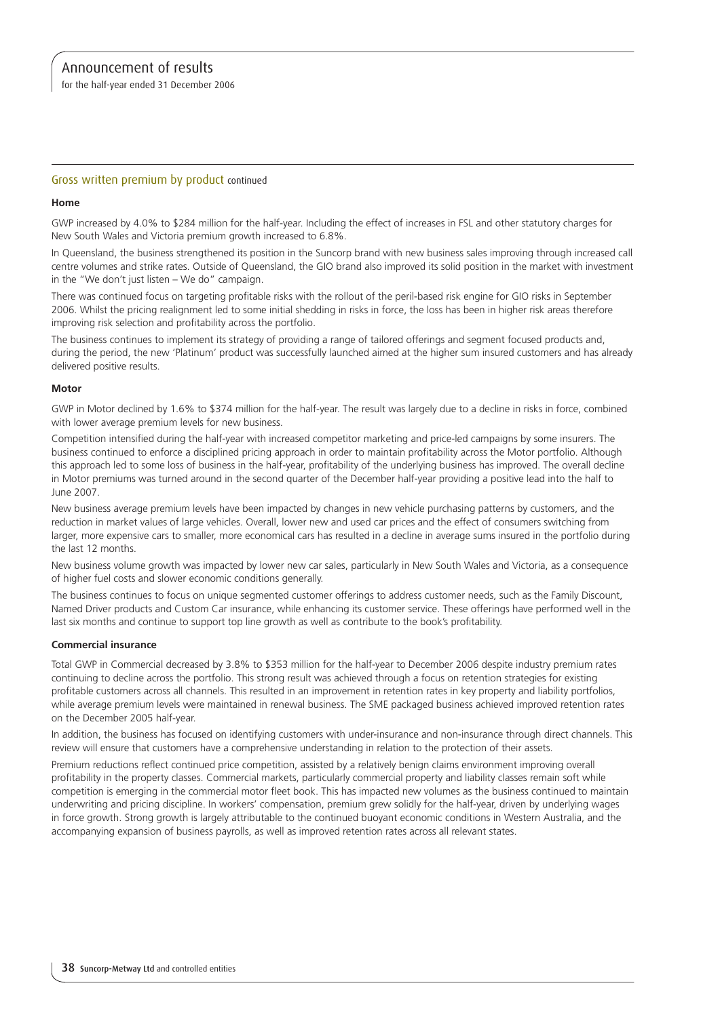for the half-year ended 31 December 2006

## Gross written premium by product continued

#### **Home**

GWP increased by 4.0% to \$284 million for the half-year. Including the effect of increases in FSL and other statutory charges for New South Wales and Victoria premium growth increased to 6.8%.

In Queensland, the business strengthened its position in the Suncorp brand with new business sales improving through increased call centre volumes and strike rates. Outside of Queensland, the GIO brand also improved its solid position in the market with investment in the "We don't just listen – We do" campaign.

There was continued focus on targeting profitable risks with the rollout of the peril-based risk engine for GIO risks in September 2006. Whilst the pricing realignment led to some initial shedding in risks in force, the loss has been in higher risk areas therefore improving risk selection and profitability across the portfolio.

The business continues to implement its strategy of providing a range of tailored offerings and segment focused products and, during the period, the new 'Platinum' product was successfully launched aimed at the higher sum insured customers and has already delivered positive results.

#### **Motor**

GWP in Motor declined by 1.6% to \$374 million for the half-year. The result was largely due to a decline in risks in force, combined with lower average premium levels for new business.

Competition intensified during the half-year with increased competitor marketing and price-led campaigns by some insurers. The business continued to enforce a disciplined pricing approach in order to maintain profitability across the Motor portfolio. Although this approach led to some loss of business in the half-year, profitability of the underlying business has improved. The overall decline in Motor premiums was turned around in the second quarter of the December half-year providing a positive lead into the half to June 2007.

New business average premium levels have been impacted by changes in new vehicle purchasing patterns by customers, and the reduction in market values of large vehicles. Overall, lower new and used car prices and the effect of consumers switching from larger, more expensive cars to smaller, more economical cars has resulted in a decline in average sums insured in the portfolio during the last 12 months.

New business volume growth was impacted by lower new car sales, particularly in New South Wales and Victoria, as a consequence of higher fuel costs and slower economic conditions generally.

The business continues to focus on unique segmented customer offerings to address customer needs, such as the Family Discount, Named Driver products and Custom Car insurance, while enhancing its customer service. These offerings have performed well in the last six months and continue to support top line growth as well as contribute to the book's profitability.

#### **Commercial insurance**

Total GWP in Commercial decreased by 3.8% to \$353 million for the half-year to December 2006 despite industry premium rates continuing to decline across the portfolio. This strong result was achieved through a focus on retention strategies for existing profitable customers across all channels. This resulted in an improvement in retention rates in key property and liability portfolios, while average premium levels were maintained in renewal business. The SME packaged business achieved improved retention rates on the December 2005 half-year.

In addition, the business has focused on identifying customers with under-insurance and non-insurance through direct channels. This review will ensure that customers have a comprehensive understanding in relation to the protection of their assets.

Premium reductions reflect continued price competition, assisted by a relatively benign claims environment improving overall profitability in the property classes. Commercial markets, particularly commercial property and liability classes remain soft while competition is emerging in the commercial motor fleet book. This has impacted new volumes as the business continued to maintain underwriting and pricing discipline. In workers' compensation, premium grew solidly for the half-year, driven by underlying wages in force growth. Strong growth is largely attributable to the continued buoyant economic conditions in Western Australia, and the accompanying expansion of business payrolls, as well as improved retention rates across all relevant states.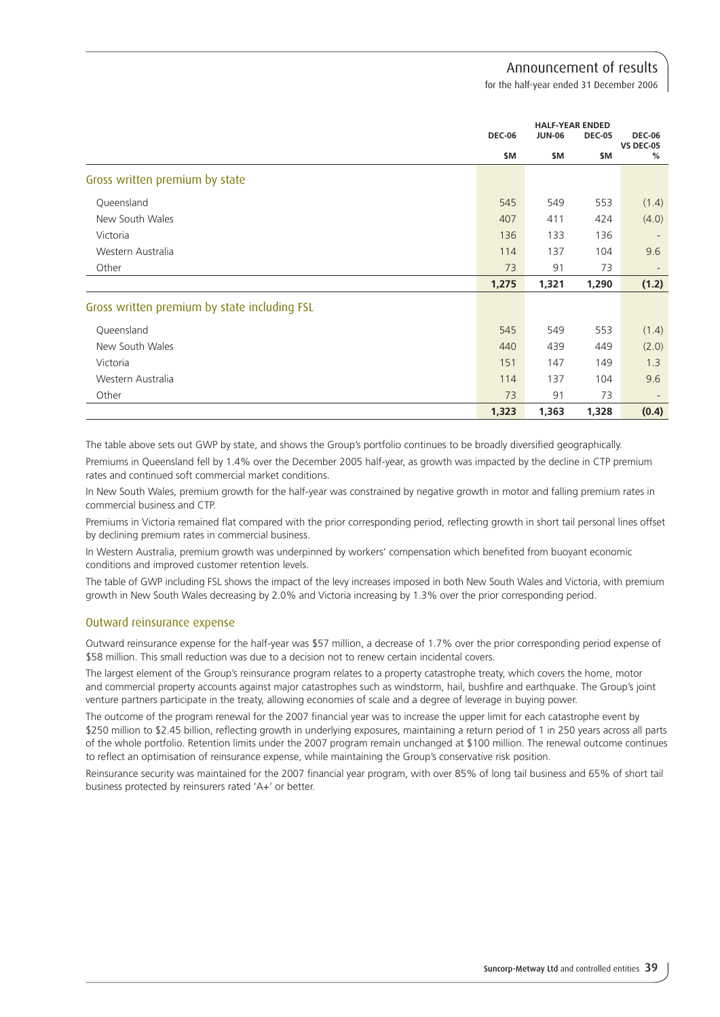for the half-year ended 31 December 2006

|                                              |               | <b>HALF-YEAR ENDED</b> |               |                                   |
|----------------------------------------------|---------------|------------------------|---------------|-----------------------------------|
|                                              | <b>DEC-06</b> | <b>JUN-06</b>          | <b>DEC-05</b> | <b>DEC-06</b><br><b>VS DEC-05</b> |
|                                              | \$M           | \$M                    | \$M           | %                                 |
| Gross written premium by state               |               |                        |               |                                   |
| Queensland                                   | 545           | 549                    | 553           | (1.4)                             |
| New South Wales                              | 407           | 411                    | 424           | (4.0)                             |
| Victoria                                     | 136           | 133                    | 136           | $\overline{\phantom{a}}$          |
| Western Australia                            | 114           | 137                    | 104           | 9.6                               |
| Other                                        | 73            | 91                     | 73            |                                   |
|                                              | 1,275         | 1,321                  | 1,290         | (1.2)                             |
| Gross written premium by state including FSL |               |                        |               |                                   |
| Queensland                                   | 545           | 549                    | 553           | (1.4)                             |
| New South Wales                              | 440           | 439                    | 449           | (2.0)                             |
| Victoria                                     | 151           | 147                    | 149           | 1.3                               |
| Western Australia                            | 114           | 137                    | 104           | 9.6                               |
| Other                                        | 73            | 91                     | 73            |                                   |
|                                              | 1,323         | 1,363                  | 1,328         | (0.4)                             |

The table above sets out GWP by state, and shows the Group's portfolio continues to be broadly diversified geographically. Premiums in Queensland fell by 1.4% over the December 2005 half-year, as growth was impacted by the decline in CTP premium rates and continued soft commercial market conditions.

In New South Wales, premium growth for the half-year was constrained by negative growth in motor and falling premium rates in commercial business and CTP.

Premiums in Victoria remained flat compared with the prior corresponding period, reflecting growth in short tail personal lines offset by declining premium rates in commercial business.

In Western Australia, premium growth was underpinned by workers' compensation which benefited from buoyant economic conditions and improved customer retention levels.

The table of GWP including FSL shows the impact of the levy increases imposed in both New South Wales and Victoria, with premium growth in New South Wales decreasing by 2.0% and Victoria increasing by 1.3% over the prior corresponding period.

## Outward reinsurance expense

Outward reinsurance expense for the half-year was \$57 million, a decrease of 1.7% over the prior corresponding period expense of \$58 million. This small reduction was due to a decision not to renew certain incidental covers.

The largest element of the Group's reinsurance program relates to a property catastrophe treaty, which covers the home, motor and commercial property accounts against major catastrophes such as windstorm, hail, bushfire and earthquake. The Group's joint venture partners participate in the treaty, allowing economies of scale and a degree of leverage in buying power.

The outcome of the program renewal for the 2007 financial year was to increase the upper limit for each catastrophe event by \$250 million to \$2.45 billion, reflecting growth in underlying exposures, maintaining a return period of 1 in 250 years across all parts of the whole portfolio. Retention limits under the 2007 program remain unchanged at \$100 million. The renewal outcome continues to reflect an optimisation of reinsurance expense, while maintaining the Group's conservative risk position.

Reinsurance security was maintained for the 2007 financial year program, with over 85% of long tail business and 65% of short tail business protected by reinsurers rated 'A+' or better.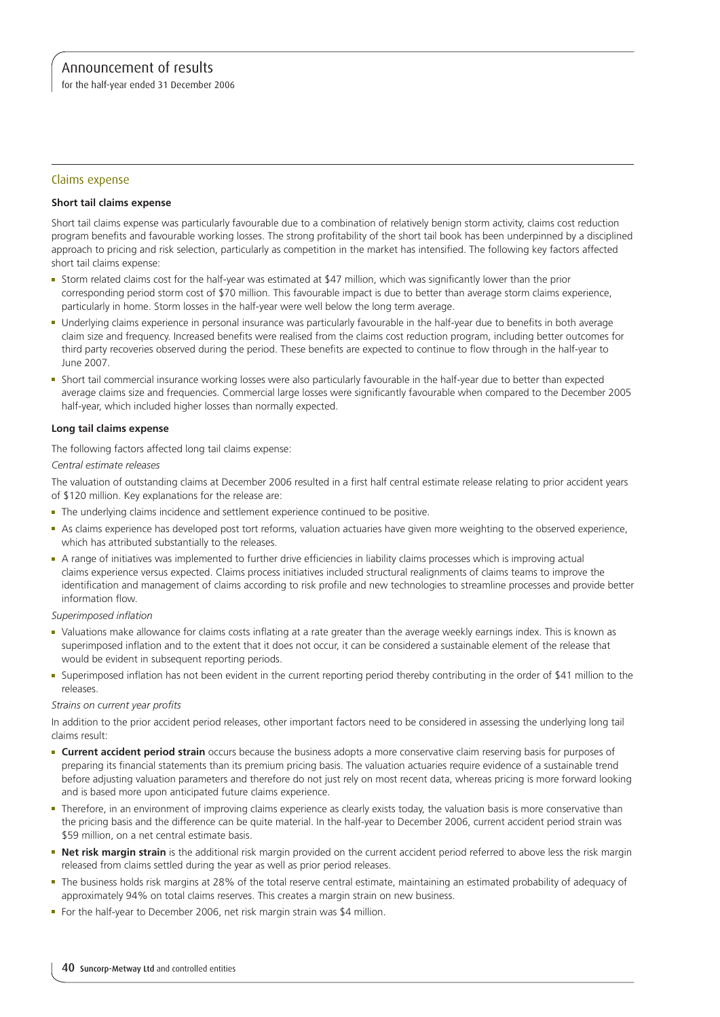for the half-year ended 31 December 2006

## Claims expense

#### **Short tail claims expense**

Short tail claims expense was particularly favourable due to a combination of relatively benign storm activity, claims cost reduction program benefits and favourable working losses. The strong profitability of the short tail book has been underpinned by a disciplined approach to pricing and risk selection, particularly as competition in the market has intensified. The following key factors affected short tail claims expense:

- <sup>n</sup> Storm related claims cost for the half-year was estimated at \$47 million, which was significantly lower than the prior corresponding period storm cost of \$70 million. This favourable impact is due to better than average storm claims experience, particularly in home. Storm losses in the half-year were well below the long term average.
- <sup>n</sup> Underlying claims experience in personal insurance was particularly favourable in the half-year due to benefits in both average claim size and frequency. Increased benefits were realised from the claims cost reduction program, including better outcomes for third party recoveries observed during the period. These benefits are expected to continue to flow through in the half-year to June 2007.
- <sup>n</sup> Short tail commercial insurance working losses were also particularly favourable in the half-year due to better than expected average claims size and frequencies. Commercial large losses were significantly favourable when compared to the December 2005 half-year, which included higher losses than normally expected.

#### **Long tail claims expense**

The following factors affected long tail claims expense:

*Central estimate releases*

The valuation of outstanding claims at December 2006 resulted in a first half central estimate release relating to prior accident years of \$120 million. Key explanations for the release are:

- **n** The underlying claims incidence and settlement experience continued to be positive.
- <sup>n</sup> As claims experience has developed post tort reforms, valuation actuaries have given more weighting to the observed experience, which has attributed substantially to the releases.
- <sup>n</sup> A range of initiatives was implemented to further drive efficiencies in liability claims processes which is improving actual claims experience versus expected. Claims process initiatives included structural realignments of claims teams to improve the identification and management of claims according to risk profile and new technologies to streamline processes and provide better information flow.

*Superimposed inflation* 

- <sup>n</sup> Valuations make allowance for claims costs inflating at a rate greater than the average weekly earnings index. This is known as superimposed inflation and to the extent that it does not occur, it can be considered a sustainable element of the release that would be evident in subsequent reporting periods.
- <sup>n</sup> Superimposed inflation has not been evident in the current reporting period thereby contributing in the order of \$41 million to the releases.

#### *Strains on current year profits*

In addition to the prior accident period releases, other important factors need to be considered in assessing the underlying long tail claims result:

- **Current accident period strain** occurs because the business adopts a more conservative claim reserving basis for purposes of preparing its financial statements than its premium pricing basis. The valuation actuaries require evidence of a sustainable trend before adjusting valuation parameters and therefore do not just rely on most recent data, whereas pricing is more forward looking and is based more upon anticipated future claims experience.
- Therefore, in an environment of improving claims experience as clearly exists today, the valuation basis is more conservative than the pricing basis and the difference can be quite material. In the half-year to December 2006, current accident period strain was \$59 million, on a net central estimate basis.
- Net risk margin strain is the additional risk margin provided on the current accident period referred to above less the risk margin released from claims settled during the year as well as prior period releases.
- The business holds risk margins at 28% of the total reserve central estimate, maintaining an estimated probability of adequacy of approximately 94% on total claims reserves. This creates a margin strain on new business.
- For the half-year to December 2006, net risk margin strain was \$4 million.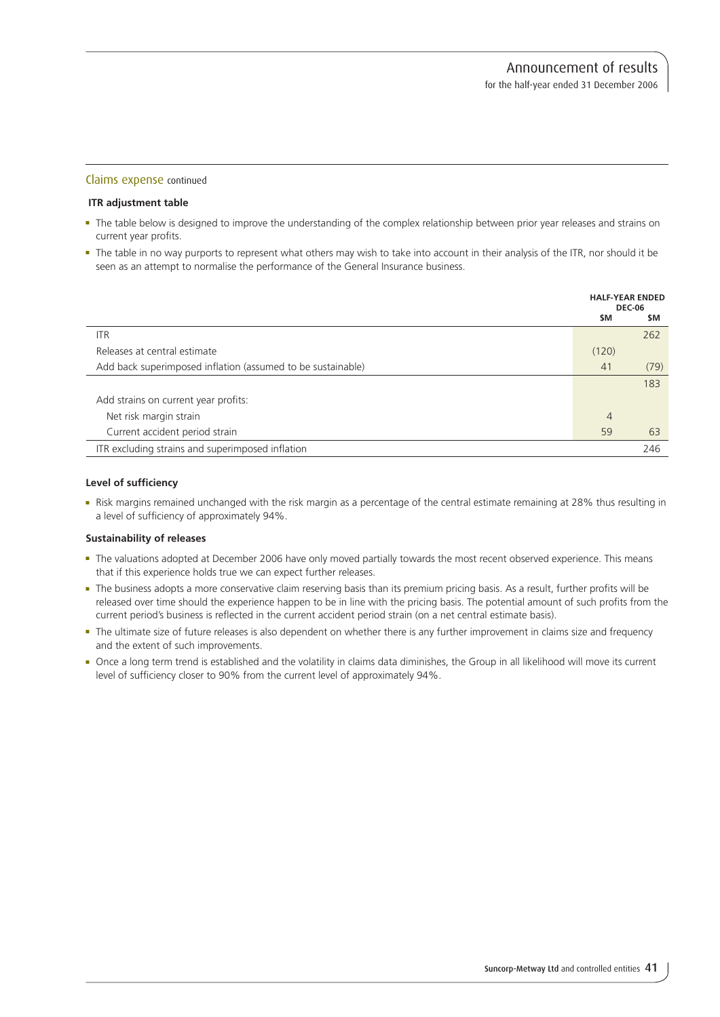#### Claims expense continued

#### **ITR adjustment table**

- <sup>n</sup> The table below is designed to improve the understanding of the complex relationship between prior year releases and strains on current year profits.
- <sup>n</sup> The table in no way purports to represent what others may wish to take into account in their analysis of the ITR, nor should it be seen as an attempt to normalise the performance of the General Insurance business.

|                                                             |       | <b>HALF-YEAR ENDED</b><br><b>DEC-06</b> |
|-------------------------------------------------------------|-------|-----------------------------------------|
|                                                             | \$M   | \$M                                     |
| ITR                                                         |       | 262                                     |
| Releases at central estimate                                | (120) |                                         |
| Add back superimposed inflation (assumed to be sustainable) | 41    | (79)                                    |
|                                                             |       | 183                                     |
| Add strains on current year profits:                        |       |                                         |
| Net risk margin strain                                      | 4     |                                         |
| Current accident period strain                              | 59    | 63                                      |
| ITR excluding strains and superimposed inflation            |       | 246                                     |

#### **Level of sufficiency**

<sup>n</sup> Risk margins remained unchanged with the risk margin as a percentage of the central estimate remaining at 28% thus resulting in a level of sufficiency of approximately 94%.

#### **Sustainability of releases**

- <sup>n</sup> The valuations adopted at December 2006 have only moved partially towards the most recent observed experience. This means that if this experience holds true we can expect further releases.
- <sup>n</sup> The business adopts a more conservative claim reserving basis than its premium pricing basis. As a result, further profits will be released over time should the experience happen to be in line with the pricing basis. The potential amount of such profits from the current period's business is reflected in the current accident period strain (on a net central estimate basis).
- <sup>n</sup> The ultimate size of future releases is also dependent on whether there is any further improvement in claims size and frequency and the extent of such improvements.
- <sup>n</sup> Once a long term trend is established and the volatility in claims data diminishes, the Group in all likelihood will move its current level of sufficiency closer to 90% from the current level of approximately 94%.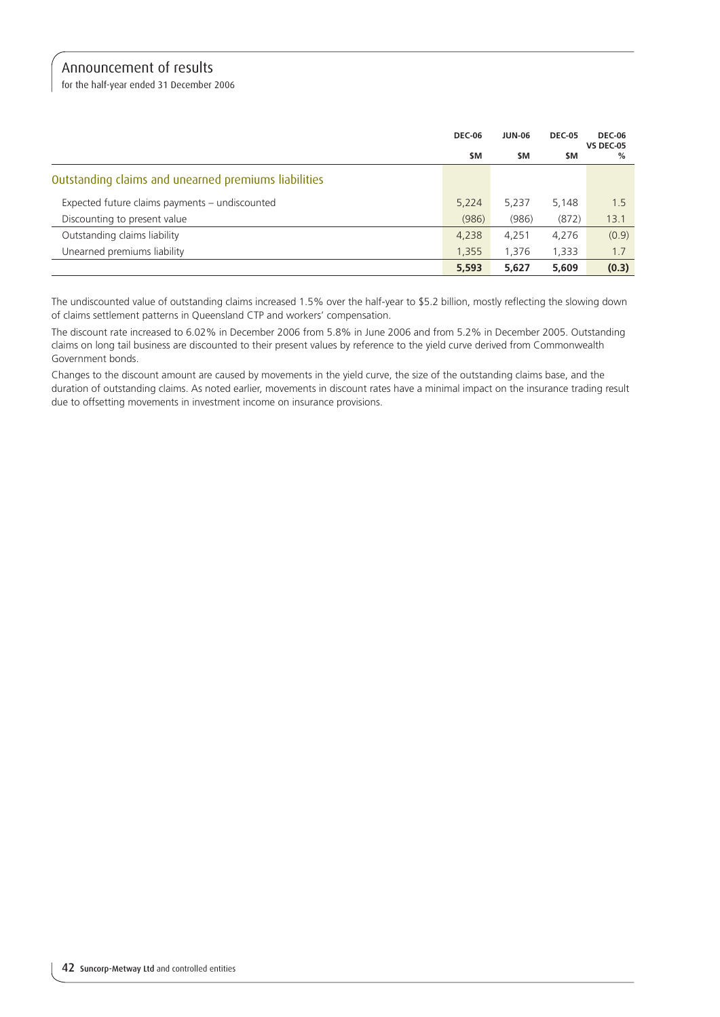for the half-year ended 31 December 2006

|                                                      | <b>DEC-06</b> | <b>JUN-06</b> | <b>DEC-05</b> | <b>DEC-06</b><br><b>VS DEC-05</b> |
|------------------------------------------------------|---------------|---------------|---------------|-----------------------------------|
|                                                      | \$M           | <b>SM</b>     | \$M           | %                                 |
| Outstanding claims and unearned premiums liabilities |               |               |               |                                   |
| Expected future claims payments – undiscounted       | 5,224         | 5,237         | 5,148         | 1.5                               |
| Discounting to present value                         | (986)         | (986)         | (872)         | 13.1                              |
| Outstanding claims liability                         | 4,238         | 4,251         | 4,276         | (0.9)                             |
| Unearned premiums liability                          | 1,355         | 1,376         | 1,333         | 1.7                               |
|                                                      | 5,593         | 5,627         | 5,609         | (0.3)                             |

The undiscounted value of outstanding claims increased 1.5% over the half-year to \$5.2 billion, mostly reflecting the slowing down of claims settlement patterns in Queensland CTP and workers' compensation.

The discount rate increased to 6.02% in December 2006 from 5.8% in June 2006 and from 5.2% in December 2005. Outstanding claims on long tail business are discounted to their present values by reference to the yield curve derived from Commonwealth Government bonds.

Changes to the discount amount are caused by movements in the yield curve, the size of the outstanding claims base, and the duration of outstanding claims. As noted earlier, movements in discount rates have a minimal impact on the insurance trading result due to offsetting movements in investment income on insurance provisions.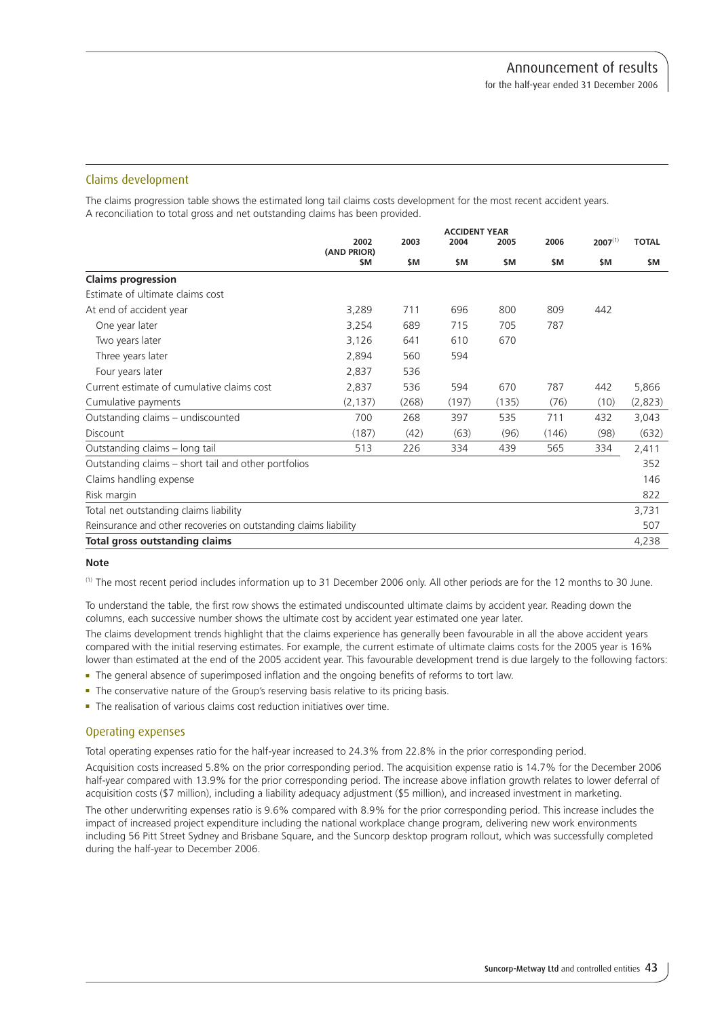# Claims development

The claims progression table shows the estimated long tail claims costs development for the most recent accident years. A reconciliation to total gross and net outstanding claims has been provided.

|                                                                  | <b>ACCIDENT YEAR</b> |       |           |       |       |              |              |
|------------------------------------------------------------------|----------------------|-------|-----------|-------|-------|--------------|--------------|
|                                                                  | 2002<br>(AND PRIOR)  | 2003  | 2004      | 2005  | 2006  | $2007^{(1)}$ | <b>TOTAL</b> |
|                                                                  | \$M                  | \$M   | <b>SM</b> | \$M   | \$M   | \$M          | <b>SM</b>    |
| <b>Claims progression</b>                                        |                      |       |           |       |       |              |              |
| Estimate of ultimate claims cost                                 |                      |       |           |       |       |              |              |
| At end of accident year                                          | 3,289                | 711   | 696       | 800   | 809   | 442          |              |
| One year later                                                   | 3,254                | 689   | 715       | 705   | 787   |              |              |
| Two years later                                                  | 3,126                | 641   | 610       | 670   |       |              |              |
| Three years later                                                | 2,894                | 560   | 594       |       |       |              |              |
| Four years later                                                 | 2,837                | 536   |           |       |       |              |              |
| Current estimate of cumulative claims cost                       | 2,837                | 536   | 594       | 670   | 787   | 442          | 5,866        |
| Cumulative payments                                              | (2, 137)             | (268) | (197)     | (135) | (76)  | (10)         | (2,823)      |
| Outstanding claims - undiscounted                                | 700                  | 268   | 397       | 535   | 711   | 432          | 3,043        |
| <b>Discount</b>                                                  | (187)                | (42)  | (63)      | (96)  | (146) | (98)         | (632)        |
| Outstanding claims - long tail                                   | 513                  | 226   | 334       | 439   | 565   | 334          | 2,411        |
| Outstanding claims – short tail and other portfolios             |                      |       |           |       |       |              | 352          |
| Claims handling expense                                          |                      |       |           |       |       |              | 146          |
| Risk margin                                                      |                      |       |           |       |       |              | 822          |
| Total net outstanding claims liability                           |                      |       |           |       |       |              | 3,731        |
| Reinsurance and other recoveries on outstanding claims liability |                      |       |           |       |       |              | 507          |
| Total gross outstanding claims                                   |                      |       |           |       |       |              | 4,238        |

#### **Note**

(1) The most recent period includes information up to 31 December 2006 only. All other periods are for the 12 months to 30 June.

To understand the table, the first row shows the estimated undiscounted ultimate claims by accident year. Reading down the columns, each successive number shows the ultimate cost by accident year estimated one year later. The claims development trends highlight that the claims experience has generally been favourable in all the above accident years compared with the initial reserving estimates. For example, the current estimate of ultimate claims costs for the 2005 year is 16% lower than estimated at the end of the 2005 accident year. This favourable development trend is due largely to the following factors:

- <sup>n</sup> The general absence of superimposed inflation and the ongoing benefits of reforms to tort law.
- The conservative nature of the Group's reserving basis relative to its pricing basis.
- $\blacksquare$  The realisation of various claims cost reduction initiatives over time.

# Operating expenses

Total operating expenses ratio for the half-year increased to 24.3% from 22.8% in the prior corresponding period.

Acquisition costs increased 5.8% on the prior corresponding period. The acquisition expense ratio is 14.7% for the December 2006 half-year compared with 13.9% for the prior corresponding period. The increase above inflation growth relates to lower deferral of acquisition costs (\$7 million), including a liability adequacy adjustment (\$5 million), and increased investment in marketing.

The other underwriting expenses ratio is 9.6% compared with 8.9% for the prior corresponding period. This increase includes the impact of increased project expenditure including the national workplace change program, delivering new work environments including 56 Pitt Street Sydney and Brisbane Square, and the Suncorp desktop program rollout, which was successfully completed during the half-year to December 2006.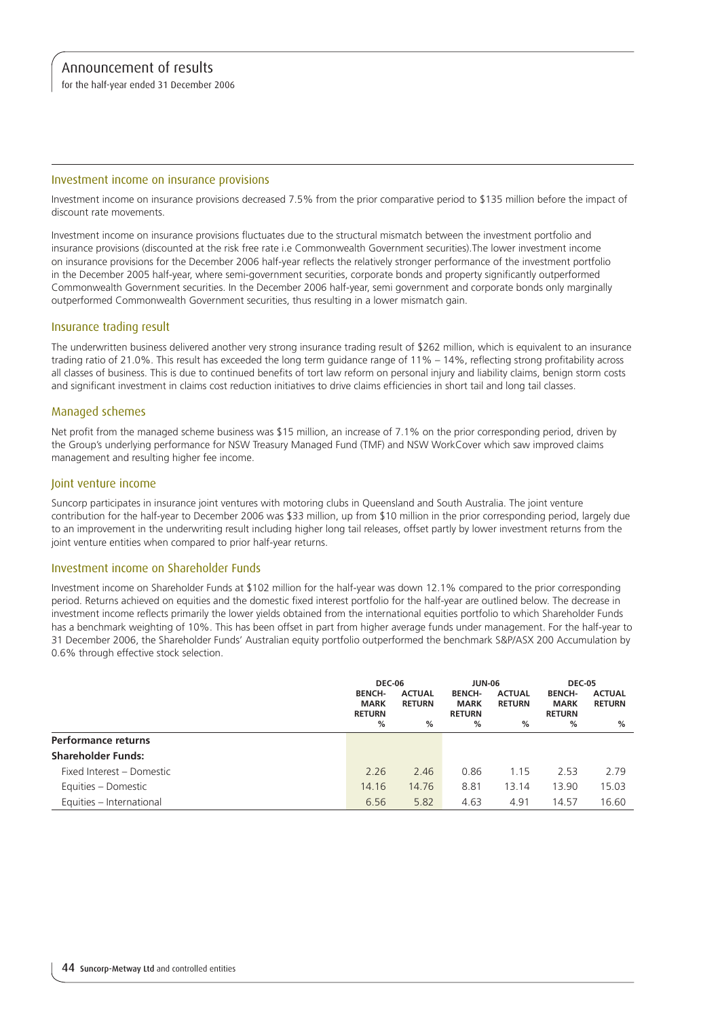for the half-year ended 31 December 2006

#### Investment income on insurance provisions

Investment income on insurance provisions decreased 7.5% from the prior comparative period to \$135 million before the impact of discount rate movements.

Investment income on insurance provisions fluctuates due to the structural mismatch between the investment portfolio and insurance provisions (discounted at the risk free rate i.e Commonwealth Government securities).The lower investment income on insurance provisions for the December 2006 half-year reflects the relatively stronger performance of the investment portfolio in the December 2005 half-year, where semi-government securities, corporate bonds and property significantly outperformed Commonwealth Government securities. In the December 2006 half-year, semi government and corporate bonds only marginally outperformed Commonwealth Government securities, thus resulting in a lower mismatch gain.

### Insurance trading result

The underwritten business delivered another very strong insurance trading result of \$262 million, which is equivalent to an insurance trading ratio of 21.0%. This result has exceeded the long term guidance range of 11% – 14%, reflecting strong profitability across all classes of business. This is due to continued benefits of tort law reform on personal injury and liability claims, benign storm costs and significant investment in claims cost reduction initiatives to drive claims efficiencies in short tail and long tail classes.

## Managed schemes

Net profit from the managed scheme business was \$15 million, an increase of 7.1% on the prior corresponding period, driven by the Group's underlying performance for NSW Treasury Managed Fund (TMF) and NSW WorkCover which saw improved claims management and resulting higher fee income.

#### Joint venture income

Suncorp participates in insurance joint ventures with motoring clubs in Queensland and South Australia. The joint venture contribution for the half-year to December 2006 was \$33 million, up from \$10 million in the prior corresponding period, largely due to an improvement in the underwriting result including higher long tail releases, offset partly by lower investment returns from the joint venture entities when compared to prior half-year returns.

#### Investment income on Shareholder Funds

Investment income on Shareholder Funds at \$102 million for the half-year was down 12.1% compared to the prior corresponding period. Returns achieved on equities and the domestic fixed interest portfolio for the half-year are outlined below. The decrease in investment income reflects primarily the lower yields obtained from the international equities portfolio to which Shareholder Funds has a benchmark weighting of 10%. This has been offset in part from higher average funds under management. For the half-year to 31 December 2006, the Shareholder Funds' Australian equity portfolio outperformed the benchmark S&P/ASX 200 Accumulation by 0.6% through effective stock selection.

|                            | <b>DEC-06</b>                                      |                                     | <b>JUN-06</b>                                      |                                     | <b>DEC-05</b>                                      |                                     |
|----------------------------|----------------------------------------------------|-------------------------------------|----------------------------------------------------|-------------------------------------|----------------------------------------------------|-------------------------------------|
|                            | <b>BENCH-</b><br><b>MARK</b><br><b>RETURN</b><br>% | <b>ACTUAL</b><br><b>RETURN</b><br>% | <b>BENCH-</b><br><b>MARK</b><br><b>RETURN</b><br>% | <b>ACTUAL</b><br><b>RETURN</b><br>% | <b>BENCH-</b><br><b>MARK</b><br><b>RETURN</b><br>% | <b>ACTUAL</b><br><b>RETURN</b><br>% |
| <b>Performance returns</b> |                                                    |                                     |                                                    |                                     |                                                    |                                     |
| <b>Shareholder Funds:</b>  |                                                    |                                     |                                                    |                                     |                                                    |                                     |
| Fixed Interest - Domestic  | 2.26                                               | 2.46                                | 0.86                                               | 1.15                                | 2.53                                               | 2.79                                |
| Equities - Domestic        | 14.16                                              | 14.76                               | 8.81                                               | 13.14                               | 13.90                                              | 15.03                               |
| Equities - International   | 6.56                                               | 5.82                                | 4.63                                               | 4.91                                | 14.57                                              | 16.60                               |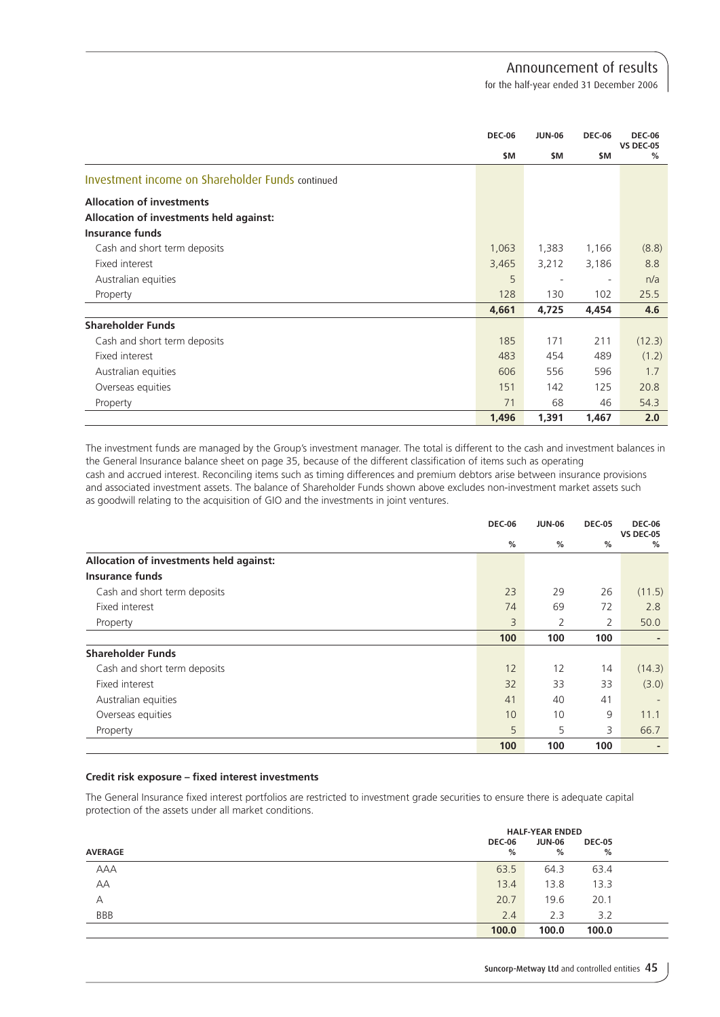for the half-year ended 31 December 2006

|                                                  | <b>DEC-06</b> | <b>JUN-06</b>            | <b>DEC-06</b>            | <b>DEC-06</b>         |
|--------------------------------------------------|---------------|--------------------------|--------------------------|-----------------------|
|                                                  | \$M           | \$M                      | \$M                      | <b>VS DEC-05</b><br>% |
| Investment income on Shareholder Funds continued |               |                          |                          |                       |
| <b>Allocation of investments</b>                 |               |                          |                          |                       |
| Allocation of investments held against:          |               |                          |                          |                       |
| <b>Insurance funds</b>                           |               |                          |                          |                       |
| Cash and short term deposits                     | 1,063         | 1,383                    | 1,166                    | (8.8)                 |
| Fixed interest                                   | 3,465         | 3,212                    | 3,186                    | 8.8                   |
| Australian equities                              | 5             | $\overline{\phantom{a}}$ | $\overline{\phantom{a}}$ | n/a                   |
| Property                                         | 128           | 130                      | 102                      | 25.5                  |
|                                                  | 4,661         | 4,725                    | 4,454                    | 4.6                   |
| <b>Shareholder Funds</b>                         |               |                          |                          |                       |
| Cash and short term deposits                     | 185           | 171                      | 211                      | (12.3)                |
| Fixed interest                                   | 483           | 454                      | 489                      | (1.2)                 |
| Australian equities                              | 606           | 556                      | 596                      | 1.7                   |
| Overseas equities                                | 151           | 142                      | 125                      | 20.8                  |
| Property                                         | 71            | 68                       | 46                       | 54.3                  |
|                                                  | 1,496         | 1,391                    | 1,467                    | 2.0                   |

The investment funds are managed by the Group's investment manager. The total is different to the cash and investment balances in the General Insurance balance sheet on page 35, because of the different classification of items such as operating cash and accrued interest. Reconciling items such as timing differences and premium debtors arise between insurance provisions and associated investment assets. The balance of Shareholder Funds shown above excludes non-investment market assets such as goodwill relating to the acquisition of GIO and the investments in joint ventures.

|                                         | <b>DEC-06</b> | <b>JUN-06</b> | <b>DEC-05</b> | <b>DEC-06</b><br><b>VS DEC-05</b> |
|-----------------------------------------|---------------|---------------|---------------|-----------------------------------|
|                                         | %             | %             | %             | %                                 |
| Allocation of investments held against: |               |               |               |                                   |
| Insurance funds                         |               |               |               |                                   |
| Cash and short term deposits            | 23            | 29            | 26            | (11.5)                            |
| Fixed interest                          | 74            | 69            | 72            | 2.8                               |
| Property                                | 3             | 2             | 2             | 50.0                              |
|                                         | 100           | 100           | 100           |                                   |
| <b>Shareholder Funds</b>                |               |               |               |                                   |
| Cash and short term deposits            | 12            | 12            | 14            | (14.3)                            |
| Fixed interest                          | 32            | 33            | 33            | (3.0)                             |
| Australian equities                     | 41            | 40            | 41            | $\overline{\phantom{a}}$          |
| Overseas equities                       | 10            | 10            | 9             | 11.1                              |
| Property                                | 5             | 5             | 3             | 66.7                              |
|                                         | 100           | 100           | 100           |                                   |

## **Credit risk exposure – fixed interest investments**

The General Insurance fixed interest portfolios are restricted to investment grade securities to ensure there is adequate capital protection of the assets under all market conditions.

|                | <b>HALF-YEAR ENDED</b> |             |                    |  |
|----------------|------------------------|-------------|--------------------|--|
| <b>AVERAGE</b> | <b>DEC-06</b><br>%     | JUN-06<br>% | <b>DEC-05</b><br>% |  |
| AAA            | 63.5                   | 64.3        | 63.4               |  |
| AA             | 13.4                   | 13.8        | 13.3               |  |
| A              | 20.7                   | 19.6        | 20.1               |  |
| <b>BBB</b>     | 2.4                    | 2.3         | 3.2                |  |
|                | 100.0                  | 100.0       | 100.0              |  |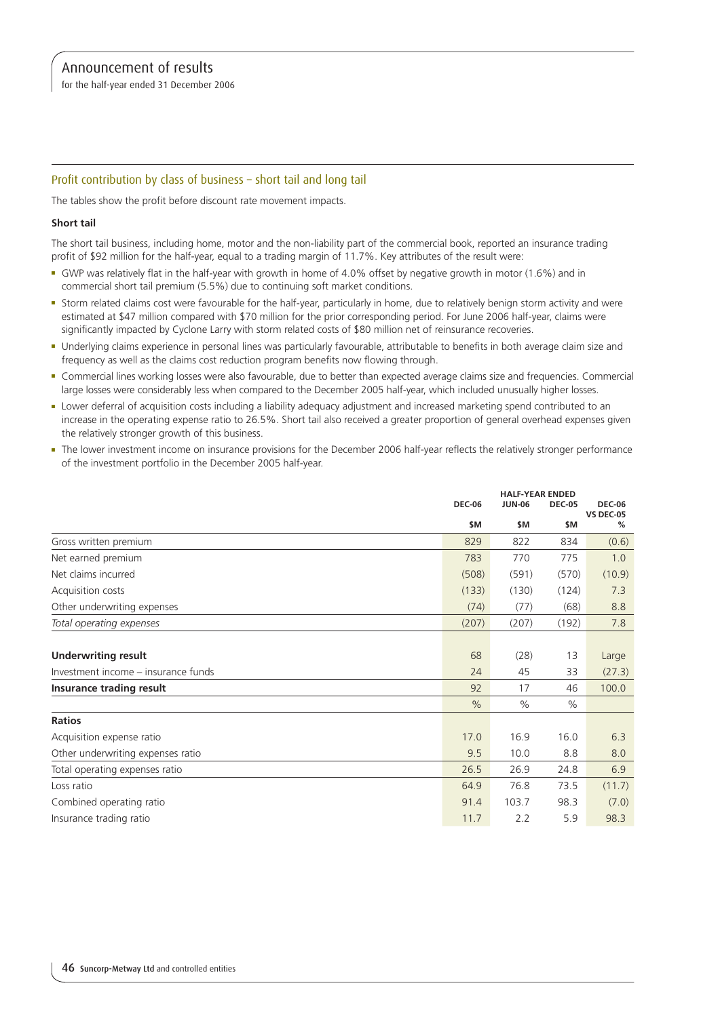for the half-year ended 31 December 2006

# Profit contribution by class of business – short tail and long tail

The tables show the profit before discount rate movement impacts.

#### **Short tail**

The short tail business, including home, motor and the non-liability part of the commercial book, reported an insurance trading profit of \$92 million for the half-year, equal to a trading margin of 11.7%. Key attributes of the result were:

- <sup>n</sup> GWP was relatively flat in the half-year with growth in home of 4.0% offset by negative growth in motor (1.6%) and in commercial short tail premium (5.5%) due to continuing soft market conditions.
- <sup>n</sup> Storm related claims cost were favourable for the half-year, particularly in home, due to relatively benign storm activity and were estimated at \$47 million compared with \$70 million for the prior corresponding period. For June 2006 half-year, claims were significantly impacted by Cyclone Larry with storm related costs of \$80 million net of reinsurance recoveries.
- <sup>n</sup> Underlying claims experience in personal lines was particularly favourable, attributable to benefits in both average claim size and frequency as well as the claims cost reduction program benefits now flowing through.
- <sup>n</sup> Commercial lines working losses were also favourable, due to better than expected average claims size and frequencies. Commercial large losses were considerably less when compared to the December 2005 half-year, which included unusually higher losses.
- <sup>n</sup> Lower deferral of acquisition costs including a liability adequacy adjustment and increased marketing spend contributed to an increase in the operating expense ratio to 26.5%. Short tail also received a greater proportion of general overhead expenses given the relatively stronger growth of this business.
- <sup>n</sup> The lower investment income on insurance provisions for the December 2006 half-year reflects the relatively stronger performance of the investment portfolio in the December 2005 half-year.

|                                     |               | <b>HALF-YEAR ENDED</b> |               |                                   |
|-------------------------------------|---------------|------------------------|---------------|-----------------------------------|
|                                     | <b>DEC-06</b> | <b>JUN-06</b>          | <b>DEC-05</b> | <b>DEC-06</b><br><b>VS DEC-05</b> |
|                                     | \$M           | \$M                    | \$M           | %                                 |
| Gross written premium               | 829           | 822                    | 834           | (0.6)                             |
| Net earned premium                  | 783           | 770                    | 775           | 1.0                               |
| Net claims incurred                 | (508)         | (591)                  | (570)         | (10.9)                            |
| Acquisition costs                   | (133)         | (130)                  | (124)         | 7.3                               |
| Other underwriting expenses         | (74)          | (77)                   | (68)          | 8.8                               |
| Total operating expenses            | (207)         | (207)                  | (192)         | 7.8                               |
|                                     |               |                        |               |                                   |
| <b>Underwriting result</b>          | 68            | (28)                   | 13            | Large                             |
| Investment income – insurance funds | 24            | 45                     | 33            | (27.3)                            |
| Insurance trading result            | 92            | 17                     | 46            | 100.0                             |
|                                     | $\frac{0}{0}$ | $\%$                   | $\frac{0}{0}$ |                                   |
| <b>Ratios</b>                       |               |                        |               |                                   |
| Acquisition expense ratio           | 17.0          | 16.9                   | 16.0          | 6.3                               |
| Other underwriting expenses ratio   | 9.5           | 10.0                   | 8.8           | 8.0                               |
| Total operating expenses ratio      | 26.5          | 26.9                   | 24.8          | 6.9                               |
| Loss ratio                          | 64.9          | 76.8                   | 73.5          | (11.7)                            |
| Combined operating ratio            | 91.4          | 103.7                  | 98.3          | (7.0)                             |
| Insurance trading ratio             | 11.7          | 2.2                    | 5.9           | 98.3                              |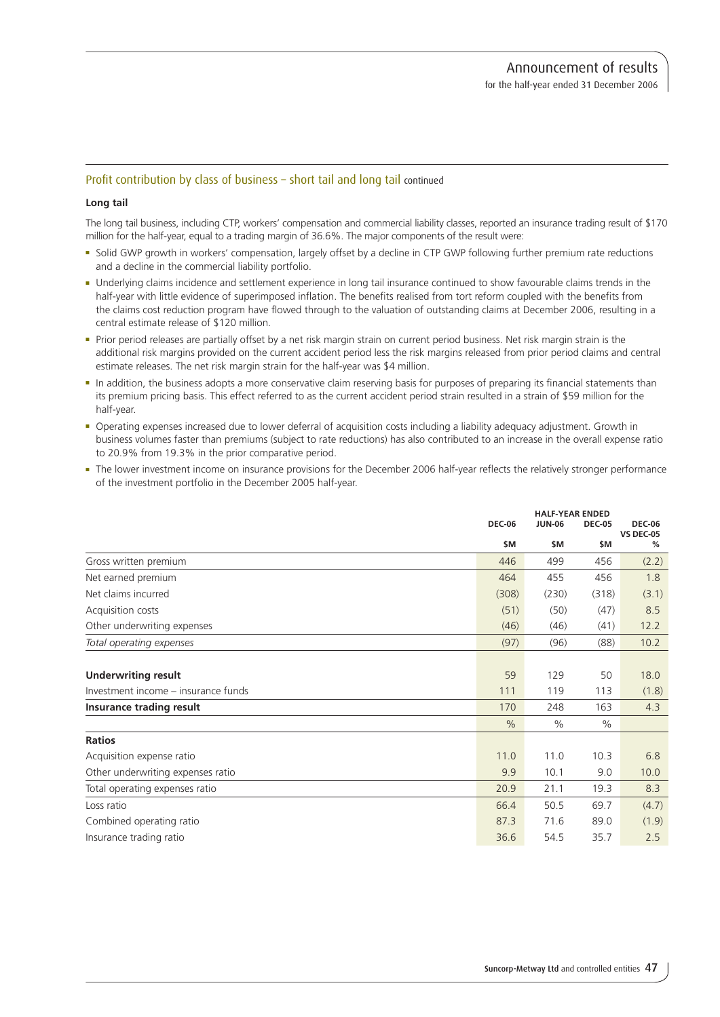## Profit contribution by class of business – short tail and long tail continued

#### **Long tail**

The long tail business, including CTP, workers' compensation and commercial liability classes, reported an insurance trading result of \$170 million for the half-year, equal to a trading margin of 36.6%. The major components of the result were:

- <sup>n</sup> Solid GWP growth in workers' compensation, largely offset by a decline in CTP GWP following further premium rate reductions and a decline in the commercial liability portfolio.
- <sup>n</sup> Underlying claims incidence and settlement experience in long tail insurance continued to show favourable claims trends in the half-year with little evidence of superimposed inflation. The benefits realised from tort reform coupled with the benefits from the claims cost reduction program have flowed through to the valuation of outstanding claims at December 2006, resulting in a central estimate release of \$120 million.
- <sup>n</sup> Prior period releases are partially offset by a net risk margin strain on current period business. Net risk margin strain is the additional risk margins provided on the current accident period less the risk margins released from prior period claims and central estimate releases. The net risk margin strain for the half-year was \$4 million.
- n In addition, the business adopts a more conservative claim reserving basis for purposes of preparing its financial statements than its premium pricing basis. This effect referred to as the current accident period strain resulted in a strain of \$59 million for the half-year.
- <sup>n</sup> Operating expenses increased due to lower deferral of acquisition costs including a liability adequacy adjustment. Growth in business volumes faster than premiums (subject to rate reductions) has also contributed to an increase in the overall expense ratio to 20.9% from 19.3% in the prior comparative period.
- <sup>n</sup> The lower investment income on insurance provisions for the December 2006 half-year reflects the relatively stronger performance of the investment portfolio in the December 2005 half-year.

|                                     |               | <b>HALF-YEAR ENDED</b> |               |                                   |  |
|-------------------------------------|---------------|------------------------|---------------|-----------------------------------|--|
|                                     | <b>DEC-06</b> | <b>JUN-06</b>          | <b>DEC-05</b> | <b>DEC-06</b><br><b>VS DEC-05</b> |  |
|                                     | \$M           | \$M                    | \$M           | %                                 |  |
| Gross written premium               | 446           | 499                    | 456           | (2.2)                             |  |
| Net earned premium                  | 464           | 455                    | 456           | 1.8                               |  |
| Net claims incurred                 | (308)         | (230)                  | (318)         | (3.1)                             |  |
| Acquisition costs                   | (51)          | (50)                   | (47)          | 8.5                               |  |
| Other underwriting expenses         | (46)          | (46)                   | (41)          | 12.2                              |  |
| Total operating expenses            | (97)          | (96)                   | (88)          | 10.2                              |  |
|                                     |               |                        |               |                                   |  |
| <b>Underwriting result</b>          | 59            | 129                    | 50            | 18.0                              |  |
| Investment income - insurance funds | 111           | 119                    | 113           | (1.8)                             |  |
| Insurance trading result            | 170           | 248                    | 163           | 4.3                               |  |
|                                     | $\frac{0}{0}$ | $\%$                   | $\frac{0}{0}$ |                                   |  |
| <b>Ratios</b>                       |               |                        |               |                                   |  |
| Acquisition expense ratio           | 11.0          | 11.0                   | 10.3          | 6.8                               |  |
| Other underwriting expenses ratio   | 9.9           | 10.1                   | 9.0           | 10.0                              |  |
| Total operating expenses ratio      | 20.9          | 21.1                   | 19.3          | 8.3                               |  |
| Loss ratio                          | 66.4          | 50.5                   | 69.7          | (4.7)                             |  |
| Combined operating ratio            | 87.3          | 71.6                   | 89.0          | (1.9)                             |  |
| Insurance trading ratio             | 36.6          | 54.5                   | 35.7          | 2.5                               |  |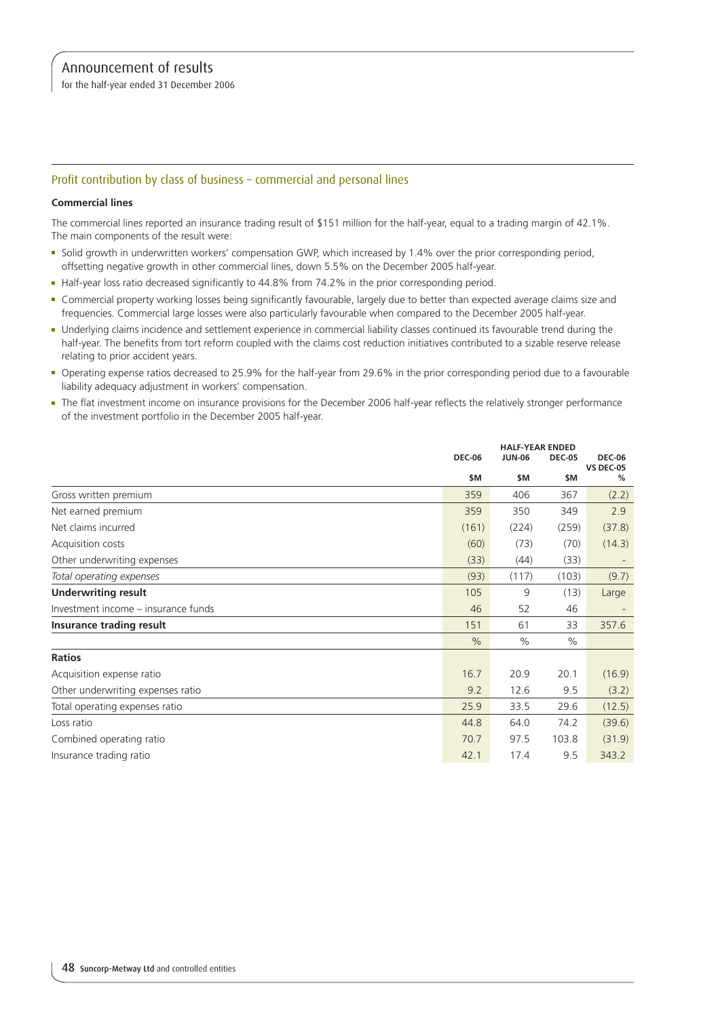for the half-year ended 31 December 2006

# Profit contribution by class of business – commercial and personal lines

### **Commercial lines**

The commercial lines reported an insurance trading result of \$151 million for the half-year, equal to a trading margin of 42.1%. The main components of the result were:

- <sup>n</sup> Solid growth in underwritten workers' compensation GWP, which increased by 1.4% over the prior corresponding period, offsetting negative growth in other commercial lines, down 5.5% on the December 2005 half-year.
- Half-year loss ratio decreased significantly to 44.8% from 74.2% in the prior corresponding period.
- <sup>n</sup> Commercial property working losses being significantly favourable, largely due to better than expected average claims size and frequencies. Commercial large losses were also particularly favourable when compared to the December 2005 half-year.
- <sup>n</sup> Underlying claims incidence and settlement experience in commercial liability classes continued its favourable trend during the half-year. The benefits from tort reform coupled with the claims cost reduction initiatives contributed to a sizable reserve release relating to prior accident years.
- <sup>n</sup> Operating expense ratios decreased to 25.9% for the half-year from 29.6% in the prior corresponding period due to a favourable liability adequacy adjustment in workers' compensation.
- <sup>n</sup> The flat investment income on insurance provisions for the December 2006 half-year reflects the relatively stronger performance of the investment portfolio in the December 2005 half-year.

|                                     |               | <b>HALF-YEAR ENDED</b> |               |                                   |
|-------------------------------------|---------------|------------------------|---------------|-----------------------------------|
|                                     | <b>DEC-06</b> | <b>JUN-06</b>          | <b>DEC-05</b> | <b>DEC-06</b><br><b>VS DEC-05</b> |
|                                     | \$M           | \$M                    | \$M           | %                                 |
| Gross written premium               | 359           | 406                    | 367           | (2.2)                             |
| Net earned premium                  | 359           | 350                    | 349           | 2.9                               |
| Net claims incurred                 | (161)         | (224)                  | (259)         | (37.8)                            |
| Acquisition costs                   | (60)          | (73)                   | (70)          | (14.3)                            |
| Other underwriting expenses         | (33)          | (44)                   | (33)          |                                   |
| Total operating expenses            | (93)          | (117)                  | (103)         | (9.7)                             |
| <b>Underwriting result</b>          | 105           | 9                      | (13)          | Large                             |
| Investment income – insurance funds | 46            | 52                     | 46            |                                   |
| Insurance trading result            | 151           | 61                     | 33            | 357.6                             |
|                                     | $\frac{0}{0}$ | $\%$                   | $\frac{0}{0}$ |                                   |
| <b>Ratios</b>                       |               |                        |               |                                   |
| Acquisition expense ratio           | 16.7          | 20.9                   | 20.1          | (16.9)                            |
| Other underwriting expenses ratio   | 9.2           | 12.6                   | 9.5           | (3.2)                             |
| Total operating expenses ratio      | 25.9          | 33.5                   | 29.6          | (12.5)                            |
| Loss ratio                          | 44.8          | 64.0                   | 74.2          | (39.6)                            |
| Combined operating ratio            | 70.7          | 97.5                   | 103.8         | (31.9)                            |
| Insurance trading ratio             | 42.1          | 17.4                   | 9.5           | 343.2                             |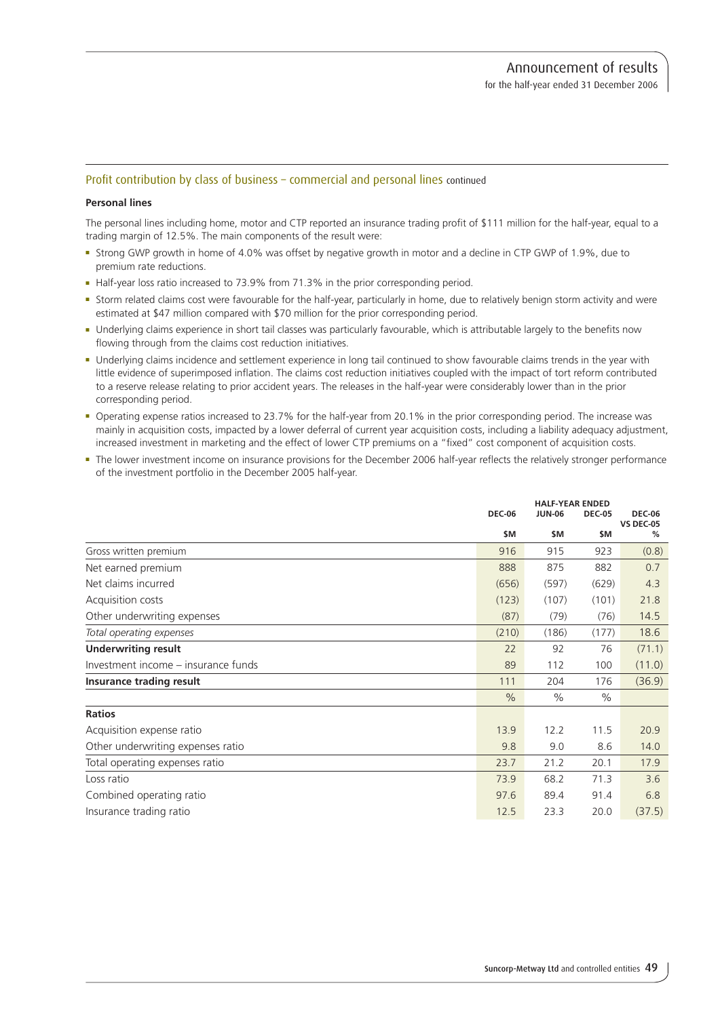## Profit contribution by class of business – commercial and personal lines continued

#### **Personal lines**

The personal lines including home, motor and CTP reported an insurance trading profit of \$111 million for the half-year, equal to a trading margin of 12.5%. The main components of the result were:

- <sup>n</sup> Strong GWP growth in home of 4.0% was offset by negative growth in motor and a decline in CTP GWP of 1.9%, due to premium rate reductions.
- Half-year loss ratio increased to 73.9% from 71.3% in the prior corresponding period.
- <sup>n</sup> Storm related claims cost were favourable for the half-year, particularly in home, due to relatively benign storm activity and were estimated at \$47 million compared with \$70 million for the prior corresponding period.
- <sup>n</sup> Underlying claims experience in short tail classes was particularly favourable, which is attributable largely to the benefits now flowing through from the claims cost reduction initiatives.
- <sup>n</sup> Underlying claims incidence and settlement experience in long tail continued to show favourable claims trends in the year with little evidence of superimposed inflation. The claims cost reduction initiatives coupled with the impact of tort reform contributed to a reserve release relating to prior accident years. The releases in the half-year were considerably lower than in the prior corresponding period.
- <sup>n</sup> Operating expense ratios increased to 23.7% for the half-year from 20.1% in the prior corresponding period. The increase was mainly in acquisition costs, impacted by a lower deferral of current year acquisition costs, including a liability adequacy adjustment, increased investment in marketing and the effect of lower CTP premiums on a "fixed" cost component of acquisition costs.
- <sup>n</sup> The lower investment income on insurance provisions for the December 2006 half-year reflects the relatively stronger performance of the investment portfolio in the December 2005 half-year.

|                                     | <b>HALF-YEAR ENDED</b> |               |               |                                   |
|-------------------------------------|------------------------|---------------|---------------|-----------------------------------|
|                                     | <b>DEC-06</b>          | <b>JUN-06</b> | <b>DEC-05</b> | <b>DEC-06</b><br><b>VS DEC-05</b> |
|                                     | \$M                    | \$M           | \$M           | %                                 |
| Gross written premium               | 916                    | 915           | 923           | (0.8)                             |
| Net earned premium                  | 888                    | 875           | 882           | 0.7                               |
| Net claims incurred                 | (656)                  | (597)         | (629)         | 4.3                               |
| Acquisition costs                   | (123)                  | (107)         | (101)         | 21.8                              |
| Other underwriting expenses         | (87)                   | (79)          | (76)          | 14.5                              |
| Total operating expenses            | (210)                  | (186)         | (177)         | 18.6                              |
| <b>Underwriting result</b>          | 22                     | 92            | 76            | (71.1)                            |
| Investment income - insurance funds | 89                     | 112           | 100           | (11.0)                            |
| Insurance trading result            | 111                    | 204           | 176           | (36.9)                            |
|                                     | $\frac{0}{0}$          | $\%$          | $\frac{0}{0}$ |                                   |
| <b>Ratios</b>                       |                        |               |               |                                   |
| Acquisition expense ratio           | 13.9                   | 12.2          | 11.5          | 20.9                              |
| Other underwriting expenses ratio   | 9.8                    | 9.0           | 8.6           | 14.0                              |
| Total operating expenses ratio      | 23.7                   | 21.2          | 20.1          | 17.9                              |
| Loss ratio                          | 73.9                   | 68.2          | 71.3          | 3.6                               |
| Combined operating ratio            | 97.6                   | 89.4          | 91.4          | 6.8                               |
| Insurance trading ratio             | 12.5                   | 23.3          | 20.0          | (37.5)                            |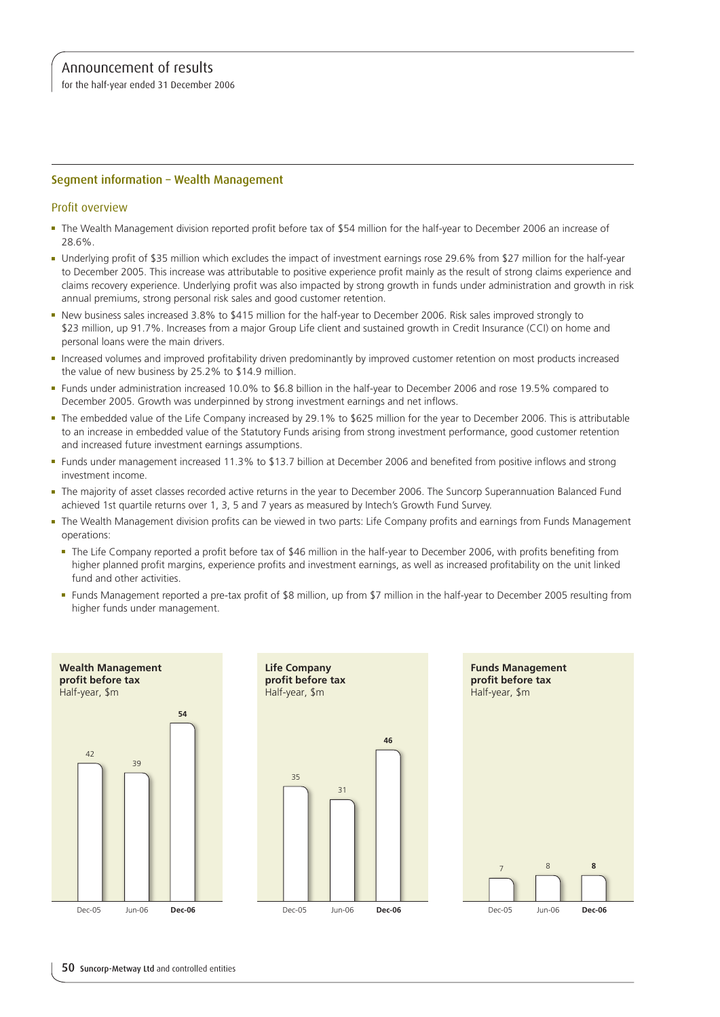for the half-year ended 31 December 2006

## Segment information – Wealth Management

## Profit overview

- <sup>n</sup> The Wealth Management division reported profit before tax of \$54 million for the half-year to December 2006 an increase of 28.6%.
- <sup>n</sup> Underlying profit of \$35 million which excludes the impact of investment earnings rose 29.6% from \$27 million for the half-year to December 2005. This increase was attributable to positive experience profit mainly as the result of strong claims experience and claims recovery experience. Underlying profit was also impacted by strong growth in funds under administration and growth in risk annual premiums, strong personal risk sales and good customer retention.
- <sup>n</sup> New business sales increased 3.8% to \$415 million for the half-year to December 2006. Risk sales improved strongly to \$23 million, up 91.7%. Increases from a major Group Life client and sustained growth in Credit Insurance (CCI) on home and personal loans were the main drivers.
- n Increased volumes and improved profitability driven predominantly by improved customer retention on most products increased the value of new business by 25.2% to \$14.9 million.
- <sup>n</sup> Funds under administration increased 10.0% to \$6.8 billion in the half-year to December 2006 and rose 19.5% compared to December 2005. Growth was underpinned by strong investment earnings and net inflows.
- <sup>n</sup> The embedded value of the Life Company increased by 29.1% to \$625 million for the year to December 2006. This is attributable to an increase in embedded value of the Statutory Funds arising from strong investment performance, good customer retention and increased future investment earnings assumptions.
- <sup>n</sup> Funds under management increased 11.3% to \$13.7 billion at December 2006 and benefited from positive inflows and strong investment income.
- <sup>n</sup> The majority of asset classes recorded active returns in the year to December 2006. The Suncorp Superannuation Balanced Fund achieved 1st quartile returns over 1, 3, 5 and 7 years as measured by Intech's Growth Fund Survey.
- The Wealth Management division profits can be viewed in two parts: Life Company profits and earnings from Funds Management operations:
	- <sup>n</sup> The Life Company reported a profit before tax of \$46 million in the half-year to December 2006, with profits benefiting from higher planned profit margins, experience profits and investment earnings, as well as increased profitability on the unit linked fund and other activities.
	- <sup>n</sup> Funds Management reported a pre-tax profit of \$8 million, up from \$7 million in the half-year to December 2005 resulting from higher funds under management.



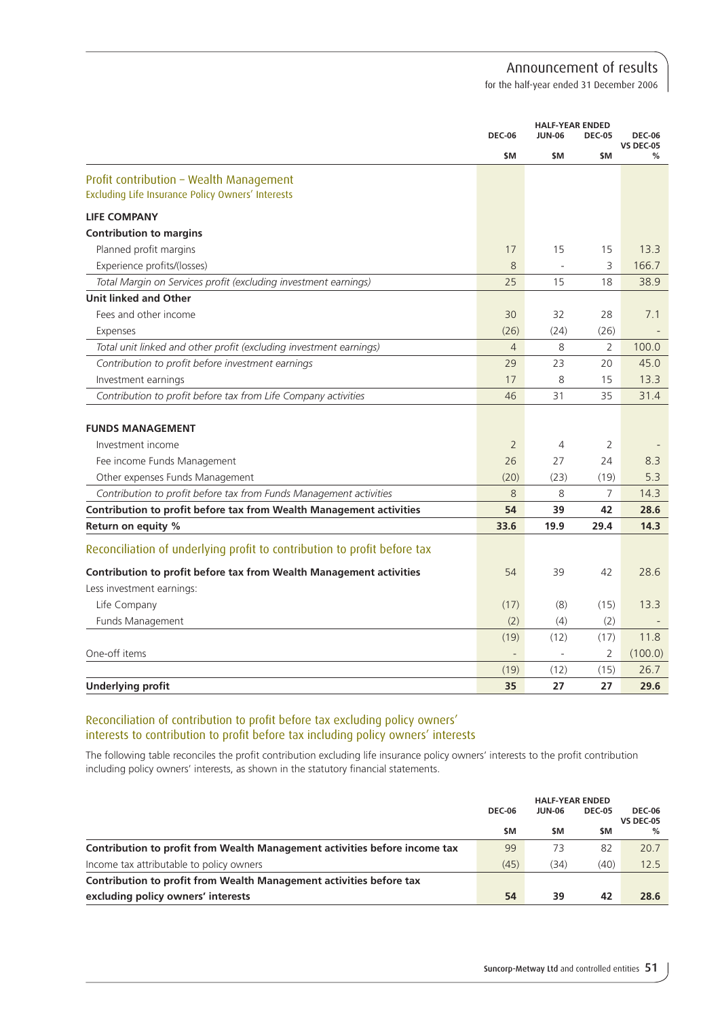for the half-year ended 31 December 2006

|                                                                          |                | <b>HALF-YEAR ENDED</b> |                |                                   |
|--------------------------------------------------------------------------|----------------|------------------------|----------------|-----------------------------------|
|                                                                          | <b>DEC-06</b>  | <b>JUN-06</b>          | <b>DEC-05</b>  | <b>DEC-06</b><br><b>VS DEC-05</b> |
|                                                                          | \$M            | <b>SM</b>              | \$M            | %                                 |
| Profit contribution - Wealth Management                                  |                |                        |                |                                   |
| Excluding Life Insurance Policy Owners' Interests                        |                |                        |                |                                   |
| <b>LIFE COMPANY</b>                                                      |                |                        |                |                                   |
| <b>Contribution to margins</b>                                           |                |                        |                |                                   |
| Planned profit margins                                                   | 17             | 15                     | 15             | 13.3                              |
| Experience profits/(losses)                                              | 8              |                        | 3              | 166.7                             |
| Total Margin on Services profit (excluding investment earnings)          | 25             | 15                     | 18             | 38.9                              |
| Unit linked and Other                                                    |                |                        |                |                                   |
| Fees and other income                                                    | 30             | 32                     | 28             | 7.1                               |
| Expenses                                                                 | (26)           | (24)                   | (26)           |                                   |
| Total unit linked and other profit (excluding investment earnings)       | $\overline{4}$ | 8                      | $\overline{2}$ | 100.0                             |
| Contribution to profit before investment earnings                        | 29             | 23                     | 20             | 45.0                              |
| Investment earnings                                                      | 17             | 8                      | 15             | 13.3                              |
| Contribution to profit before tax from Life Company activities           | 46             | 31                     | 35             | 31.4                              |
|                                                                          |                |                        |                |                                   |
| <b>FUNDS MANAGEMENT</b>                                                  |                |                        |                |                                   |
| Investment income                                                        | $\overline{2}$ | 4                      | 2              |                                   |
| Fee income Funds Management                                              | 26             | 27                     | 24             | 8.3                               |
| Other expenses Funds Management                                          | (20)           | (23)                   | (19)           | 5.3                               |
| Contribution to profit before tax from Funds Management activities       | 8              | 8                      | 7              | 14.3                              |
| Contribution to profit before tax from Wealth Management activities      | 54             | 39                     | 42             | 28.6                              |
| Return on equity %                                                       | 33.6           | 19.9                   | 29.4           | 14.3                              |
| Reconciliation of underlying profit to contribution to profit before tax |                |                        |                |                                   |
| Contribution to profit before tax from Wealth Management activities      | 54             | 39                     | 42             | 28.6                              |
| Less investment earnings:                                                |                |                        |                |                                   |
| Life Company                                                             | (17)           | (8)                    | (15)           | 13.3                              |
| Funds Management                                                         | (2)            | (4)                    | (2)            |                                   |
|                                                                          | (19)           | (12)                   | (17)           | 11.8                              |
| One-off items                                                            |                | ÷,                     | 2              | (100.0)                           |
|                                                                          | (19)           | (12)                   | (15)           | 26.7                              |
| <b>Underlying profit</b>                                                 | 35             | 27                     | 27             | 29.6                              |

# Reconciliation of contribution to profit before tax excluding policy owners' interests to contribution to profit before tax including policy owners' interests

The following table reconciles the profit contribution excluding life insurance policy owners' interests to the profit contribution including policy owners' interests, as shown in the statutory financial statements.

|                                                                            | <b>DEC-06</b> | <b>HALF-YEAR ENDED</b><br><b>JUN-06</b> | <b>DEC-05</b> | <b>DEC-06</b><br><b>VS DEC-05</b> |
|----------------------------------------------------------------------------|---------------|-----------------------------------------|---------------|-----------------------------------|
|                                                                            | \$M           | \$M                                     | \$M           | $\%$                              |
| Contribution to profit from Wealth Management activities before income tax | 99            | 73                                      | 82            | 20.7                              |
| Income tax attributable to policy owners                                   | (45)          | (34)                                    | (40)          | 12.5                              |
| Contribution to profit from Wealth Management activities before tax        |               |                                         |               |                                   |
| excluding policy owners' interests                                         | 54            | 39                                      | 42            | 28.6                              |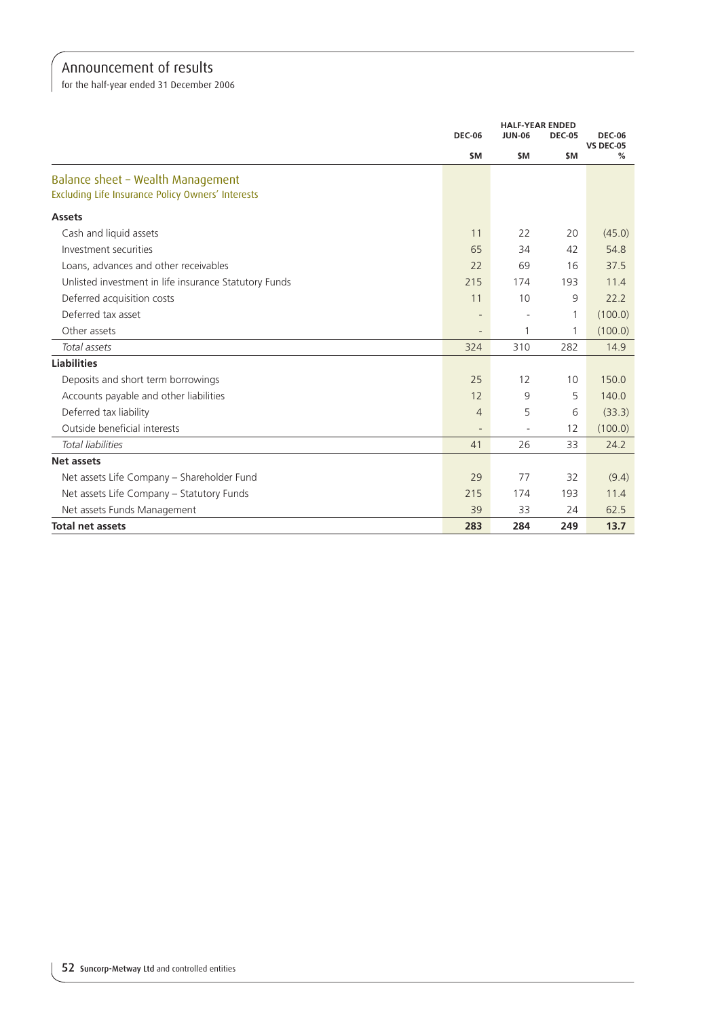for the half-year ended 31 December 2006

|                                                       | <b>DEC-06</b>            | <b>JUN-06</b> | <b>HALF-YEAR ENDED</b><br><b>DEC-05</b> | <b>DEC-06</b>    |
|-------------------------------------------------------|--------------------------|---------------|-----------------------------------------|------------------|
|                                                       |                          |               |                                         | <b>VS DEC-05</b> |
|                                                       | \$M                      | <b>SM</b>     | <b>SM</b>                               | %                |
| Balance sheet - Wealth Management                     |                          |               |                                         |                  |
| Excluding Life Insurance Policy Owners' Interests     |                          |               |                                         |                  |
| <b>Assets</b>                                         |                          |               |                                         |                  |
| Cash and liquid assets                                | 11                       | 22            | 20                                      | (45.0)           |
| Investment securities                                 | 65                       | 34            | 42                                      | 54.8             |
| Loans, advances and other receivables                 | 22                       | 69            | 16                                      | 37.5             |
| Unlisted investment in life insurance Statutory Funds | 215                      | 174           | 193                                     | 11.4             |
| Deferred acquisition costs                            | 11                       | 10            | 9                                       | 22.2             |
| Deferred tax asset                                    | $\overline{\phantom{a}}$ |               | 1                                       | (100.0)          |
| Other assets                                          |                          | 1             | 1                                       | (100.0)          |
| Total assets                                          | 324                      | 310           | 282                                     | 14.9             |
| <b>Liabilities</b>                                    |                          |               |                                         |                  |
| Deposits and short term borrowings                    | 25                       | 12            | 10                                      | 150.0            |
| Accounts payable and other liabilities                | 12                       | 9             | 5                                       | 140.0            |
| Deferred tax liability                                | $\overline{4}$           | 5             | 6                                       | (33.3)           |
| Outside beneficial interests                          |                          |               | 12                                      | (100.0)          |
| <b>Total liabilities</b>                              | 41                       | 26            | 33                                      | 24.2             |
| <b>Net assets</b>                                     |                          |               |                                         |                  |
| Net assets Life Company - Shareholder Fund            | 29                       | 77            | 32                                      | (9.4)            |
| Net assets Life Company - Statutory Funds             | 215                      | 174           | 193                                     | 11.4             |
| Net assets Funds Management                           | 39                       | 33            | 24                                      | 62.5             |
| <b>Total net assets</b>                               | 283                      | 284           | 249                                     | 13.7             |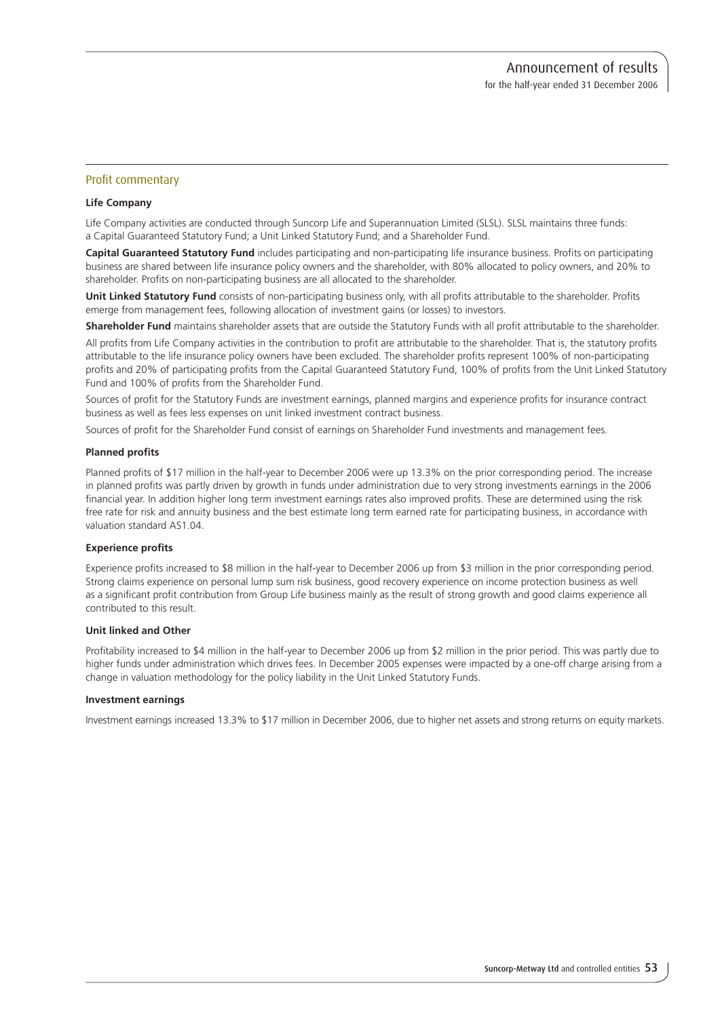## Profit commentary

#### **Life Company**

Life Company activities are conducted through Suncorp Life and Superannuation Limited (SLSL). SLSL maintains three funds: a Capital Guaranteed Statutory Fund; a Unit Linked Statutory Fund; and a Shareholder Fund.

**Capital Guaranteed Statutory Fund** includes participating and non-participating life insurance business. Profits on participating business are shared between life insurance policy owners and the shareholder, with 80% allocated to policy owners, and 20% to shareholder. Profits on non-participating business are all allocated to the shareholder.

**Unit Linked Statutory Fund** consists of non-participating business only, with all profits attributable to the shareholder. Profits emerge from management fees, following allocation of investment gains (or losses) to investors.

**Shareholder Fund** maintains shareholder assets that are outside the Statutory Funds with all profit attributable to the shareholder.

All profits from Life Company activities in the contribution to profit are attributable to the shareholder. That is, the statutory profits attributable to the life insurance policy owners have been excluded. The shareholder profits represent 100% of non-participating profits and 20% of participating profits from the Capital Guaranteed Statutory Fund, 100% of profits from the Unit Linked Statutory Fund and 100% of profits from the Shareholder Fund.

Sources of profit for the Statutory Funds are investment earnings, planned margins and experience profits for insurance contract business as well as fees less expenses on unit linked investment contract business.

Sources of profit for the Shareholder Fund consist of earnings on Shareholder Fund investments and management fees.

#### **Planned profits**

Planned profits of \$17 million in the half-year to December 2006 were up 13.3% on the prior corresponding period. The increase in planned profits was partly driven by growth in funds under administration due to very strong investments earnings in the 2006 financial year. In addition higher long term investment earnings rates also improved profits. These are determined using the risk free rate for risk and annuity business and the best estimate long term earned rate for participating business, in accordance with valuation standard AS1.04.

#### **Experience profits**

Experience profits increased to \$8 million in the half-year to December 2006 up from \$3 million in the prior corresponding period. Strong claims experience on personal lump sum risk business, good recovery experience on income protection business as well as a significant profit contribution from Group Life business mainly as the result of strong growth and good claims experience all contributed to this result.

#### **Unit linked and Other**

Profitability increased to \$4 million in the half-year to December 2006 up from \$2 million in the prior period. This was partly due to higher funds under administration which drives fees. In December 2005 expenses were impacted by a one-off charge arising from a change in valuation methodology for the policy liability in the Unit Linked Statutory Funds.

#### **Investment earnings**

Investment earnings increased 13.3% to \$17 million in December 2006, due to higher net assets and strong returns on equity markets.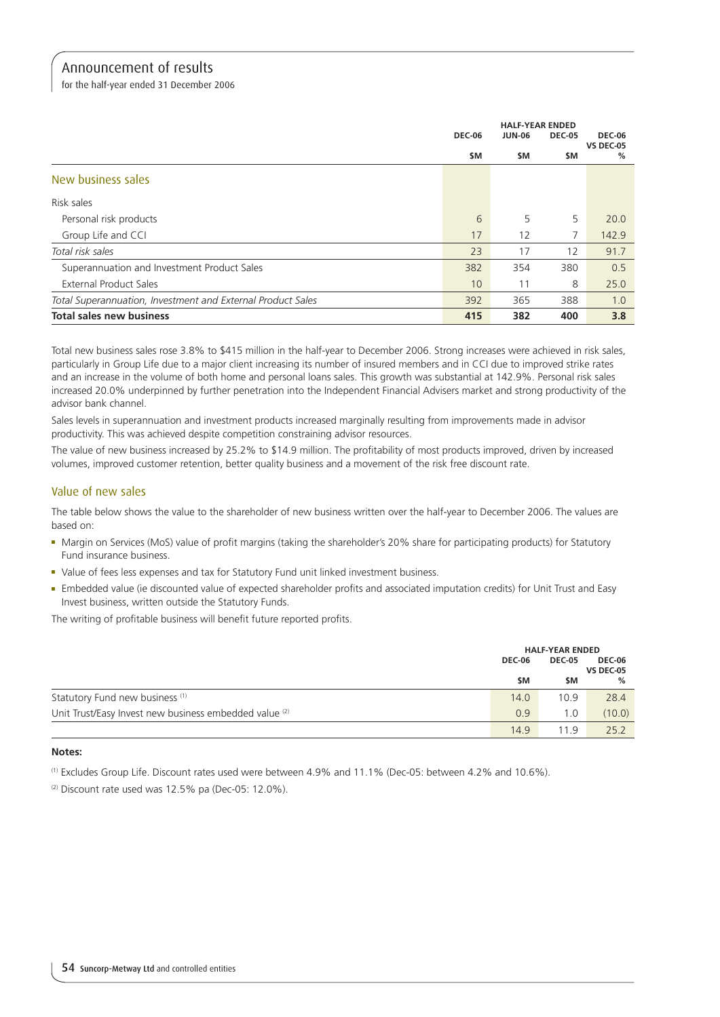for the half-year ended 31 December 2006

|                                                             | <b>HALF-YEAR ENDED</b> |               |               |                                   |
|-------------------------------------------------------------|------------------------|---------------|---------------|-----------------------------------|
|                                                             | <b>DEC-06</b>          | <b>JUN-06</b> | <b>DEC-05</b> | <b>DEC-06</b><br><b>VS DEC-05</b> |
|                                                             | \$M                    | \$M           | \$M           | %                                 |
| New business sales                                          |                        |               |               |                                   |
| Risk sales                                                  |                        |               |               |                                   |
| Personal risk products                                      | 6                      | 5             | 5             | 20.0                              |
| Group Life and CCI                                          | 17                     | 12            | 7             | 142.9                             |
| Total risk sales                                            | 23                     | 17            | 12            | 91.7                              |
| Superannuation and Investment Product Sales                 | 382                    | 354           | 380           | 0.5                               |
| <b>External Product Sales</b>                               | 10                     | 11            | 8             | 25.0                              |
| Total Superannuation, Investment and External Product Sales | 392                    | 365           | 388           | 1.0                               |
| <b>Total sales new business</b>                             | 415                    | 382           | 400           | 3.8                               |

Total new business sales rose 3.8% to \$415 million in the half-year to December 2006. Strong increases were achieved in risk sales, particularly in Group Life due to a major client increasing its number of insured members and in CCI due to improved strike rates and an increase in the volume of both home and personal loans sales. This growth was substantial at 142.9%. Personal risk sales increased 20.0% underpinned by further penetration into the Independent Financial Advisers market and strong productivity of the advisor bank channel.

Sales levels in superannuation and investment products increased marginally resulting from improvements made in advisor productivity. This was achieved despite competition constraining advisor resources.

The value of new business increased by 25.2% to \$14.9 million. The profitability of most products improved, driven by increased volumes, improved customer retention, better quality business and a movement of the risk free discount rate.

# Value of new sales

The table below shows the value to the shareholder of new business written over the half-year to December 2006. The values are based on:

- <sup>n</sup> Margin on Services (MoS) value of profit margins (taking the shareholder's 20% share for participating products) for Statutory Fund insurance business.
- Value of fees less expenses and tax for Statutory Fund unit linked investment business.
- <sup>n</sup> Embedded value (ie discounted value of expected shareholder profits and associated imputation credits) for Unit Trust and Easy Invest business, written outside the Statutory Funds.

The writing of profitable business will benefit future reported profits.

|                                                        |        | <b>HALF-YEAR ENDED</b> |                                   |  |
|--------------------------------------------------------|--------|------------------------|-----------------------------------|--|
|                                                        | DEC-06 | <b>DEC-05</b>          | <b>DEC-06</b><br><b>VS DEC-05</b> |  |
|                                                        | \$M    | \$M                    | %                                 |  |
| Statutory Fund new business <sup>(1)</sup>             | 14.0   | 10.9                   | 28.4                              |  |
| Unit Trust/Easy Invest new business embedded value (2) | 0.9    | 1.0                    | (10.0)                            |  |
|                                                        | 14.9   | 119                    | 25.2                              |  |

#### **Notes:**

(1) Excludes Group Life. Discount rates used were between 4.9% and 11.1% (Dec-05: between 4.2% and 10.6%).

 $(2)$  Discount rate used was 12.5% pa (Dec-05: 12.0%).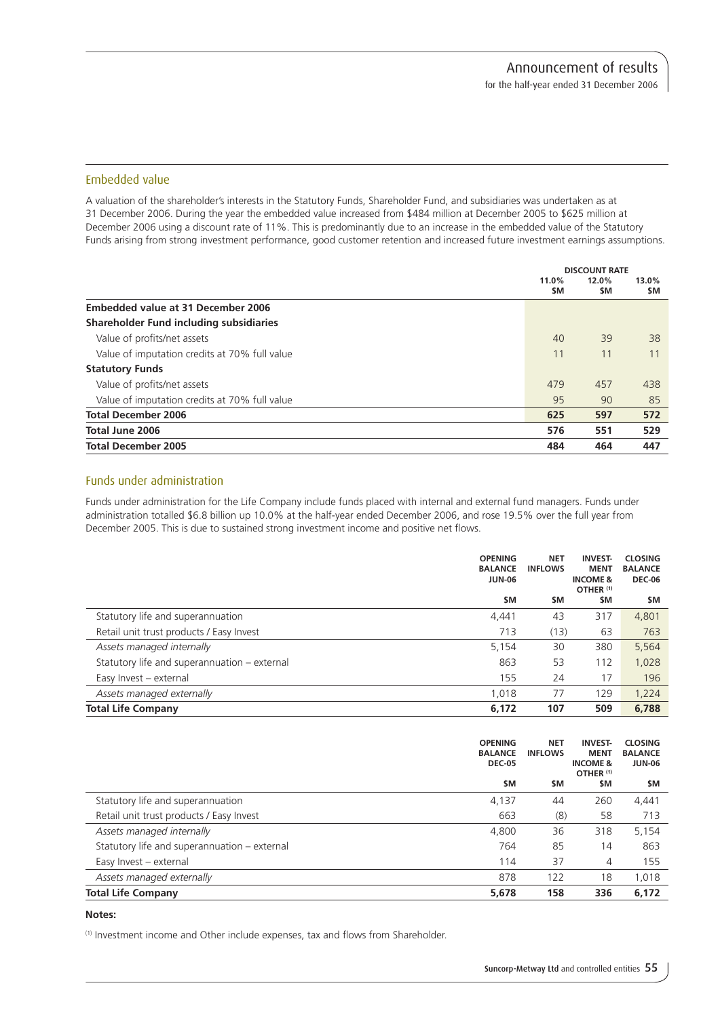## Embedded value

A valuation of the shareholder's interests in the Statutory Funds, Shareholder Fund, and subsidiaries was undertaken as at 31 December 2006. During the year the embedded value increased from \$484 million at December 2005 to \$625 million at December 2006 using a discount rate of 11%. This is predominantly due to an increase in the embedded value of the Statutory Funds arising from strong investment performance, good customer retention and increased future investment earnings assumptions.

|                                               | <b>DISCOUNT RATE</b> |              |              |
|-----------------------------------------------|----------------------|--------------|--------------|
|                                               | 11.0%<br>\$M         | 12.0%<br>\$M | 13.0%<br>\$M |
| <b>Embedded value at 31 December 2006</b>     |                      |              |              |
| Shareholder Fund including subsidiaries       |                      |              |              |
| Value of profits/net assets                   | 40                   | 39           | 38           |
| Value of imputation credits at 70% full value | 11                   | 11           | 11           |
| <b>Statutory Funds</b>                        |                      |              |              |
| Value of profits/net assets                   | 479                  | 457          | 438          |
| Value of imputation credits at 70% full value | 95                   | 90           | 85           |
| <b>Total December 2006</b>                    | 625                  | 597          | 572          |
| Total June 2006                               | 576                  | 551          | 529          |
| <b>Total December 2005</b>                    | 484                  | 464          | 447          |

## Funds under administration

Funds under administration for the Life Company include funds placed with internal and external fund managers. Funds under administration totalled \$6.8 billion up 10.0% at the half-year ended December 2006, and rose 19.5% over the full year from December 2005. This is due to sustained strong investment income and positive net flows.

|                                              | <b>OPENING</b><br><b>BALANCE</b><br><b>JUN-06</b> | <b>NET</b><br><b>INFLOWS</b> | <b>INVEST-</b><br><b>MENT</b><br><b>INCOME &amp;</b><br>OTHER <sup>(1)</sup> | <b>CLOSING</b><br><b>BALANCE</b><br><b>DEC-06</b> |
|----------------------------------------------|---------------------------------------------------|------------------------------|------------------------------------------------------------------------------|---------------------------------------------------|
|                                              | \$M                                               | <b>SM</b>                    | \$M                                                                          | \$M                                               |
| Statutory life and superannuation            | 4,441                                             | 43                           | 317                                                                          | 4,801                                             |
| Retail unit trust products / Easy Invest     | 713                                               | (13)                         | 63                                                                           | 763                                               |
| Assets managed internally                    | 5,154                                             | 30                           | 380                                                                          | 5,564                                             |
| Statutory life and superannuation – external | 863                                               | 53                           | 112                                                                          | 1,028                                             |
| Easy Invest - external                       | 155                                               | 24                           | 17                                                                           | 196                                               |
| Assets managed externally                    | 1,018                                             | 77                           | 129                                                                          | 1,224                                             |
| <b>Total Life Company</b>                    | 6,172                                             | 107                          | 509                                                                          | 6,788                                             |

|                                              | <b>OPENING</b><br><b>BALANCE</b><br><b>DEC-05</b> | <b>NET</b><br><b>INFLOWS</b> | <b>INVEST-</b><br><b>MENT</b><br><b>INCOME &amp;</b><br>OTHER <sup>(1)</sup> | <b>CLOSING</b><br><b>BALANCE</b><br><b>JUN-06</b> |
|----------------------------------------------|---------------------------------------------------|------------------------------|------------------------------------------------------------------------------|---------------------------------------------------|
|                                              | \$M                                               | <b>SM</b>                    | \$M                                                                          | \$M                                               |
| Statutory life and superannuation            | 4,137                                             | 44                           | 260                                                                          | 4,441                                             |
| Retail unit trust products / Easy Invest     | 663                                               | (8)                          | 58                                                                           | 713                                               |
| Assets managed internally                    | 4,800                                             | 36                           | 318                                                                          | 5,154                                             |
| Statutory life and superannuation – external | 764                                               | 85                           | 14                                                                           | 863                                               |
| Easy Invest - external                       | 114                                               | 37                           | 4                                                                            | 155                                               |
| Assets managed externally                    | 878                                               | 122                          | 18                                                                           | 1,018                                             |
| <b>Total Life Company</b>                    | 5,678                                             | 158                          | 336                                                                          | 6,172                                             |

#### **Notes:**

(1) Investment income and Other include expenses, tax and flows from Shareholder.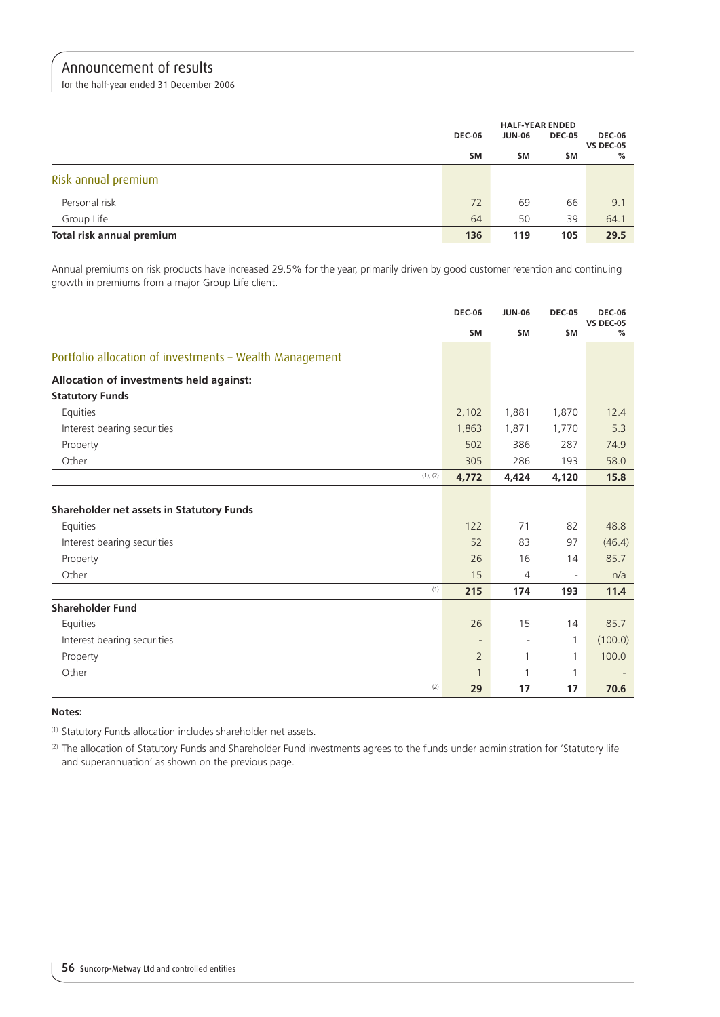for the half-year ended 31 December 2006

|                           | <b>HALF-YEAR ENDED</b> |               |               |                                   |
|---------------------------|------------------------|---------------|---------------|-----------------------------------|
|                           | <b>DEC-06</b>          | <b>JUN-06</b> | <b>DEC-05</b> | <b>DEC-06</b><br><b>VS DEC-05</b> |
|                           | \$M                    | \$M           | \$M           | %                                 |
| Risk annual premium       |                        |               |               |                                   |
| Personal risk             | 72                     | 69            | 66            | 9.1                               |
| Group Life                | 64                     | 50            | 39            | 64.1                              |
| Total risk annual premium | 136                    | 119           | 105           | 29.5                              |

Annual premiums on risk products have increased 29.5% for the year, primarily driven by good customer retention and continuing growth in premiums from a major Group Life client.

|                                                         | <b>DEC-06</b>            | <b>JUN-06</b>            | <b>DEC-05</b>            | <b>DEC-06</b><br><b>VS DEC-05</b> |
|---------------------------------------------------------|--------------------------|--------------------------|--------------------------|-----------------------------------|
|                                                         | \$M                      | \$M                      | \$M                      | %                                 |
| Portfolio allocation of investments - Wealth Management |                          |                          |                          |                                   |
| Allocation of investments held against:                 |                          |                          |                          |                                   |
| <b>Statutory Funds</b>                                  |                          |                          |                          |                                   |
| Equities                                                | 2,102                    | 1,881                    | 1,870                    | 12.4                              |
| Interest bearing securities                             | 1,863                    | 1,871                    | 1,770                    | 5.3                               |
| Property                                                | 502                      | 386                      | 287                      | 74.9                              |
| Other                                                   | 305                      | 286                      | 193                      | 58.0                              |
| (1), (2)                                                | 4,772                    | 4,424                    | 4,120                    | 15.8                              |
|                                                         |                          |                          |                          |                                   |
| Shareholder net assets in Statutory Funds               |                          |                          |                          |                                   |
| Equities                                                | 122                      | 71                       | 82                       | 48.8                              |
| Interest bearing securities                             | 52                       | 83                       | 97                       | (46.4)                            |
| Property                                                | 26                       | 16                       | 14                       | 85.7                              |
| Other                                                   | 15                       | 4                        | $\overline{\phantom{a}}$ | n/a                               |
| (1)                                                     | 215                      | 174                      | 193                      | 11.4                              |
| <b>Shareholder Fund</b>                                 |                          |                          |                          |                                   |
| Equities                                                | 26                       | 15                       | 14                       | 85.7                              |
| Interest bearing securities                             | $\overline{\phantom{a}}$ | $\overline{\phantom{a}}$ | $\mathbf{1}$             | (100.0)                           |
| Property                                                | $\overline{2}$           | 1                        | 1                        | 100.0                             |
| Other                                                   | 1                        | 1                        | 1                        |                                   |
| (2)                                                     | 29                       | 17                       | 17                       | 70.6                              |

#### **Notes:**

(1) Statutory Funds allocation includes shareholder net assets.

(2) The allocation of Statutory Funds and Shareholder Fund investments agrees to the funds under administration for 'Statutory life and superannuation' as shown on the previous page.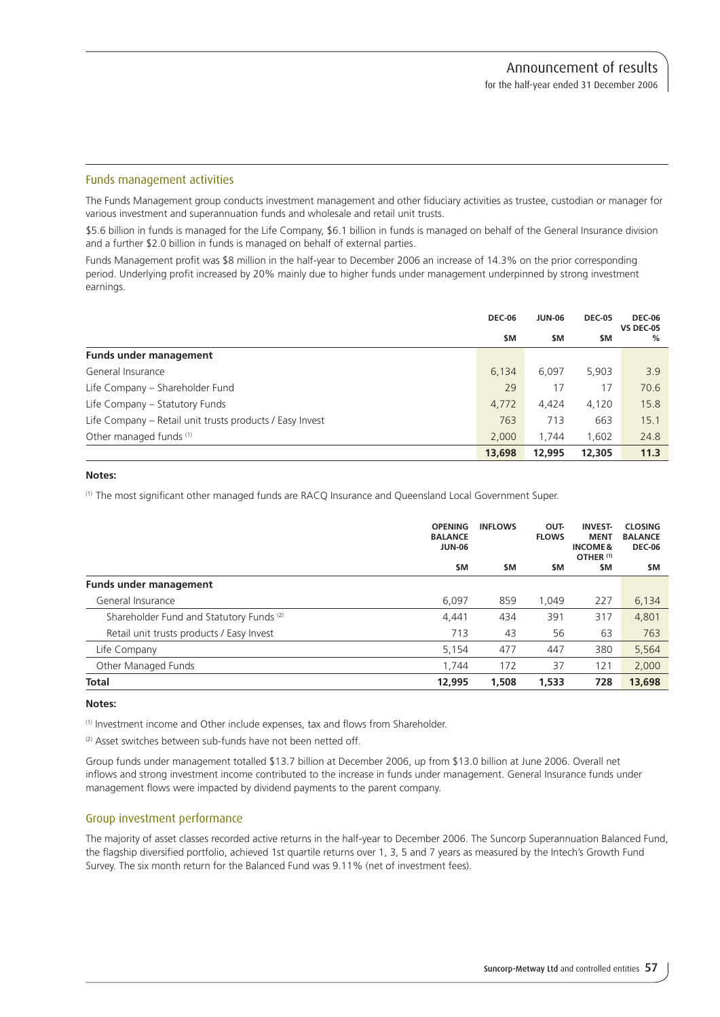### Funds management activities

The Funds Management group conducts investment management and other fiduciary activities as trustee, custodian or manager for various investment and superannuation funds and wholesale and retail unit trusts.

\$5.6 billion in funds is managed for the Life Company, \$6.1 billion in funds is managed on behalf of the General Insurance division and a further \$2.0 billion in funds is managed on behalf of external parties.

Funds Management profit was \$8 million in the half-year to December 2006 an increase of 14.3% on the prior corresponding period. Underlying profit increased by 20% mainly due to higher funds under management underpinned by strong investment earnings.

|                                                          | <b>DEC-06</b> | <b>JUN-06</b> | <b>DEC-05</b> | <b>DEC-06</b><br><b>VS DEC-05</b> |
|----------------------------------------------------------|---------------|---------------|---------------|-----------------------------------|
|                                                          | \$M           | \$M           | \$M           | %                                 |
| <b>Funds under management</b>                            |               |               |               |                                   |
| General Insurance                                        | 6,134         | 6,097         | 5,903         | 3.9                               |
| Life Company - Shareholder Fund                          | 29            | 17            | 17            | 70.6                              |
| Life Company - Statutory Funds                           | 4,772         | 4.424         | 4,120         | 15.8                              |
| Life Company – Retail unit trusts products / Easy Invest | 763           | 713           | 663           | 15.1                              |
| Other managed funds (1)                                  | 2,000         | 1.744         | 1.602         | 24.8                              |
|                                                          | 13,698        | 12,995        | 12,305        | 11.3                              |

## **Notes:**

(1) The most significant other managed funds are RACQ Insurance and Queensland Local Government Super.

|                                                     | <b>OPENING</b><br><b>BALANCE</b><br><b>JUN-06</b> | <b>INFLOWS</b> | OUT-<br><b>FLOWS</b> | <b>INVEST-</b><br><b>MENT</b><br><b>INCOME&amp;</b><br>OTHER <sup>(1)</sup> | <b>CLOSING</b><br><b>BALANCE</b><br><b>DEC-06</b> |
|-----------------------------------------------------|---------------------------------------------------|----------------|----------------------|-----------------------------------------------------------------------------|---------------------------------------------------|
|                                                     | \$M                                               | <b>SM</b>      | \$M                  | \$M                                                                         | \$M                                               |
| <b>Funds under management</b>                       |                                                   |                |                      |                                                                             |                                                   |
| General Insurance                                   | 6,097                                             | 859            | 1.049                | 227                                                                         | 6,134                                             |
| Shareholder Fund and Statutory Funds <sup>(2)</sup> | 4.441                                             | 434            | 391                  | 317                                                                         | 4,801                                             |
| Retail unit trusts products / Easy Invest           | 713                                               | 43             | 56                   | 63                                                                          | 763                                               |
| Life Company                                        | 5,154                                             | 477            | 447                  | 380                                                                         | 5,564                                             |
| Other Managed Funds                                 | 1.744                                             | 172            | 37                   | 121                                                                         | 2,000                                             |
| <b>Total</b>                                        | 12,995                                            | 1,508          | 1,533                | 728                                                                         | 13,698                                            |

#### **Notes:**

(1) Investment income and Other include expenses, tax and flows from Shareholder.

<sup>(2)</sup> Asset switches between sub-funds have not been netted off.

Group funds under management totalled \$13.7 billion at December 2006, up from \$13.0 billion at June 2006. Overall net inflows and strong investment income contributed to the increase in funds under management. General Insurance funds under management flows were impacted by dividend payments to the parent company.

## Group investment performance

The majority of asset classes recorded active returns in the half-year to December 2006. The Suncorp Superannuation Balanced Fund, the flagship diversified portfolio, achieved 1st quartile returns over 1, 3, 5 and 7 years as measured by the Intech's Growth Fund Survey. The six month return for the Balanced Fund was 9.11% (net of investment fees).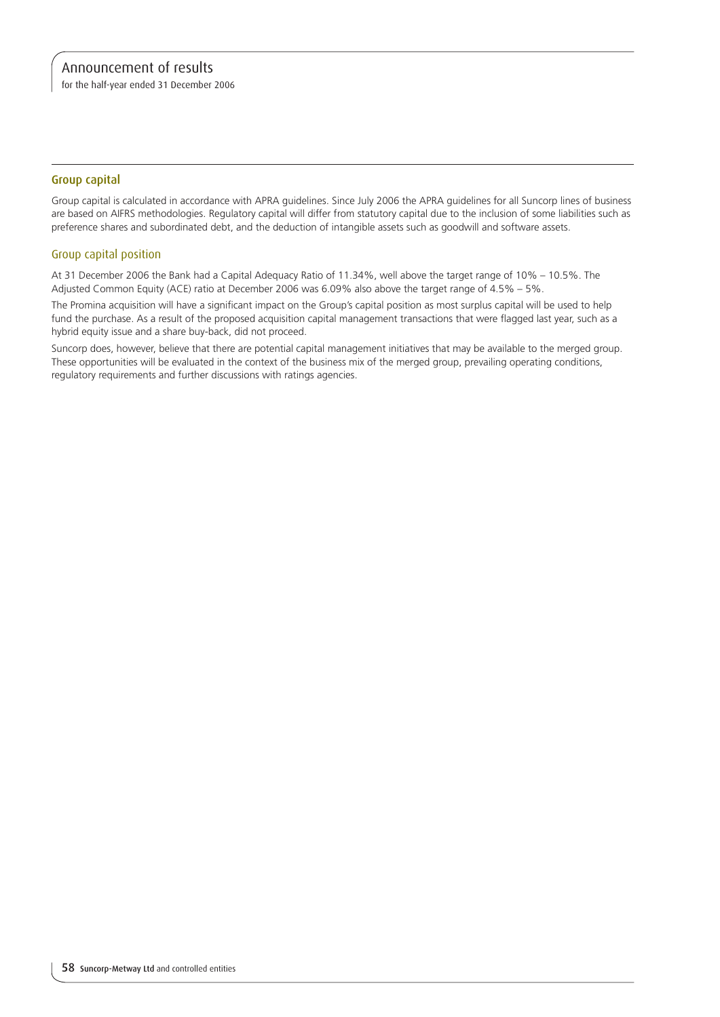for the half-year ended 31 December 2006

## Group capital

Group capital is calculated in accordance with APRA guidelines. Since July 2006 the APRA guidelines for all Suncorp lines of business are based on AIFRS methodologies. Regulatory capital will differ from statutory capital due to the inclusion of some liabilities such as preference shares and subordinated debt, and the deduction of intangible assets such as goodwill and software assets.

# Group capital position

At 31 December 2006 the Bank had a Capital Adequacy Ratio of 11.34%, well above the target range of 10% – 10.5%. The Adjusted Common Equity (ACE) ratio at December 2006 was 6.09% also above the target range of 4.5% – 5%.

The Promina acquisition will have a significant impact on the Group's capital position as most surplus capital will be used to help fund the purchase. As a result of the proposed acquisition capital management transactions that were flagged last year, such as a hybrid equity issue and a share buy-back, did not proceed.

Suncorp does, however, believe that there are potential capital management initiatives that may be available to the merged group. These opportunities will be evaluated in the context of the business mix of the merged group, prevailing operating conditions, regulatory requirements and further discussions with ratings agencies.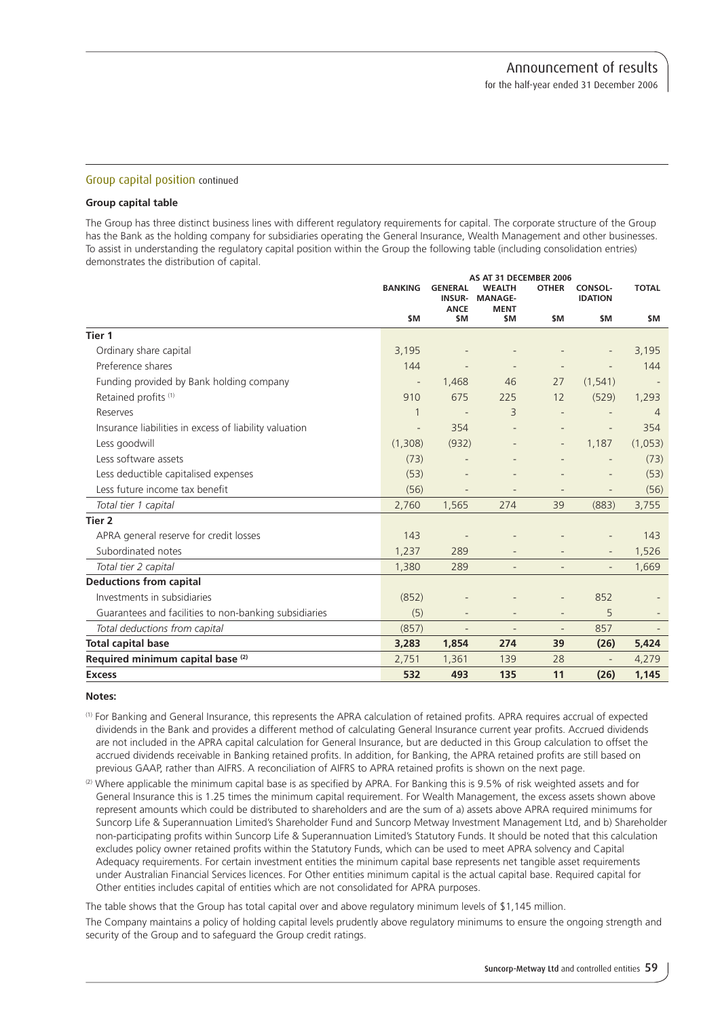#### Group capital position continued

#### **Group capital table**

The Group has three distinct business lines with different regulatory requirements for capital. The corporate structure of the Group has the Bank as the holding company for subsidiaries operating the General Insurance, Wealth Management and other businesses. To assist in understanding the regulatory capital position within the Group the following table (including consolidation entries) demonstrates the distribution of capital.

|                                                        | AS AT 31 DECEMBER 2006 |                                                |                                                |                          |                                  |                |
|--------------------------------------------------------|------------------------|------------------------------------------------|------------------------------------------------|--------------------------|----------------------------------|----------------|
|                                                        | <b>BANKING</b>         | <b>GENERAL</b><br><b>INSUR-</b><br><b>ANCE</b> | <b>WEALTH</b><br><b>MANAGE-</b><br><b>MENT</b> | <b>OTHER</b>             | <b>CONSOL-</b><br><b>IDATION</b> | <b>TOTAL</b>   |
|                                                        | \$M                    | \$M                                            | \$M                                            | \$M                      | \$M                              | \$M            |
| Tier 1                                                 |                        |                                                |                                                |                          |                                  |                |
| Ordinary share capital                                 | 3,195                  |                                                |                                                |                          |                                  | 3,195          |
| Preference shares                                      | 144                    |                                                |                                                |                          |                                  | 144            |
| Funding provided by Bank holding company               |                        | 1,468                                          | 46                                             | 27                       | (1, 541)                         |                |
| Retained profits (1)                                   | 910                    | 675                                            | 225                                            | 12                       | (529)                            | 1,293          |
| Reserves                                               | 1                      | $\overline{\phantom{a}}$                       | 3                                              | $\overline{\phantom{m}}$ |                                  | $\overline{4}$ |
| Insurance liabilities in excess of liability valuation |                        | 354                                            |                                                |                          | $\overline{a}$                   | 354            |
| Less goodwill                                          | (1,308)                | (932)                                          |                                                | $\overline{\phantom{a}}$ | 1,187                            | (1,053)        |
| Less software assets                                   | (73)                   |                                                |                                                |                          |                                  | (73)           |
| Less deductible capitalised expenses                   | (53)                   |                                                |                                                |                          |                                  | (53)           |
| Less future income tax benefit                         | (56)                   |                                                |                                                |                          |                                  | (56)           |
| Total tier 1 capital                                   | 2,760                  | 1,565                                          | 274                                            | 39                       | (883)                            | 3,755          |
| Tier 2                                                 |                        |                                                |                                                |                          |                                  |                |
| APRA general reserve for credit losses                 | 143                    |                                                |                                                |                          |                                  | 143            |
| Subordinated notes                                     | 1,237                  | 289                                            |                                                |                          |                                  | 1,526          |
| Total tier 2 capital                                   | 1,380                  | 289                                            |                                                |                          |                                  | 1,669          |
| <b>Deductions from capital</b>                         |                        |                                                |                                                |                          |                                  |                |
| Investments in subsidiaries                            | (852)                  |                                                |                                                |                          | 852                              |                |
| Guarantees and facilities to non-banking subsidiaries  | (5)                    | $\overline{\phantom{a}}$                       |                                                | $\overline{\phantom{a}}$ | 5                                |                |
| Total deductions from capital                          | (857)                  | $\overline{\phantom{a}}$                       | $\overline{\phantom{a}}$                       | $\overline{\phantom{a}}$ | 857                              |                |
| <b>Total capital base</b>                              | 3,283                  | 1,854                                          | 274                                            | 39                       | (26)                             | 5,424          |
| Required minimum capital base <sup>(2)</sup>           | 2,751                  | 1,361                                          | 139                                            | 28                       | $\overline{\phantom{a}}$         | 4,279          |
| <b>Excess</b>                                          | 532                    | 493                                            | 135                                            | 11                       | (26)                             | 1,145          |

#### **Notes:**

- (1) For Banking and General Insurance, this represents the APRA calculation of retained profits. APRA requires accrual of expected dividends in the Bank and provides a different method of calculating General Insurance current year profits. Accrued dividends are not included in the APRA capital calculation for General Insurance, but are deducted in this Group calculation to offset the accrued dividends receivable in Banking retained profits. In addition, for Banking, the APRA retained profits are still based on previous GAAP, rather than AIFRS. A reconciliation of AIFRS to APRA retained profits is shown on the next page.
- $(2)$  Where applicable the minimum capital base is as specified by APRA. For Banking this is 9.5% of risk weighted assets and for General Insurance this is 1.25 times the minimum capital requirement. For Wealth Management, the excess assets shown above represent amounts which could be distributed to shareholders and are the sum of a) assets above APRA required minimums for Suncorp Life & Superannuation Limited's Shareholder Fund and Suncorp Metway Investment Management Ltd, and b) Shareholder non-participating profits within Suncorp Life & Superannuation Limited's Statutory Funds. It should be noted that this calculation excludes policy owner retained profits within the Statutory Funds, which can be used to meet APRA solvency and Capital Adequacy requirements. For certain investment entities the minimum capital base represents net tangible asset requirements under Australian Financial Services licences. For Other entities minimum capital is the actual capital base. Required capital for Other entities includes capital of entities which are not consolidated for APRA purposes.

The table shows that the Group has total capital over and above regulatory minimum levels of \$1,145 million.

The Company maintains a policy of holding capital levels prudently above regulatory minimums to ensure the ongoing strength and security of the Group and to safeguard the Group credit ratings.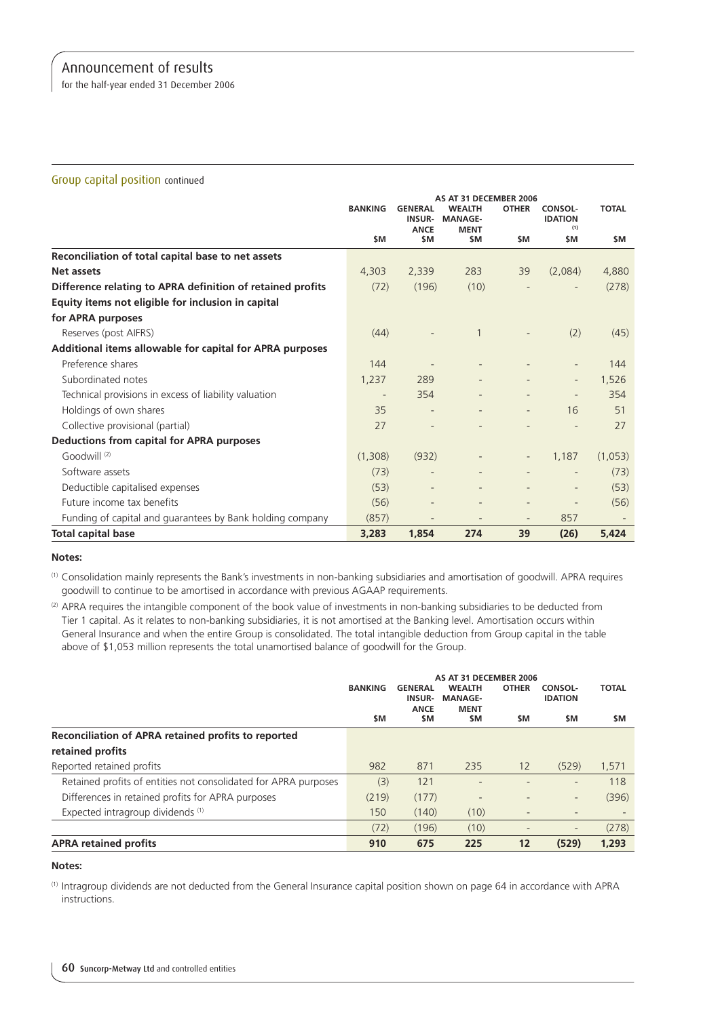for the half-year ended 31 December 2006

## Group capital position continued

|                                                            | <b>BANKING</b> | <b>GENERAL</b><br><b>INSUR-</b><br><b>ANCE</b> | AS AT 31 DECEMBER 2006<br><b>WEALTH</b><br><b>MANAGE-</b><br><b>MENT</b> | <b>OTHER</b>             | CONSOL-<br><b>IDATION</b><br>(1) | <b>TOTAL</b>             |
|------------------------------------------------------------|----------------|------------------------------------------------|--------------------------------------------------------------------------|--------------------------|----------------------------------|--------------------------|
|                                                            | \$M            | <b>SM</b>                                      | \$M                                                                      | <b>SM</b>                | \$M                              | \$M                      |
| Reconciliation of total capital base to net assets         |                |                                                |                                                                          |                          |                                  |                          |
| Net assets                                                 | 4,303          | 2,339                                          | 283                                                                      | 39                       | (2,084)                          | 4,880                    |
| Difference relating to APRA definition of retained profits | (72)           | (196)                                          | (10)                                                                     |                          |                                  | (278)                    |
| Equity items not eligible for inclusion in capital         |                |                                                |                                                                          |                          |                                  |                          |
| for APRA purposes                                          |                |                                                |                                                                          |                          |                                  |                          |
| Reserves (post AIFRS)                                      | (44)           |                                                |                                                                          |                          | (2)                              | (45)                     |
| Additional items allowable for capital for APRA purposes   |                |                                                |                                                                          |                          |                                  |                          |
| Preference shares                                          | 144            |                                                |                                                                          |                          | $\overline{\phantom{0}}$         | 144                      |
| Subordinated notes                                         | 1,237          | 289                                            |                                                                          |                          | $\overline{\phantom{0}}$         | 1,526                    |
| Technical provisions in excess of liability valuation      |                | 354                                            |                                                                          |                          |                                  | 354                      |
| Holdings of own shares                                     | 35             |                                                |                                                                          | $\overline{\phantom{a}}$ | 16                               | 51                       |
| Collective provisional (partial)                           | 27             |                                                |                                                                          |                          |                                  | 27                       |
| Deductions from capital for APRA purposes                  |                |                                                |                                                                          |                          |                                  |                          |
| Goodwill $(2)$                                             | (1,308)        | (932)                                          |                                                                          | $\overline{\phantom{a}}$ | 1,187                            | (1,053)                  |
| Software assets                                            | (73)           |                                                |                                                                          |                          | $\overline{\phantom{a}}$         | (73)                     |
| Deductible capitalised expenses                            | (53)           |                                                |                                                                          |                          |                                  | (53)                     |
| Future income tax benefits                                 | (56)           |                                                |                                                                          | $\overline{\phantom{a}}$ |                                  | (56)                     |
| Funding of capital and guarantees by Bank holding company  | (857)          |                                                | $\overline{\phantom{a}}$                                                 | $\overline{\phantom{a}}$ | 857                              | $\overline{\phantom{a}}$ |
| <b>Total capital base</b>                                  | 3,283          | 1,854                                          | 274                                                                      | 39                       | (26)                             | 5,424                    |

#### **Notes:**

(1) Consolidation mainly represents the Bank's investments in non-banking subsidiaries and amortisation of goodwill. APRA requires goodwill to continue to be amortised in accordance with previous AGAAP requirements.

(2) APRA requires the intangible component of the book value of investments in non-banking subsidiaries to be deducted from Tier 1 capital. As it relates to non-banking subsidiaries, it is not amortised at the Banking level. Amortisation occurs within General Insurance and when the entire Group is consolidated. The total intangible deduction from Group capital in the table above of \$1,053 million represents the total unamortised balance of goodwill for the Group.

|                                                                 | AS AT 31 DECEMBER 2006 |                                                |                                                |                          |                                  |              |
|-----------------------------------------------------------------|------------------------|------------------------------------------------|------------------------------------------------|--------------------------|----------------------------------|--------------|
|                                                                 | <b>BANKING</b>         | <b>GENERAL</b><br><b>INSUR-</b><br><b>ANCE</b> | <b>WEALTH</b><br><b>MANAGE-</b><br><b>MENT</b> | <b>OTHER</b>             | <b>CONSOL-</b><br><b>IDATION</b> | <b>TOTAL</b> |
|                                                                 | \$M                    | \$M                                            | \$M                                            | \$M                      | \$M                              | \$M          |
| Reconciliation of APRA retained profits to reported             |                        |                                                |                                                |                          |                                  |              |
| retained profits                                                |                        |                                                |                                                |                          |                                  |              |
| Reported retained profits                                       | 982                    | 871                                            | 235                                            | 12                       | (529)                            | 1,571        |
| Retained profits of entities not consolidated for APRA purposes | (3)                    | 121                                            |                                                |                          | $\overline{\phantom{0}}$         | 118          |
| Differences in retained profits for APRA purposes               | (219)                  | (177)                                          | -                                              |                          | $\qquad \qquad =$                | (396)        |
| Expected intragroup dividends (1)                               | 150                    | (140)                                          | (10)                                           |                          |                                  |              |
|                                                                 | (72)                   | (196)                                          | (10)                                           | $\overline{\phantom{a}}$ | $\qquad \qquad =$                | (278)        |
| <b>APRA retained profits</b>                                    | 910                    | 675                                            | 225                                            | 12                       | (529)                            | 1,293        |

#### **Notes:**

(1) Intragroup dividends are not deducted from the General Insurance capital position shown on page 64 in accordance with APRA instructions.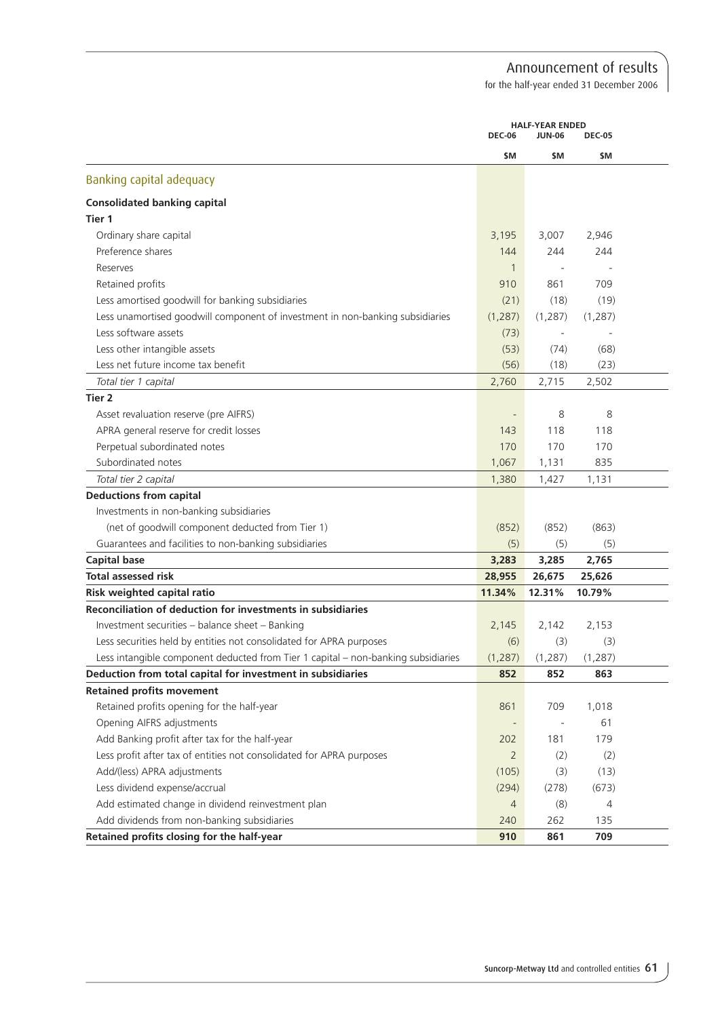for the half-year ended 31 December 2006

|                                                                                   | <b>HALF-YEAR ENDED</b><br><b>DEC-06</b><br><b>DEC-05</b><br><b>JUN-06</b> |          |          |  |
|-----------------------------------------------------------------------------------|---------------------------------------------------------------------------|----------|----------|--|
|                                                                                   | \$M                                                                       | \$M      | \$M      |  |
| Banking capital adequacy                                                          |                                                                           |          |          |  |
| <b>Consolidated banking capital</b>                                               |                                                                           |          |          |  |
| Tier 1                                                                            |                                                                           |          |          |  |
| Ordinary share capital                                                            | 3,195                                                                     | 3,007    | 2,946    |  |
| Preference shares                                                                 | 144                                                                       | 244      | 244      |  |
| Reserves                                                                          | $\mathbf{1}$                                                              |          |          |  |
| Retained profits                                                                  | 910                                                                       | 861      | 709      |  |
| Less amortised goodwill for banking subsidiaries                                  | (21)                                                                      | (18)     | (19)     |  |
| Less unamortised goodwill component of investment in non-banking subsidiaries     | (1, 287)                                                                  | (1, 287) | (1, 287) |  |
| Less software assets                                                              | (73)                                                                      |          |          |  |
| Less other intangible assets                                                      | (53)                                                                      | (74)     | (68)     |  |
| Less net future income tax benefit                                                | (56)                                                                      | (18)     | (23)     |  |
| Total tier 1 capital                                                              | 2,760                                                                     | 2,715    | 2,502    |  |
| Tier <sub>2</sub>                                                                 |                                                                           |          |          |  |
| Asset revaluation reserve (pre AIFRS)                                             |                                                                           | 8        | 8        |  |
| APRA general reserve for credit losses                                            | 143                                                                       | 118      | 118      |  |
| Perpetual subordinated notes                                                      | 170                                                                       | 170      | 170      |  |
| Subordinated notes                                                                | 1,067                                                                     | 1,131    | 835      |  |
| Total tier 2 capital                                                              | 1,380                                                                     | 1,427    | 1,131    |  |
| <b>Deductions from capital</b>                                                    |                                                                           |          |          |  |
| Investments in non-banking subsidiaries                                           |                                                                           |          |          |  |
| (net of goodwill component deducted from Tier 1)                                  | (852)                                                                     | (852)    | (863)    |  |
| Guarantees and facilities to non-banking subsidiaries                             | (5)                                                                       | (5)      | (5)      |  |
| <b>Capital base</b>                                                               | 3,283                                                                     | 3,285    | 2,765    |  |
| <b>Total assessed risk</b>                                                        | 28,955                                                                    | 26,675   | 25,626   |  |
| Risk weighted capital ratio                                                       | 11.34%                                                                    | 12.31%   | 10.79%   |  |
| Reconciliation of deduction for investments in subsidiaries                       |                                                                           |          |          |  |
| Investment securities - balance sheet - Banking                                   | 2,145                                                                     | 2,142    | 2,153    |  |
| Less securities held by entities not consolidated for APRA purposes               | (6)                                                                       | (3)      | (3)      |  |
| Less intangible component deducted from Tier 1 capital - non-banking subsidiaries | (1, 287)                                                                  | (1, 287) | (1, 287) |  |
| Deduction from total capital for investment in subsidiaries                       | 852                                                                       | 852      | 863      |  |
| <b>Retained profits movement</b>                                                  |                                                                           |          |          |  |
| Retained profits opening for the half-year                                        | 861                                                                       | 709      | 1,018    |  |
| Opening AIFRS adjustments                                                         |                                                                           |          | 61       |  |
| Add Banking profit after tax for the half-year                                    | 202                                                                       | 181      | 179      |  |
| Less profit after tax of entities not consolidated for APRA purposes              | $\overline{2}$                                                            | (2)      | (2)      |  |
| Add/(less) APRA adjustments                                                       | (105)                                                                     | (3)      | (13)     |  |
| Less dividend expense/accrual                                                     | (294)                                                                     | (278)    | (673)    |  |
| Add estimated change in dividend reinvestment plan                                | $\overline{4}$                                                            | (8)      | 4        |  |
| Add dividends from non-banking subsidiaries                                       | 240                                                                       | 262      | 135      |  |
| Retained profits closing for the half-year                                        | 910                                                                       | 861      | 709      |  |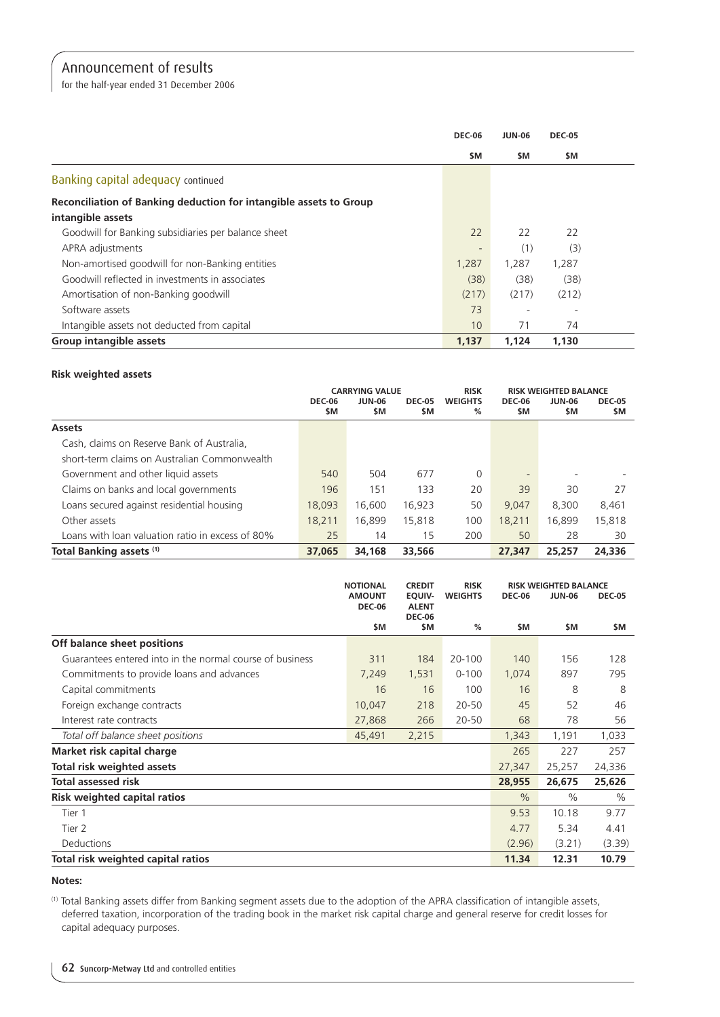for the half-year ended 31 December 2006

|                                                                    | <b>DEC-06</b> | <b>JUN-06</b> | <b>DEC-05</b> |  |
|--------------------------------------------------------------------|---------------|---------------|---------------|--|
|                                                                    | <b>SM</b>     | \$M           | \$M           |  |
| Banking capital adequacy continued                                 |               |               |               |  |
| Reconciliation of Banking deduction for intangible assets to Group |               |               |               |  |
| intangible assets                                                  |               |               |               |  |
| Goodwill for Banking subsidiaries per balance sheet                | 22            | 22            | 22            |  |
| APRA adjustments                                                   |               | (1)           | (3)           |  |
| Non-amortised goodwill for non-Banking entities                    | 1,287         | 1,287         | 1,287         |  |
| Goodwill reflected in investments in associates                    | (38)          | (38)          | (38)          |  |
| Amortisation of non-Banking goodwill                               | (217)         | (217)         | (212)         |  |
| Software assets                                                    | 73            |               |               |  |
| Intangible assets not deducted from capital                        | 10            | 71            | 74            |  |
| Group intangible assets                                            | 1,137         | 1.124         | 1,130         |  |

# **Risk weighted assets**

|                                                  | <b>CARRYING VALUE</b> |                      |                       | <b>RISK</b>         |                      | <b>RISK WEIGHTED BALANCE</b> |                      |
|--------------------------------------------------|-----------------------|----------------------|-----------------------|---------------------|----------------------|------------------------------|----------------------|
|                                                  | <b>DEC-06</b><br>\$M  | <b>JUN-06</b><br>\$M | <b>DEC-05</b><br>\$M. | <b>WEIGHTS</b><br>% | <b>DEC-06</b><br>\$M | JUN-06<br><b>SM</b>          | <b>DEC-05</b><br>\$M |
| <b>Assets</b>                                    |                       |                      |                       |                     |                      |                              |                      |
| Cash, claims on Reserve Bank of Australia,       |                       |                      |                       |                     |                      |                              |                      |
| short-term claims on Australian Commonwealth     |                       |                      |                       |                     |                      |                              |                      |
| Government and other liquid assets               | 540                   | 504                  | 677                   | $\Omega$            |                      |                              |                      |
| Claims on banks and local governments            | 196                   | 151                  | 133                   | 20                  | 39                   | 30                           | 27                   |
| Loans secured against residential housing        | 18.093                | 16.600               | 16.923                | 50                  | 9.047                | 8.300                        | 8,461                |
| Other assets                                     | 18.211                | 16.899               | 15,818                | 100                 | 18.211               | 16.899                       | 15,818               |
| Loans with loan valuation ratio in excess of 80% | 25                    | 14                   | 15                    | 200                 | 50                   | 28                           | 30                   |
| Total Banking assets (1)                         | 37,065                | 34,168               | 33,566                |                     | 27,347               | 25,257                       | 24,336               |

|                                                          | <b>NOTIONAL</b>                | <b>CREDIT</b>                                         | <b>RISK</b>    |               | <b>RISK WEIGHTED BALANCE</b> |               |
|----------------------------------------------------------|--------------------------------|-------------------------------------------------------|----------------|---------------|------------------------------|---------------|
|                                                          | <b>AMOUNT</b><br><b>DEC-06</b> | <b>EOUIV-</b><br><b>ALENT</b><br><b>DEC-06</b><br>\$M | <b>WEIGHTS</b> | <b>DEC-06</b> | <b>JUN-06</b>                | <b>DEC-05</b> |
|                                                          | \$M                            |                                                       | %              | \$M           | \$M                          | \$M           |
| Off balance sheet positions                              |                                |                                                       |                |               |                              |               |
| Guarantees entered into in the normal course of business | 311                            | 184                                                   | 20-100         | 140           | 156                          | 128           |
| Commitments to provide loans and advances                | 7,249                          | 1,531                                                 | $0 - 100$      | 1,074         | 897                          | 795           |
| Capital commitments                                      | 16                             | 16                                                    | 100            | 16            | 8                            | 8             |
| Foreign exchange contracts                               | 10,047                         | 218                                                   | 20-50          | 45            | 52                           | 46            |
| Interest rate contracts                                  | 27,868                         | 266                                                   | 20-50          | 68            | 78                           | 56            |
| Total off balance sheet positions                        | 45,491                         | 2,215                                                 |                | 1,343         | 1,191                        | 1,033         |
| Market risk capital charge                               |                                |                                                       |                | 265           | 227                          | 257           |
| Total risk weighted assets                               |                                |                                                       |                | 27,347        | 25,257                       | 24,336        |
| <b>Total assessed risk</b>                               |                                |                                                       |                | 28,955        | 26,675                       | 25,626        |
| Risk weighted capital ratios                             |                                |                                                       |                | $\frac{0}{0}$ | $\%$                         | $\%$          |
| Tier 1                                                   |                                |                                                       |                | 9.53          | 10.18                        | 9.77          |
| Tier 2                                                   |                                |                                                       |                | 4.77          | 5.34                         | 4.41          |
| <b>Deductions</b>                                        |                                |                                                       |                | (2.96)        | (3.21)                       | (3.39)        |
| Total risk weighted capital ratios                       |                                |                                                       |                | 11.34         | 12.31                        | 10.79         |

#### **Notes:**

(1) Total Banking assets differ from Banking segment assets due to the adoption of the APRA classification of intangible assets, deferred taxation, incorporation of the trading book in the market risk capital charge and general reserve for credit losses for capital adequacy purposes.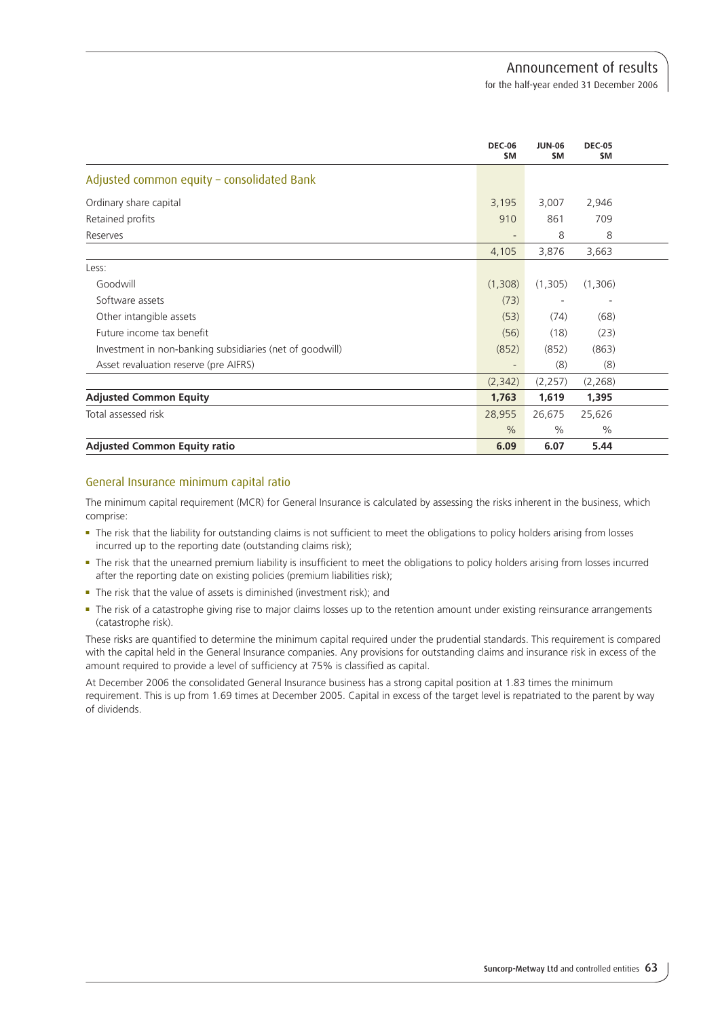for the half-year ended 31 December 2006

|                                                          | <b>DEC-06</b><br>\$M     | <b>JUN-06</b><br>\$M | <b>DEC-05</b><br>\$M     |  |
|----------------------------------------------------------|--------------------------|----------------------|--------------------------|--|
| Adjusted common equity - consolidated Bank               |                          |                      |                          |  |
| Ordinary share capital                                   | 3,195                    | 3,007                | 2,946                    |  |
| Retained profits                                         | 910                      | 861                  | 709                      |  |
| Reserves                                                 | $\overline{\phantom{a}}$ | 8                    | 8                        |  |
|                                                          | 4,105                    | 3,876                | 3,663                    |  |
| Less:                                                    |                          |                      |                          |  |
| Goodwill                                                 | (1,308)                  | (1,305)              | (1,306)                  |  |
| Software assets                                          | (73)                     |                      | $\overline{\phantom{a}}$ |  |
| Other intangible assets                                  | (53)                     | (74)                 | (68)                     |  |
| Future income tax benefit                                | (56)                     | (18)                 | (23)                     |  |
| Investment in non-banking subsidiaries (net of goodwill) | (852)                    | (852)                | (863)                    |  |
| Asset revaluation reserve (pre AIFRS)                    |                          | (8)                  | (8)                      |  |
|                                                          | (2,342)                  | (2,257)              | (2, 268)                 |  |
| <b>Adjusted Common Equity</b>                            | 1,763                    | 1,619                | 1,395                    |  |
| Total assessed risk                                      | 28,955                   | 26,675               | 25,626                   |  |
|                                                          | $\frac{0}{0}$            | $\frac{0}{0}$        | $\%$                     |  |
| <b>Adjusted Common Equity ratio</b>                      | 6.09                     | 6.07                 | 5.44                     |  |

# General Insurance minimum capital ratio

The minimum capital requirement (MCR) for General Insurance is calculated by assessing the risks inherent in the business, which comprise:

- The risk that the liability for outstanding claims is not sufficient to meet the obligations to policy holders arising from losses incurred up to the reporting date (outstanding claims risk);
- <sup>n</sup> The risk that the unearned premium liability is insufficient to meet the obligations to policy holders arising from losses incurred after the reporting date on existing policies (premium liabilities risk);
- $\blacksquare$  The risk that the value of assets is diminished (investment risk); and
- The risk of a catastrophe giving rise to major claims losses up to the retention amount under existing reinsurance arrangements (catastrophe risk).

These risks are quantified to determine the minimum capital required under the prudential standards. This requirement is compared with the capital held in the General Insurance companies. Any provisions for outstanding claims and insurance risk in excess of the amount required to provide a level of sufficiency at 75% is classified as capital.

At December 2006 the consolidated General Insurance business has a strong capital position at 1.83 times the minimum requirement. This is up from 1.69 times at December 2005. Capital in excess of the target level is repatriated to the parent by way of dividends.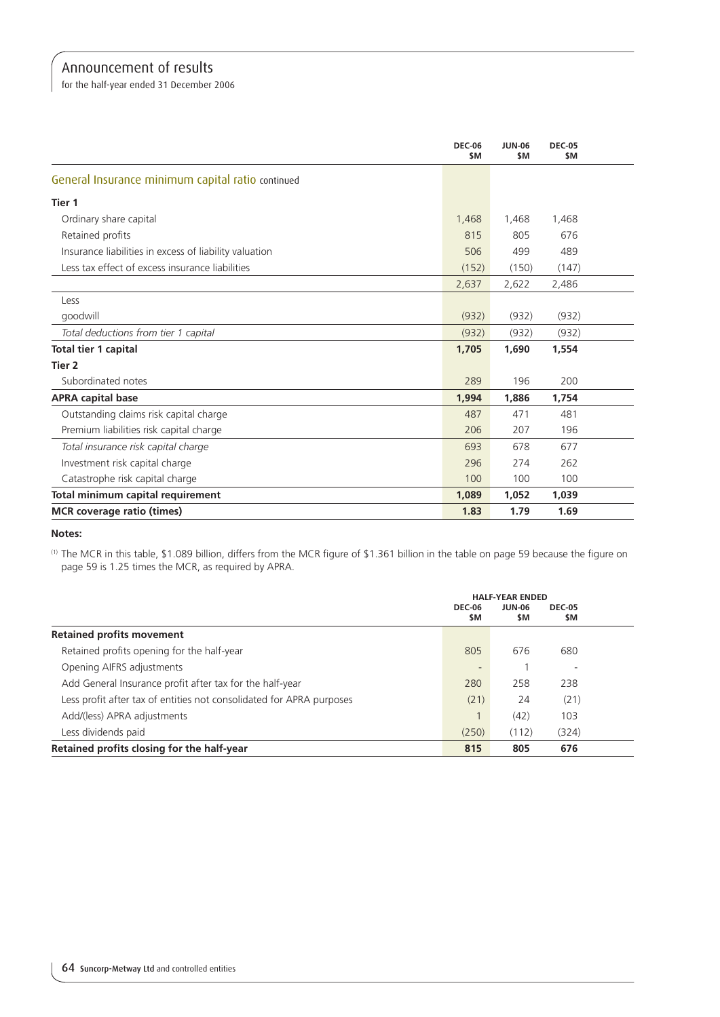for the half-year ended 31 December 2006

|                                                        | <b>DEC-06</b><br>\$M | <b>JUN-06</b><br>\$M | <b>DEC-05</b><br>\$M |  |
|--------------------------------------------------------|----------------------|----------------------|----------------------|--|
| General Insurance minimum capital ratio continued      |                      |                      |                      |  |
| Tier 1                                                 |                      |                      |                      |  |
| Ordinary share capital                                 | 1,468                | 1,468                | 1,468                |  |
| Retained profits                                       | 815                  | 805                  | 676                  |  |
| Insurance liabilities in excess of liability valuation | 506                  | 499                  | 489                  |  |
| Less tax effect of excess insurance liabilities        | (152)                | (150)                | (147)                |  |
|                                                        | 2,637                | 2,622                | 2,486                |  |
| Less                                                   |                      |                      |                      |  |
| goodwill                                               | (932)                | (932)                | (932)                |  |
| Total deductions from tier 1 capital                   | (932)                | (932)                | (932)                |  |
| Total tier 1 capital                                   | 1,705                | 1,690                | 1,554                |  |
| Tier 2                                                 |                      |                      |                      |  |
| Subordinated notes                                     | 289                  | 196                  | 200                  |  |
| <b>APRA capital base</b>                               | 1,994                | 1,886                | 1,754                |  |
| Outstanding claims risk capital charge                 | 487                  | 471                  | 481                  |  |
| Premium liabilities risk capital charge                | 206                  | 207                  | 196                  |  |
| Total insurance risk capital charge                    | 693                  | 678                  | 677                  |  |
| Investment risk capital charge                         | 296                  | 274                  | 262                  |  |
| Catastrophe risk capital charge                        | 100                  | 100                  | 100                  |  |
| Total minimum capital requirement                      | 1,089                | 1,052                | 1,039                |  |
| <b>MCR</b> coverage ratio (times)                      | 1.83                 | 1.79                 | 1.69                 |  |

**Notes:**

(1) The MCR in this table, \$1.089 billion, differs from the MCR figure of \$1.361 billion in the table on page 59 because the figure on page 59 is 1.25 times the MCR, as required by APRA.

|                                                                      | <b>HALF-YEAR ENDED</b><br><b>DEC-06</b> |       |                          |  |
|----------------------------------------------------------------------|-----------------------------------------|-------|--------------------------|--|
|                                                                      | \$M                                     | \$M   | \$M                      |  |
| <b>Retained profits movement</b>                                     |                                         |       |                          |  |
| Retained profits opening for the half-year                           | 805                                     | 676   | 680                      |  |
| Opening AIFRS adjustments                                            |                                         |       | $\overline{\phantom{a}}$ |  |
| Add General Insurance profit after tax for the half-year             | 280                                     | 258   | 238                      |  |
| Less profit after tax of entities not consolidated for APRA purposes | (21)                                    | 24    | (21)                     |  |
| Add/(less) APRA adjustments                                          |                                         | (42)  | 103                      |  |
| Less dividends paid                                                  | (250)                                   | (112) | (324)                    |  |
| Retained profits closing for the half-year                           | 815                                     | 805   | 676                      |  |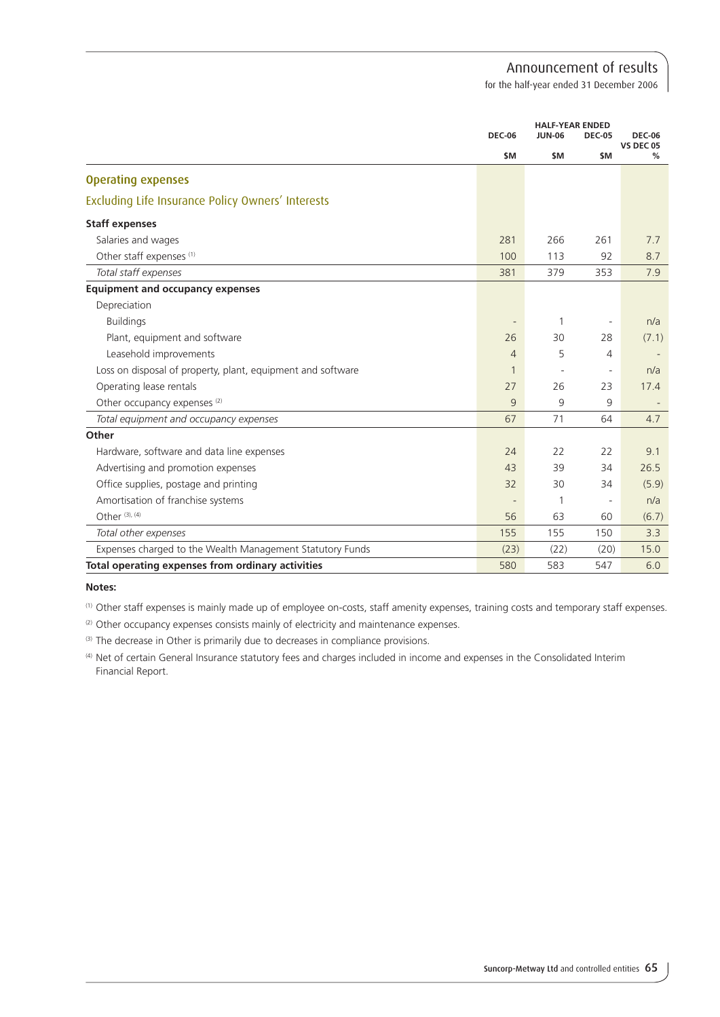for the half-year ended 31 December 2006

|                                                             | <b>DEC-06</b>            | <b>HALF-YEAR ENDED</b><br><b>JUN-06</b><br><b>DEC-05</b> |                          | <b>DEC-06</b><br><b>VS DEC 05</b> |
|-------------------------------------------------------------|--------------------------|----------------------------------------------------------|--------------------------|-----------------------------------|
|                                                             | \$M                      | \$M                                                      | \$M                      | %                                 |
| <b>Operating expenses</b>                                   |                          |                                                          |                          |                                   |
| Excluding Life Insurance Policy Owners' Interests           |                          |                                                          |                          |                                   |
| <b>Staff expenses</b>                                       |                          |                                                          |                          |                                   |
| Salaries and wages                                          | 281                      | 266                                                      | 261                      | 7.7                               |
| Other staff expenses <sup>(1)</sup>                         | 100                      | 113                                                      | 92                       | 8.7                               |
| Total staff expenses                                        | 381                      | 379                                                      | 353                      | 7.9                               |
| <b>Equipment and occupancy expenses</b>                     |                          |                                                          |                          |                                   |
| Depreciation                                                |                          |                                                          |                          |                                   |
| <b>Buildings</b>                                            | $\overline{\phantom{a}}$ | 1                                                        | $\overline{\phantom{a}}$ | n/a                               |
| Plant, equipment and software                               | 26                       | 30                                                       | 28                       | (7.1)                             |
| Leasehold improvements                                      | $\overline{4}$           | 5                                                        | $\overline{4}$           |                                   |
| Loss on disposal of property, plant, equipment and software | $\mathbf{1}$             |                                                          | $\overline{\phantom{a}}$ | n/a                               |
| Operating lease rentals                                     | 27                       | 26                                                       | 23                       | 17.4                              |
| Other occupancy expenses <sup>(2)</sup>                     | 9                        | 9                                                        | 9                        |                                   |
| Total equipment and occupancy expenses                      | 67                       | 71                                                       | 64                       | 4.7                               |
| Other                                                       |                          |                                                          |                          |                                   |
| Hardware, software and data line expenses                   | 24                       | 22                                                       | 22                       | 9.1                               |
| Advertising and promotion expenses                          | 43                       | 39                                                       | 34                       | 26.5                              |
| Office supplies, postage and printing                       | 32                       | 30                                                       | 34                       | (5.9)                             |
| Amortisation of franchise systems                           |                          | 1                                                        | $\overline{\phantom{a}}$ | n/a                               |
| Other $(3)$ , $(4)$                                         | 56                       | 63                                                       | 60                       | (6.7)                             |
| Total other expenses                                        | 155                      | 155                                                      | 150                      | 3.3                               |
| Expenses charged to the Wealth Management Statutory Funds   | (23)                     | (22)                                                     | (20)                     | 15.0                              |
| Total operating expenses from ordinary activities           | 580                      | 583                                                      | 547                      | 6.0                               |

#### **Notes:**

(1) Other staff expenses is mainly made up of employee on-costs, staff amenity expenses, training costs and temporary staff expenses.

(2) Other occupancy expenses consists mainly of electricity and maintenance expenses.

(3) The decrease in Other is primarily due to decreases in compliance provisions.

(4) Net of certain General Insurance statutory fees and charges included in income and expenses in the Consolidated Interim Financial Report.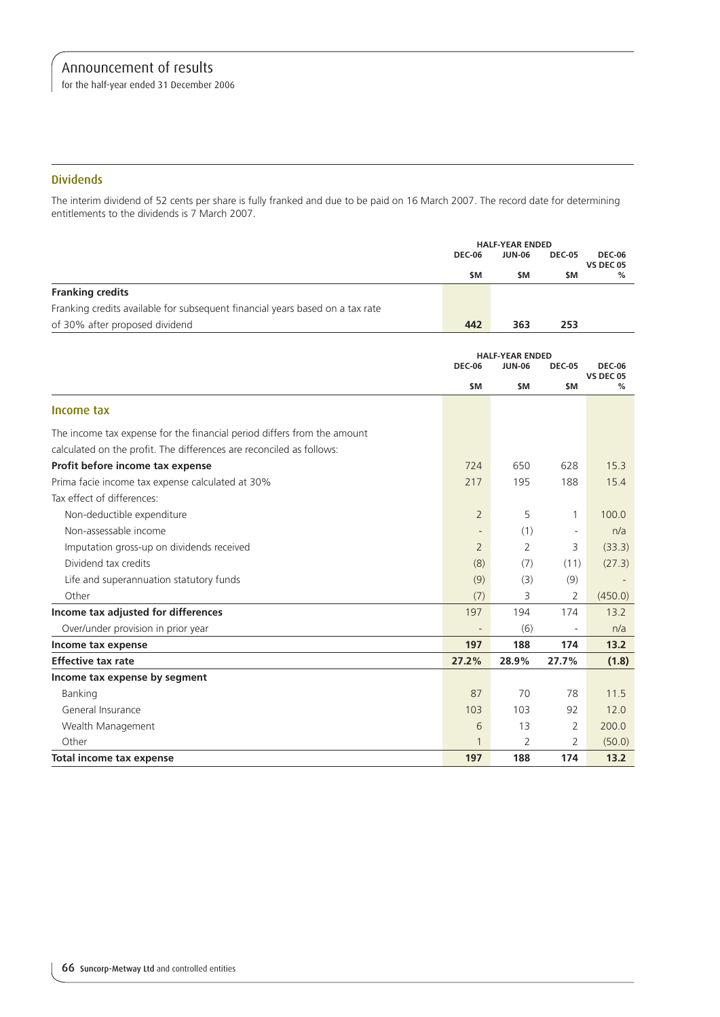for the half-year ended 31 December 2006

## **Dividends**

The interim dividend of 52 cents per share is fully franked and due to be paid on 16 March 2007. The record date for determining entitlements to the dividends is 7 March 2007.

|                                                                               |                | <b>HALF-YEAR ENDED</b> |                          |                                   |
|-------------------------------------------------------------------------------|----------------|------------------------|--------------------------|-----------------------------------|
|                                                                               | <b>DEC-06</b>  | <b>JUN-06</b>          | <b>DEC-05</b>            | <b>DEC-06</b><br><b>VS DEC 05</b> |
|                                                                               | \$M            | \$M                    | \$M                      | %                                 |
| <b>Franking credits</b>                                                       |                |                        |                          |                                   |
| Franking credits available for subsequent financial years based on a tax rate |                |                        |                          |                                   |
| of 30% after proposed dividend                                                | 442            | 363                    | 253                      |                                   |
|                                                                               |                |                        |                          |                                   |
|                                                                               |                | <b>HALF-YEAR ENDED</b> |                          |                                   |
|                                                                               | <b>DEC-06</b>  | <b>JUN-06</b>          | <b>DEC-05</b>            | <b>DEC-06</b><br><b>VS DEC 05</b> |
|                                                                               | \$M            | \$M                    | \$M                      | %                                 |
| Income tax                                                                    |                |                        |                          |                                   |
| The income tax expense for the financial period differs from the amount       |                |                        |                          |                                   |
| calculated on the profit. The differences are reconciled as follows:          |                |                        |                          |                                   |
| Profit before income tax expense                                              | 724            | 650                    | 628                      | 15.3                              |
| Prima facie income tax expense calculated at 30%                              | 217            | 195                    | 188                      | 15.4                              |
| Tax effect of differences:                                                    |                |                        |                          |                                   |
| Non-deductible expenditure                                                    | $\overline{2}$ | 5                      | 1                        | 100.0                             |
| Non-assessable income                                                         |                | (1)                    | $\overline{\phantom{a}}$ | n/a                               |
| Imputation gross-up on dividends received                                     | $\overline{2}$ | 2                      | 3                        | (33.3)                            |
| Dividend tax credits                                                          | (8)            | (7)                    | (11)                     | (27.3)                            |
| Life and superannuation statutory funds                                       | (9)            | (3)                    | (9)                      |                                   |
| Other                                                                         | (7)            | 3                      | 2                        | (450.0)                           |
| Income tax adjusted for differences                                           | 197            | 194                    | 174                      | 13.2                              |
| Over/under provision in prior year                                            |                | (6)                    | $\overline{\phantom{a}}$ | n/a                               |
| Income tax expense                                                            | 197            | 188                    | 174                      | 13.2                              |
| <b>Effective tax rate</b>                                                     | 27.2%          | 28.9%                  | 27.7%                    | (1.8)                             |
| Income tax expense by segment                                                 |                |                        |                          |                                   |
| Banking                                                                       | 87             | 70                     | 78                       | 11.5                              |
| General Insurance                                                             | 103            | 103                    | 92                       | 12.0                              |
| Wealth Management                                                             | 6              | 13                     | 2                        | 200.0                             |
| Other                                                                         | 1              | 2                      | 2                        | (50.0)                            |
| Total income tax expense                                                      | 197            | 188                    | 174                      | 13.2                              |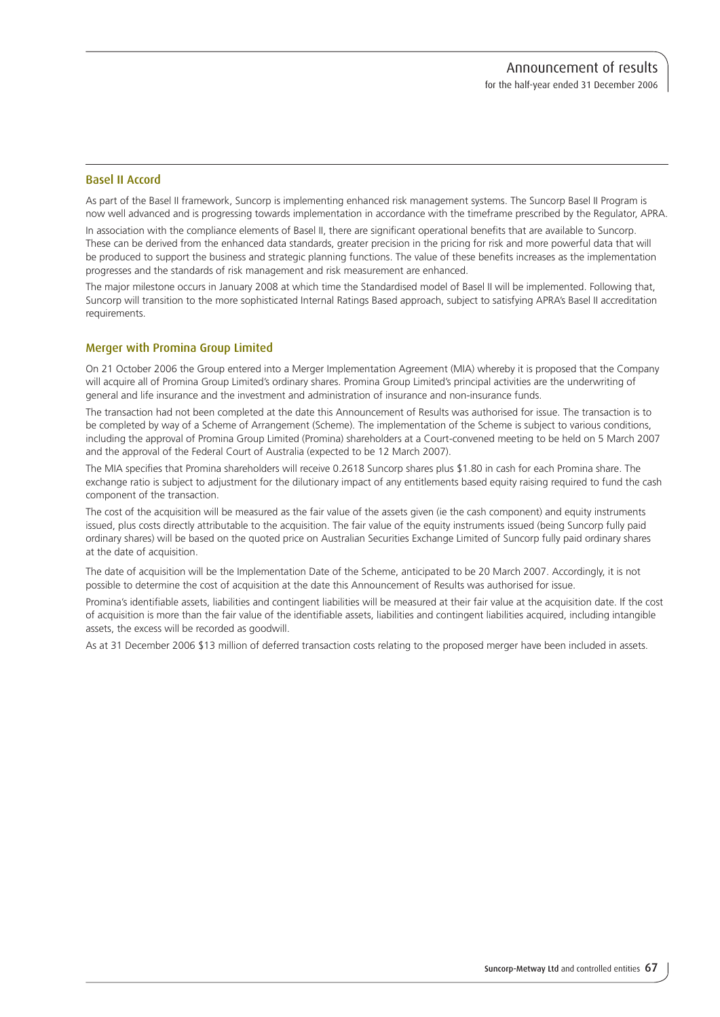# Basel II Accord

As part of the Basel II framework, Suncorp is implementing enhanced risk management systems. The Suncorp Basel II Program is now well advanced and is progressing towards implementation in accordance with the timeframe prescribed by the Regulator, APRA.

In association with the compliance elements of Basel II, there are significant operational benefits that are available to Suncorp. These can be derived from the enhanced data standards, greater precision in the pricing for risk and more powerful data that will be produced to support the business and strategic planning functions. The value of these benefits increases as the implementation progresses and the standards of risk management and risk measurement are enhanced.

The major milestone occurs in January 2008 at which time the Standardised model of Basel II will be implemented. Following that, Suncorp will transition to the more sophisticated Internal Ratings Based approach, subject to satisfying APRA's Basel II accreditation requirements.

## Merger with Promina Group Limited

On 21 October 2006 the Group entered into a Merger Implementation Agreement (MIA) whereby it is proposed that the Company will acquire all of Promina Group Limited's ordinary shares. Promina Group Limited's principal activities are the underwriting of general and life insurance and the investment and administration of insurance and non-insurance funds.

The transaction had not been completed at the date this Announcement of Results was authorised for issue. The transaction is to be completed by way of a Scheme of Arrangement (Scheme). The implementation of the Scheme is subject to various conditions, including the approval of Promina Group Limited (Promina) shareholders at a Court-convened meeting to be held on 5 March 2007 and the approval of the Federal Court of Australia (expected to be 12 March 2007).

The MIA specifies that Promina shareholders will receive 0.2618 Suncorp shares plus \$1.80 in cash for each Promina share. The exchange ratio is subject to adjustment for the dilutionary impact of any entitlements based equity raising required to fund the cash component of the transaction.

The cost of the acquisition will be measured as the fair value of the assets given (ie the cash component) and equity instruments issued, plus costs directly attributable to the acquisition. The fair value of the equity instruments issued (being Suncorp fully paid ordinary shares) will be based on the quoted price on Australian Securities Exchange Limited of Suncorp fully paid ordinary shares at the date of acquisition.

The date of acquisition will be the Implementation Date of the Scheme, anticipated to be 20 March 2007. Accordingly, it is not possible to determine the cost of acquisition at the date this Announcement of Results was authorised for issue.

Promina's identifiable assets, liabilities and contingent liabilities will be measured at their fair value at the acquisition date. If the cost of acquisition is more than the fair value of the identifiable assets, liabilities and contingent liabilities acquired, including intangible assets, the excess will be recorded as goodwill.

As at 31 December 2006 \$13 million of deferred transaction costs relating to the proposed merger have been included in assets.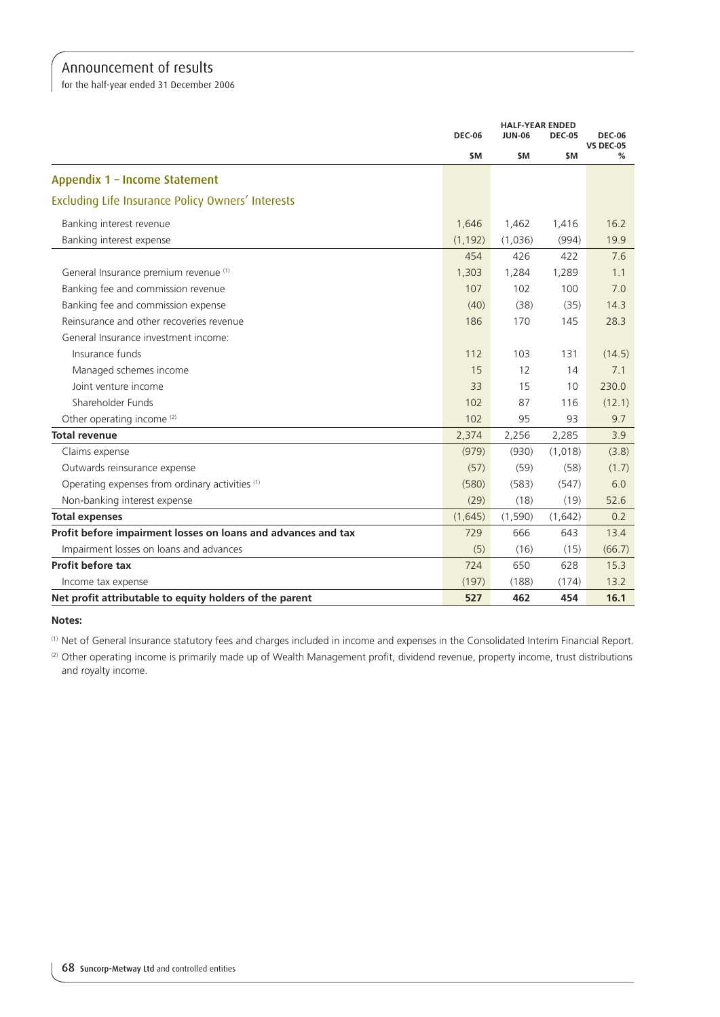for the half-year ended 31 December 2006

|                                                               | <b>DEC-06</b> | <b>JUN-06</b> | <b>HALF-YEAR ENDED</b><br><b>DEC-05</b><br>\$M | <b>DEC-06</b><br><b>VS DEC-05</b><br>℅ |
|---------------------------------------------------------------|---------------|---------------|------------------------------------------------|----------------------------------------|
|                                                               | \$M           | \$M           |                                                |                                        |
| Appendix 1 - Income Statement                                 |               |               |                                                |                                        |
| Excluding Life Insurance Policy Owners' Interests             |               |               |                                                |                                        |
| Banking interest revenue                                      | 1,646         | 1,462         | 1,416                                          | 16.2                                   |
| Banking interest expense                                      | (1, 192)      | (1,036)       | (994)                                          | 19.9                                   |
|                                                               | 454           | 426           | 422                                            | 7.6                                    |
| General Insurance premium revenue (1)                         | 1,303         | 1,284         | 1,289                                          | 1.1                                    |
| Banking fee and commission revenue                            | 107           | 102           | 100                                            | 7.0                                    |
| Banking fee and commission expense                            | (40)          | (38)          | (35)                                           | 14.3                                   |
| Reinsurance and other recoveries revenue                      | 186           | 170           | 145                                            | 28.3                                   |
| General Insurance investment income:                          |               |               |                                                |                                        |
| Insurance funds                                               | 112           | 103           | 131                                            | (14.5)                                 |
| Managed schemes income                                        | 15            | 12            | 14                                             | 7.1                                    |
| Joint venture income                                          | 33            | 15            | 10                                             | 230.0                                  |
| Shareholder Funds                                             | 102           | 87            | 116                                            | (12.1)                                 |
| Other operating income <sup>(2)</sup>                         | 102           | 95            | 93                                             | 9.7                                    |
| <b>Total revenue</b>                                          | 2,374         | 2,256         | 2,285                                          | 3.9                                    |
| Claims expense                                                | (979)         | (930)         | (1,018)                                        | (3.8)                                  |
| Outwards reinsurance expense                                  | (57)          | (59)          | (58)                                           | (1.7)                                  |
| Operating expenses from ordinary activities (1)               | (580)         | (583)         | (547)                                          | 6.0                                    |
| Non-banking interest expense                                  | (29)          | (18)          | (19)                                           | 52.6                                   |
| <b>Total expenses</b>                                         | (1,645)       | (1, 590)      | (1,642)                                        | 0.2                                    |
| Profit before impairment losses on loans and advances and tax | 729           | 666           | 643                                            | 13.4                                   |
| Impairment losses on loans and advances                       | (5)           | (16)          | (15)                                           | (66.7)                                 |
| Profit before tax                                             | 724           | 650           | 628                                            | 15.3                                   |
| Income tax expense                                            | (197)         | (188)         | (174)                                          | 13.2                                   |
| Net profit attributable to equity holders of the parent       | 527           | 462           | 454                                            | 16.1                                   |

**Notes:**

(1) Net of General Insurance statutory fees and charges included in income and expenses in the Consolidated Interim Financial Report.

(2) Other operating income is primarily made up of Wealth Management profit, dividend revenue, property income, trust distributions and royalty income.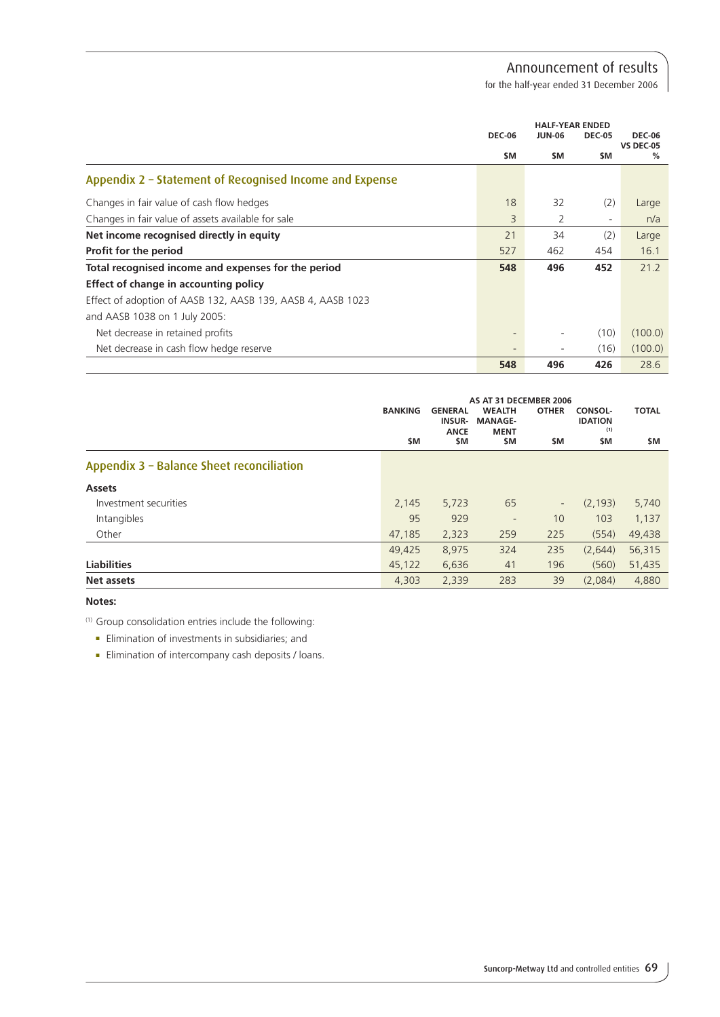for the half-year ended 31 December 2006

|                                                             | <b>HALF-YEAR ENDED</b> |               |               |                                   |
|-------------------------------------------------------------|------------------------|---------------|---------------|-----------------------------------|
|                                                             | <b>DEC-06</b>          | <b>JUN-06</b> | <b>DEC-05</b> | <b>DEC-06</b><br><b>VS DEC-05</b> |
|                                                             | \$M                    | \$M           | \$M.          | $\%$                              |
| Appendix 2 - Statement of Recognised Income and Expense     |                        |               |               |                                   |
| Changes in fair value of cash flow hedges                   | 18                     | 32            | (2)           | Large                             |
| Changes in fair value of assets available for sale          | 3                      | 2             | -             | n/a                               |
| Net income recognised directly in equity                    | 21                     | 34            | (2)           | Large                             |
| Profit for the period                                       | 527                    | 462           | 454           | 16.1                              |
| Total recognised income and expenses for the period         | 548                    | 496           | 452           | 21.2                              |
| Effect of change in accounting policy                       |                        |               |               |                                   |
| Effect of adoption of AASB 132, AASB 139, AASB 4, AASB 1023 |                        |               |               |                                   |
| and AASB 1038 on 1 July 2005:                               |                        |               |               |                                   |
| Net decrease in retained profits                            |                        |               | (10)          | (100.0)                           |
| Net decrease in cash flow hedge reserve                     |                        | ۰             | (16)          | (100.0)                           |
|                                                             | 548                    | 496           | 426           | 28.6                              |

|                                           | <b>BANKING</b> | <b>GENERAL</b><br><b>INSUR-</b><br><b>ANCE</b> | AS AT 31 DECEMBER 2006<br><b>WEALTH</b><br><b>MANAGE-</b><br><b>MENT</b> | <b>OTHER</b>             | <b>CONSOL-</b><br><b>IDATION</b><br>(1) | <b>TOTAL</b> |
|-------------------------------------------|----------------|------------------------------------------------|--------------------------------------------------------------------------|--------------------------|-----------------------------------------|--------------|
|                                           | \$M            | \$M                                            | \$M                                                                      | \$M                      | \$M                                     | \$M          |
| Appendix 3 - Balance Sheet reconciliation |                |                                                |                                                                          |                          |                                         |              |
| <b>Assets</b>                             |                |                                                |                                                                          |                          |                                         |              |
| Investment securities                     | 2,145          | 5,723                                          | 65                                                                       | $\overline{\phantom{a}}$ | (2, 193)                                | 5,740        |
| Intangibles                               | 95             | 929                                            | $\overline{\phantom{a}}$                                                 | 10                       | 103                                     | 1,137        |
| Other                                     | 47,185         | 2,323                                          | 259                                                                      | 225                      | (554)                                   | 49,438       |
|                                           | 49,425         | 8,975                                          | 324                                                                      | 235                      | (2,644)                                 | 56,315       |
| <b>Liabilities</b>                        | 45,122         | 6,636                                          | 41                                                                       | 196                      | (560)                                   | 51,435       |
| Net assets                                | 4,303          | 2,339                                          | 283                                                                      | 39                       | (2,084)                                 | 4,880        |

# **Notes:**

(1) Group consolidation entries include the following:

- $\blacksquare$  Elimination of investments in subsidiaries; and
- **Elimination of intercompany cash deposits / loans.**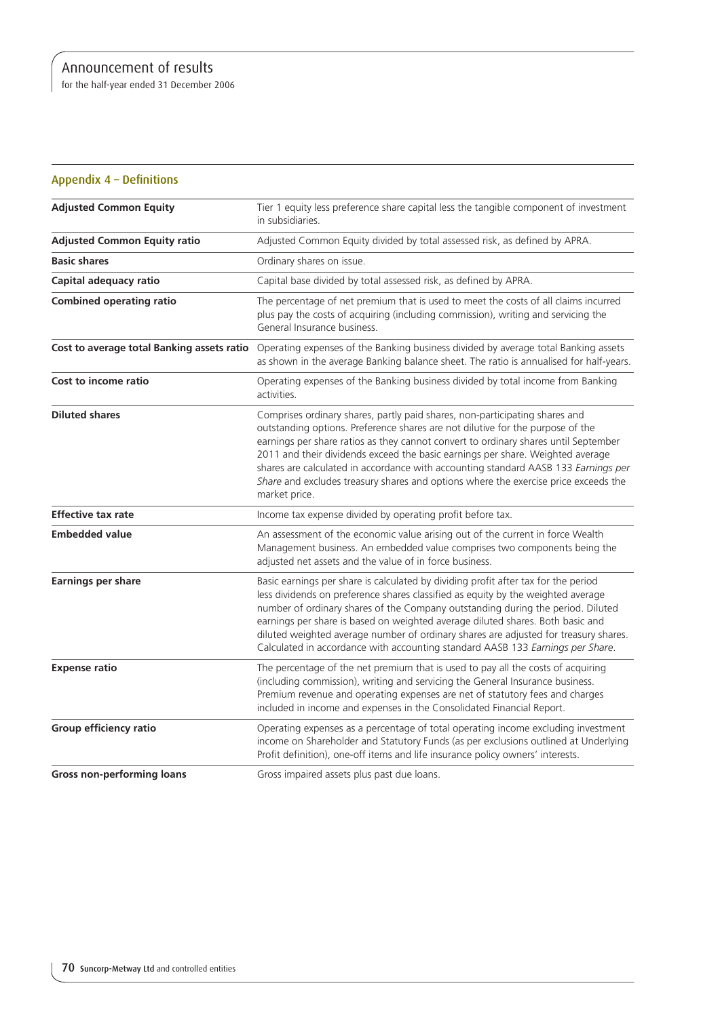for the half-year ended 31 December 2006

| Appendix 4 - Definitions                   |                                                                                                                                                                                                                                                                                                                                                                                                                                                                                                                                      |
|--------------------------------------------|--------------------------------------------------------------------------------------------------------------------------------------------------------------------------------------------------------------------------------------------------------------------------------------------------------------------------------------------------------------------------------------------------------------------------------------------------------------------------------------------------------------------------------------|
| <b>Adjusted Common Equity</b>              | Tier 1 equity less preference share capital less the tangible component of investment<br>in subsidiaries.                                                                                                                                                                                                                                                                                                                                                                                                                            |
| <b>Adjusted Common Equity ratio</b>        | Adjusted Common Equity divided by total assessed risk, as defined by APRA.                                                                                                                                                                                                                                                                                                                                                                                                                                                           |
| <b>Basic shares</b>                        | Ordinary shares on issue.                                                                                                                                                                                                                                                                                                                                                                                                                                                                                                            |
| Capital adequacy ratio                     | Capital base divided by total assessed risk, as defined by APRA.                                                                                                                                                                                                                                                                                                                                                                                                                                                                     |
| <b>Combined operating ratio</b>            | The percentage of net premium that is used to meet the costs of all claims incurred<br>plus pay the costs of acquiring (including commission), writing and servicing the<br>General Insurance business.                                                                                                                                                                                                                                                                                                                              |
| Cost to average total Banking assets ratio | Operating expenses of the Banking business divided by average total Banking assets<br>as shown in the average Banking balance sheet. The ratio is annualised for half-years.                                                                                                                                                                                                                                                                                                                                                         |
| Cost to income ratio                       | Operating expenses of the Banking business divided by total income from Banking<br>activities.                                                                                                                                                                                                                                                                                                                                                                                                                                       |
| <b>Diluted shares</b>                      | Comprises ordinary shares, partly paid shares, non-participating shares and<br>outstanding options. Preference shares are not dilutive for the purpose of the<br>earnings per share ratios as they cannot convert to ordinary shares until September<br>2011 and their dividends exceed the basic earnings per share. Weighted average<br>shares are calculated in accordance with accounting standard AASB 133 Earnings per<br>Share and excludes treasury shares and options where the exercise price exceeds the<br>market price. |
| <b>Effective tax rate</b>                  | Income tax expense divided by operating profit before tax.                                                                                                                                                                                                                                                                                                                                                                                                                                                                           |
| <b>Embedded value</b>                      | An assessment of the economic value arising out of the current in force Wealth<br>Management business. An embedded value comprises two components being the<br>adjusted net assets and the value of in force business.                                                                                                                                                                                                                                                                                                               |
| <b>Earnings per share</b>                  | Basic earnings per share is calculated by dividing profit after tax for the period<br>less dividends on preference shares classified as equity by the weighted average<br>number of ordinary shares of the Company outstanding during the period. Diluted<br>earnings per share is based on weighted average diluted shares. Both basic and<br>diluted weighted average number of ordinary shares are adjusted for treasury shares.<br>Calculated in accordance with accounting standard AASB 133 Earnings per Share.                |
| <b>Expense ratio</b>                       | The percentage of the net premium that is used to pay all the costs of acquiring<br>(including commission), writing and servicing the General Insurance business.<br>Premium revenue and operating expenses are net of statutory fees and charges<br>included in income and expenses in the Consolidated Financial Report.                                                                                                                                                                                                           |
| Group efficiency ratio                     | Operating expenses as a percentage of total operating income excluding investment<br>income on Shareholder and Statutory Funds (as per exclusions outlined at Underlying<br>Profit definition), one-off items and life insurance policy owners' interests.                                                                                                                                                                                                                                                                           |
| <b>Gross non-performing loans</b>          | Gross impaired assets plus past due loans.                                                                                                                                                                                                                                                                                                                                                                                                                                                                                           |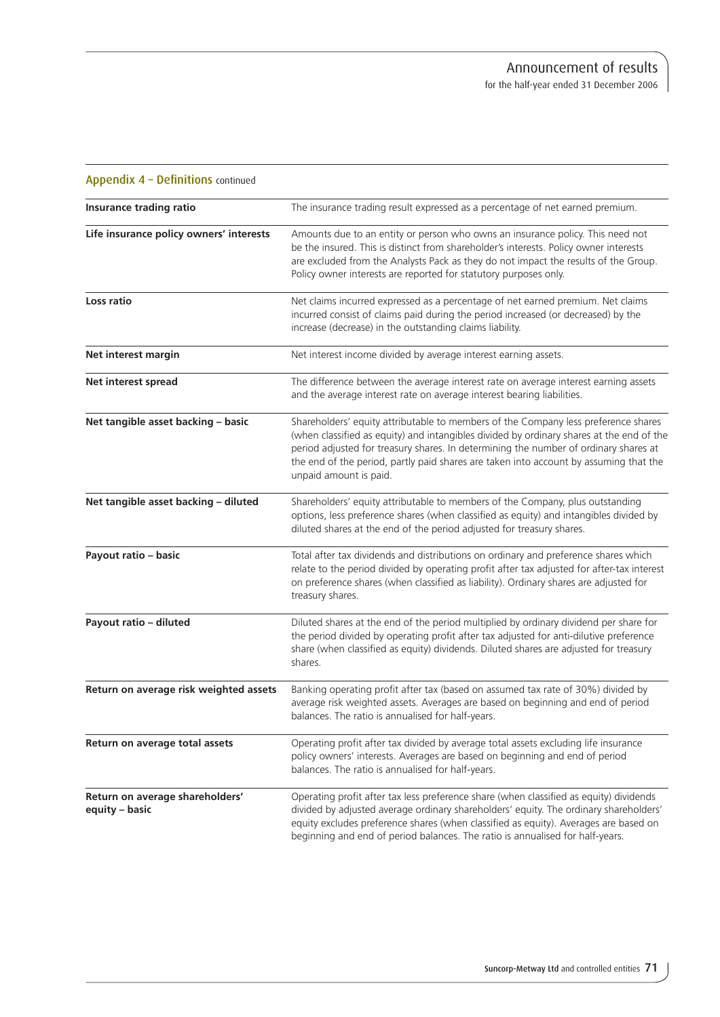| Appendix 4 - Definitions continued                |                                                                                                                                                                                                                                                                                                                                                                                           |
|---------------------------------------------------|-------------------------------------------------------------------------------------------------------------------------------------------------------------------------------------------------------------------------------------------------------------------------------------------------------------------------------------------------------------------------------------------|
| <b>Insurance trading ratio</b>                    | The insurance trading result expressed as a percentage of net earned premium.                                                                                                                                                                                                                                                                                                             |
| Life insurance policy owners' interests           | Amounts due to an entity or person who owns an insurance policy. This need not<br>be the insured. This is distinct from shareholder's interests. Policy owner interests<br>are excluded from the Analysts Pack as they do not impact the results of the Group.<br>Policy owner interests are reported for statutory purposes only.                                                        |
| Loss ratio                                        | Net claims incurred expressed as a percentage of net earned premium. Net claims<br>incurred consist of claims paid during the period increased (or decreased) by the<br>increase (decrease) in the outstanding claims liability.                                                                                                                                                          |
| Net interest margin                               | Net interest income divided by average interest earning assets.                                                                                                                                                                                                                                                                                                                           |
| Net interest spread                               | The difference between the average interest rate on average interest earning assets<br>and the average interest rate on average interest bearing liabilities.                                                                                                                                                                                                                             |
| Net tangible asset backing - basic                | Shareholders' equity attributable to members of the Company less preference shares<br>(when classified as equity) and intangibles divided by ordinary shares at the end of the<br>period adjusted for treasury shares. In determining the number of ordinary shares at<br>the end of the period, partly paid shares are taken into account by assuming that the<br>unpaid amount is paid. |
| Net tangible asset backing - diluted              | Shareholders' equity attributable to members of the Company, plus outstanding<br>options, less preference shares (when classified as equity) and intangibles divided by<br>diluted shares at the end of the period adjusted for treasury shares.                                                                                                                                          |
| Payout ratio - basic                              | Total after tax dividends and distributions on ordinary and preference shares which<br>relate to the period divided by operating profit after tax adjusted for after-tax interest<br>on preference shares (when classified as liability). Ordinary shares are adjusted for<br>treasury shares.                                                                                            |
| Payout ratio - diluted                            | Diluted shares at the end of the period multiplied by ordinary dividend per share for<br>the period divided by operating profit after tax adjusted for anti-dilutive preference<br>share (when classified as equity) dividends. Diluted shares are adjusted for treasury<br>shares.                                                                                                       |
| Return on average risk weighted assets            | Banking operating profit after tax (based on assumed tax rate of 30%) divided by<br>average risk weighted assets. Averages are based on beginning and end of period<br>balances. The ratio is annualised for half-years.                                                                                                                                                                  |
| Return on average total assets                    | Operating profit after tax divided by average total assets excluding life insurance<br>policy owners' interests. Averages are based on beginning and end of period<br>balances. The ratio is annualised for half-years.                                                                                                                                                                   |
| Return on average shareholders'<br>equity - basic | Operating profit after tax less preference share (when classified as equity) dividends<br>divided by adjusted average ordinary shareholders' equity. The ordinary shareholders'<br>equity excludes preference shares (when classified as equity). Averages are based on<br>beginning and end of period balances. The ratio is annualised for half-years.                                  |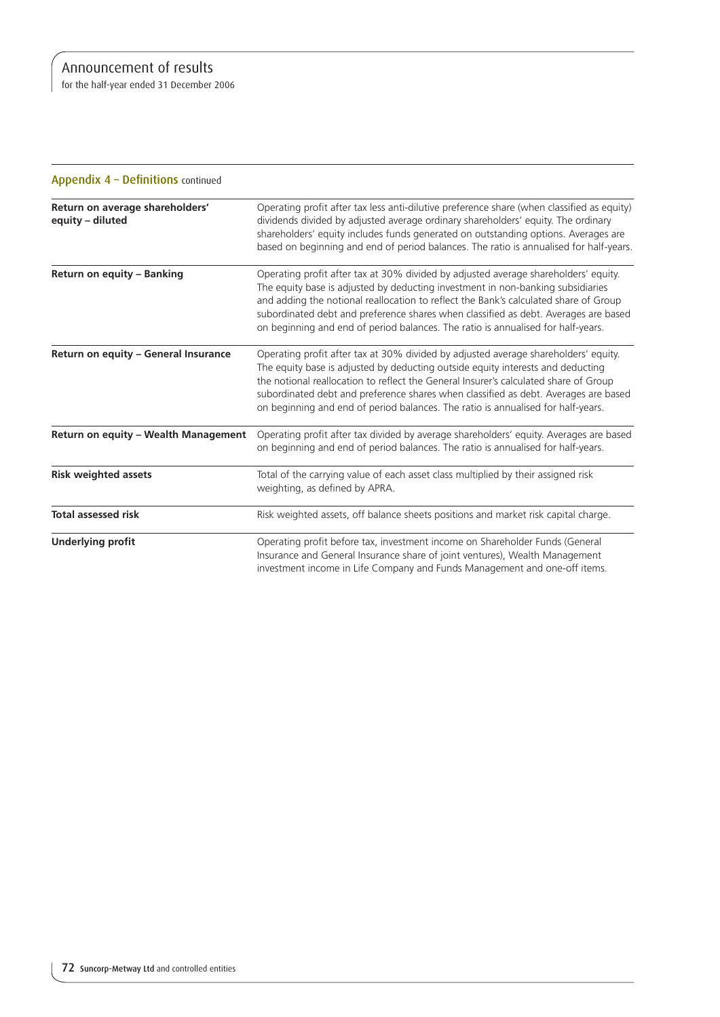for the half-year ended 31 December 2006

| Appendix 4 - Definitions continued                  |                                                                                                                                                                                                                                                                                                                                                                                                                                           |
|-----------------------------------------------------|-------------------------------------------------------------------------------------------------------------------------------------------------------------------------------------------------------------------------------------------------------------------------------------------------------------------------------------------------------------------------------------------------------------------------------------------|
| Return on average shareholders'<br>equity - diluted | Operating profit after tax less anti-dilutive preference share (when classified as equity)<br>dividends divided by adjusted average ordinary shareholders' equity. The ordinary<br>shareholders' equity includes funds generated on outstanding options. Averages are<br>based on beginning and end of period balances. The ratio is annualised for half-years.                                                                           |
| Return on equity - Banking                          | Operating profit after tax at 30% divided by adjusted average shareholders' equity.<br>The equity base is adjusted by deducting investment in non-banking subsidiaries<br>and adding the notional reallocation to reflect the Bank's calculated share of Group<br>subordinated debt and preference shares when classified as debt. Averages are based<br>on beginning and end of period balances. The ratio is annualised for half-years. |
| Return on equity - General Insurance                | Operating profit after tax at 30% divided by adjusted average shareholders' equity.<br>The equity base is adjusted by deducting outside equity interests and deducting<br>the notional reallocation to reflect the General Insurer's calculated share of Group<br>subordinated debt and preference shares when classified as debt. Averages are based<br>on beginning and end of period balances. The ratio is annualised for half-years. |
| Return on equity - Wealth Management                | Operating profit after tax divided by average shareholders' equity. Averages are based<br>on beginning and end of period balances. The ratio is annualised for half-years.                                                                                                                                                                                                                                                                |
| <b>Risk weighted assets</b>                         | Total of the carrying value of each asset class multiplied by their assigned risk<br>weighting, as defined by APRA.                                                                                                                                                                                                                                                                                                                       |
| <b>Total assessed risk</b>                          | Risk weighted assets, off balance sheets positions and market risk capital charge.                                                                                                                                                                                                                                                                                                                                                        |
| <b>Underlying profit</b>                            | Operating profit before tax, investment income on Shareholder Funds (General<br>Insurance and General Insurance share of joint ventures), Wealth Management<br>investment income in Life Company and Funds Management and one-off items.                                                                                                                                                                                                  |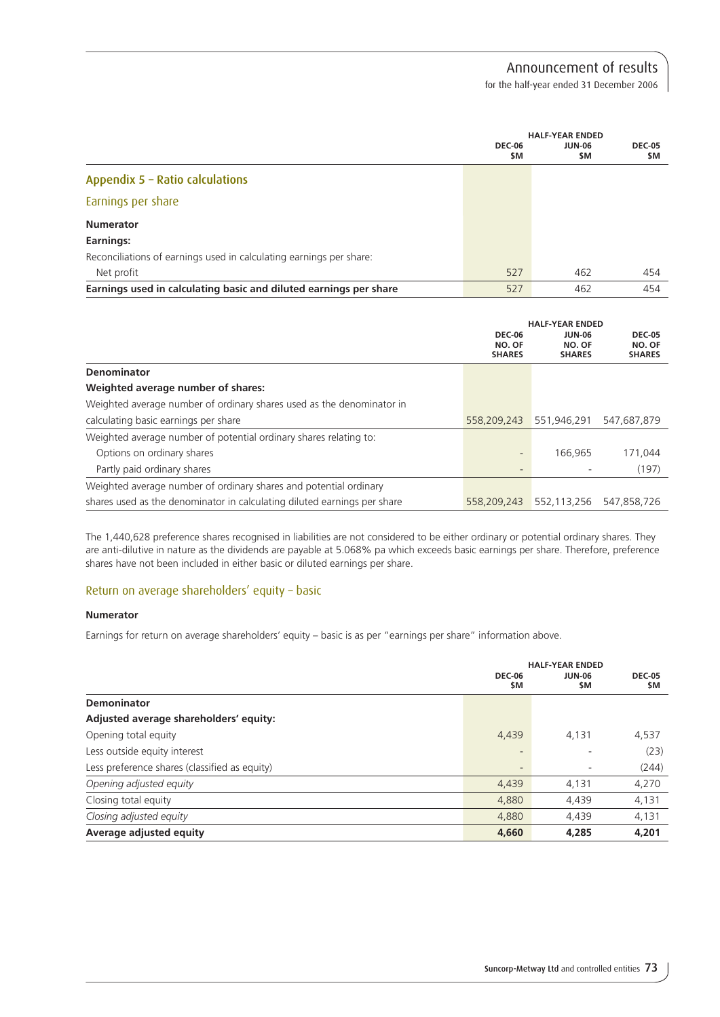for the half-year ended 31 December 2006

|                                                                     | <b>DEC-06</b><br>\$M | <b>HALF-YEAR ENDED</b><br><b>JUN-06</b><br>\$M | <b>DEC-05</b><br><b>SM</b> |
|---------------------------------------------------------------------|----------------------|------------------------------------------------|----------------------------|
| Appendix 5 - Ratio calculations                                     |                      |                                                |                            |
| Earnings per share                                                  |                      |                                                |                            |
| <b>Numerator</b>                                                    |                      |                                                |                            |
| Earnings:                                                           |                      |                                                |                            |
| Reconciliations of earnings used in calculating earnings per share: |                      |                                                |                            |
| Net profit                                                          | 527                  | 462                                            | 454                        |
| Earnings used in calculating basic and diluted earnings per share   | 527                  | 462                                            | 454                        |

|                                                                          | <b>DEC-06</b><br>NO. OF<br><b>SHARES</b> | <b>HALF-YEAR ENDED</b><br>JUN-06<br>NO. OF<br><b>SHARES</b> | <b>DEC-05</b><br>NO. OF<br><b>SHARES</b> |
|--------------------------------------------------------------------------|------------------------------------------|-------------------------------------------------------------|------------------------------------------|
| Denominator                                                              |                                          |                                                             |                                          |
| Weighted average number of shares:                                       |                                          |                                                             |                                          |
| Weighted average number of ordinary shares used as the denominator in    |                                          |                                                             |                                          |
| calculating basic earnings per share                                     | 558,209,243                              | 551.946.291                                                 | 547.687.879                              |
| Weighted average number of potential ordinary shares relating to:        |                                          |                                                             |                                          |
| Options on ordinary shares                                               | -                                        | 166.965                                                     | 171.044                                  |
| Partly paid ordinary shares                                              | $\overline{\phantom{0}}$                 |                                                             | (197)                                    |
| Weighted average number of ordinary shares and potential ordinary        |                                          |                                                             |                                          |
| shares used as the denominator in calculating diluted earnings per share | 558,209,243                              | 552.113.256                                                 | 547.858.726                              |

The 1,440,628 preference shares recognised in liabilities are not considered to be either ordinary or potential ordinary shares. They are anti-dilutive in nature as the dividends are payable at 5.068% pa which exceeds basic earnings per share. Therefore, preference shares have not been included in either basic or diluted earnings per share.

## Return on average shareholders' equity – basic

## **Numerator**

Earnings for return on average shareholders' equity – basic is as per "earnings per share" information above.

|                                               | <b>DEC-06</b><br>\$M | <b>HALF-YEAR ENDED</b><br>JUN-06<br>\$M | <b>DEC-05</b><br>\$M |
|-----------------------------------------------|----------------------|-----------------------------------------|----------------------|
| Demoninator                                   |                      |                                         |                      |
| Adjusted average shareholders' equity:        |                      |                                         |                      |
| Opening total equity                          | 4,439                | 4.131                                   | 4,537                |
| Less outside equity interest                  |                      |                                         | (23)                 |
| Less preference shares (classified as equity) | $\qquad \qquad =$    | ٠                                       | (244)                |
| Opening adjusted equity                       | 4,439                | 4,131                                   | 4,270                |
| Closing total equity                          | 4,880                | 4,439                                   | 4,131                |
| Closing adjusted equity                       | 4,880                | 4,439                                   | 4,131                |
| Average adjusted equity                       | 4,660                | 4,285                                   | 4,201                |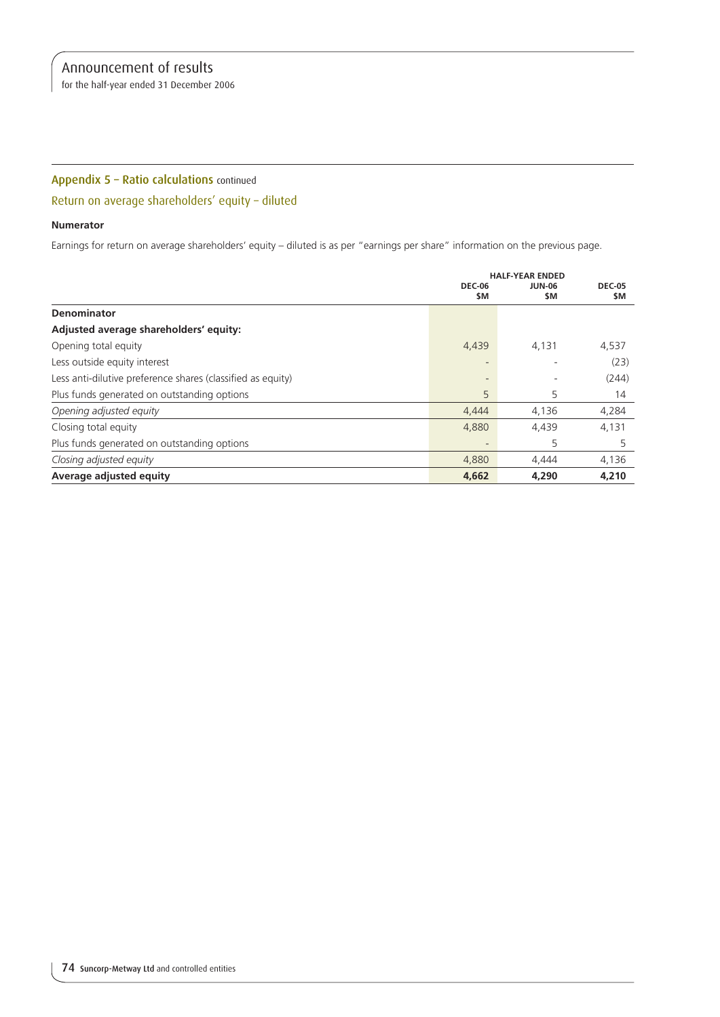for the half-year ended 31 December 2006

# Appendix 5 – Ratio calculations continued

# Return on average shareholders' equity – diluted

## **Numerator**

Earnings for return on average shareholders' equity – diluted is as per "earnings per share" information on the previous page.

|                                                             |                      | <b>HALF-YEAR ENDED</b> |                      |  |
|-------------------------------------------------------------|----------------------|------------------------|----------------------|--|
|                                                             | <b>DEC-06</b><br>\$M | <b>JUN-06</b><br>\$M   | <b>DEC-05</b><br>\$M |  |
| Denominator                                                 |                      |                        |                      |  |
| Adjusted average shareholders' equity:                      |                      |                        |                      |  |
| Opening total equity                                        | 4,439                | 4,131                  | 4,537                |  |
| Less outside equity interest                                |                      |                        | (23)                 |  |
| Less anti-dilutive preference shares (classified as equity) |                      |                        | (244)                |  |
| Plus funds generated on outstanding options                 | 5                    | 5                      | 14                   |  |
| Opening adjusted equity                                     | 4,444                | 4,136                  | 4,284                |  |
| Closing total equity                                        | 4,880                | 4,439                  | 4,131                |  |
| Plus funds generated on outstanding options                 |                      | 5                      | 5                    |  |
| Closing adjusted equity                                     | 4,880                | 4,444                  | 4,136                |  |
| Average adjusted equity                                     | 4,662                | 4,290                  | 4,210                |  |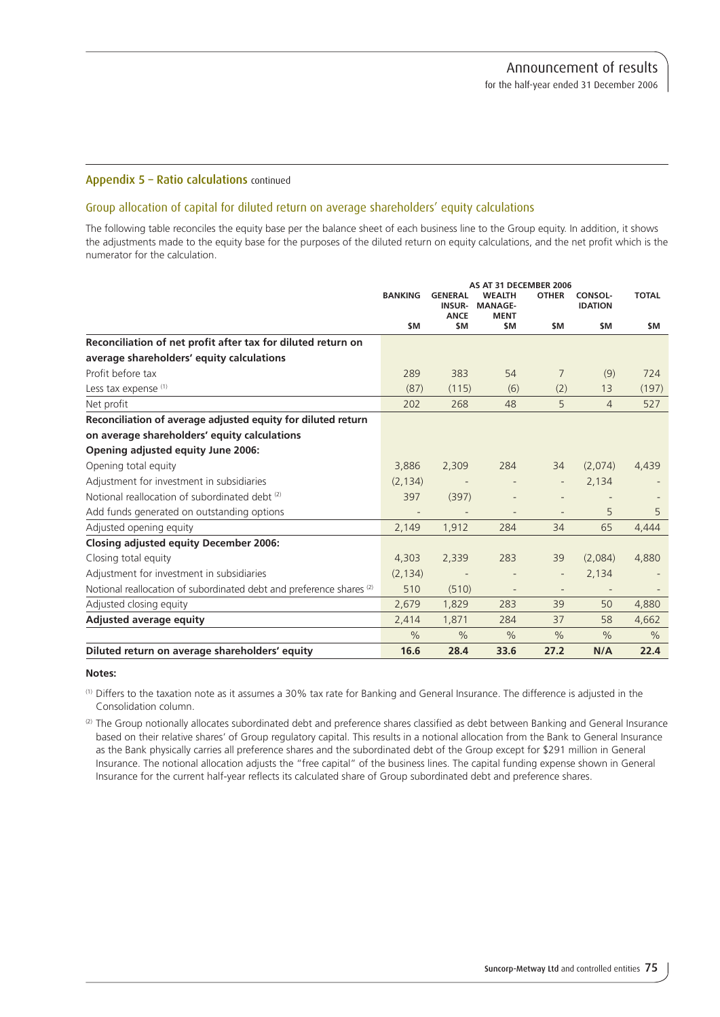## Appendix 5 – Ratio calculations continued

## Group allocation of capital for diluted return on average shareholders' equity calculations

The following table reconciles the equity base per the balance sheet of each business line to the Group equity. In addition, it shows the adjustments made to the equity base for the purposes of the diluted return on equity calculations, and the net profit which is the numerator for the calculation.

|                                                                                 | <b>BANKING</b> | <b>GENERAL</b><br><b>INSUR-</b><br><b>ANCE</b> | AS AT 31 DECEMBER 2006<br><b>WEALTH</b><br><b>MANAGE-</b><br><b>MENT</b> | <b>OTHER</b>             | CONSOL-<br><b>IDATION</b> | <b>TOTAL</b>  |
|---------------------------------------------------------------------------------|----------------|------------------------------------------------|--------------------------------------------------------------------------|--------------------------|---------------------------|---------------|
|                                                                                 | \$M            | \$M                                            | \$M                                                                      | \$M                      | \$M                       | \$M           |
| Reconciliation of net profit after tax for diluted return on                    |                |                                                |                                                                          |                          |                           |               |
| average shareholders' equity calculations                                       |                |                                                |                                                                          |                          |                           |               |
| Profit before tax                                                               | 289            | 383                                            | 54                                                                       | $\overline{7}$           | (9)                       | 724           |
| Less tax expense (1)                                                            | (87)           | (115)                                          | (6)                                                                      | (2)                      | 13                        | (197)         |
| Net profit                                                                      | 202            | 268                                            | 48                                                                       | 5                        | $\overline{4}$            | 527           |
| Reconciliation of average adjusted equity for diluted return                    |                |                                                |                                                                          |                          |                           |               |
| on average shareholders' equity calculations                                    |                |                                                |                                                                          |                          |                           |               |
| Opening adjusted equity June 2006:                                              |                |                                                |                                                                          |                          |                           |               |
| Opening total equity                                                            | 3.886          | 2,309                                          | 284                                                                      | 34                       | (2.074)                   | 4,439         |
| Adjustment for investment in subsidiaries                                       | (2, 134)       | $\overline{\phantom{a}}$                       |                                                                          | $\overline{\phantom{a}}$ | 2,134                     |               |
| Notional reallocation of subordinated debt (2)                                  | 397            | (397)                                          |                                                                          |                          |                           |               |
| Add funds generated on outstanding options                                      |                | $\overline{\phantom{a}}$                       |                                                                          |                          | 5                         | 5             |
| Adjusted opening equity                                                         | 2,149          | 1,912                                          | 284                                                                      | 34                       | 65                        | 4,444         |
| <b>Closing adjusted equity December 2006:</b>                                   |                |                                                |                                                                          |                          |                           |               |
| Closing total equity                                                            | 4.303          | 2,339                                          | 283                                                                      | 39                       | (2.084)                   | 4,880         |
| Adjustment for investment in subsidiaries                                       | (2, 134)       | $\overline{\phantom{a}}$                       |                                                                          | $\overline{\phantom{m}}$ | 2,134                     |               |
| Notional reallocation of subordinated debt and preference shares <sup>(2)</sup> | 510            | (510)                                          | $\overline{\phantom{a}}$                                                 | $\qquad \qquad -$        | $\overline{\phantom{a}}$  |               |
| Adjusted closing equity                                                         | 2,679          | 1,829                                          | 283                                                                      | 39                       | 50                        | 4,880         |
| <b>Adjusted average equity</b>                                                  | 2,414          | 1,871                                          | 284                                                                      | 37                       | 58                        | 4,662         |
|                                                                                 | $\frac{0}{0}$  | $\%$                                           | $\frac{0}{0}$                                                            | $\frac{0}{0}$            | $\frac{0}{0}$             | $\frac{0}{0}$ |
| Diluted return on average shareholders' equity                                  | 16.6           | 28.4                                           | 33.6                                                                     | 27.2                     | N/A                       | 22.4          |

#### **Notes:**

(1) Differs to the taxation note as it assumes a 30% tax rate for Banking and General Insurance. The difference is adjusted in the Consolidation column.

(2) The Group notionally allocates subordinated debt and preference shares classified as debt between Banking and General Insurance based on their relative shares' of Group regulatory capital. This results in a notional allocation from the Bank to General Insurance as the Bank physically carries all preference shares and the subordinated debt of the Group except for \$291 million in General Insurance. The notional allocation adjusts the "free capital" of the business lines. The capital funding expense shown in General Insurance for the current half-year reflects its calculated share of Group subordinated debt and preference shares.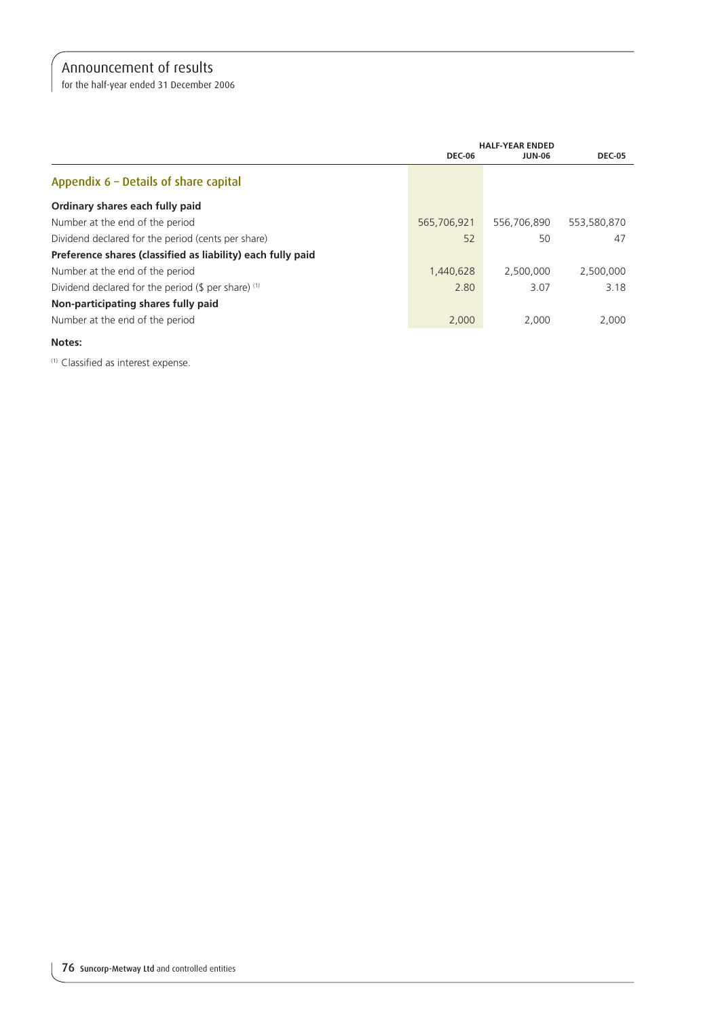for the half-year ended 31 December 2006

|                                                             | <b>HALF-YEAR ENDED</b> |               |               |
|-------------------------------------------------------------|------------------------|---------------|---------------|
|                                                             | <b>DEC-06</b>          | <b>JUN-06</b> | <b>DEC-05</b> |
| Appendix 6 - Details of share capital                       |                        |               |               |
| Ordinary shares each fully paid                             |                        |               |               |
| Number at the end of the period                             | 565,706,921            | 556,706,890   | 553,580,870   |
| Dividend declared for the period (cents per share)          | 52                     | 50            | 47            |
| Preference shares (classified as liability) each fully paid |                        |               |               |
| Number at the end of the period                             | 1.440.628              | 2,500,000     | 2.500.000     |
| Dividend declared for the period $($ \$ per share) $(1)$    | 2.80                   | 3.07          | 3.18          |
| Non-participating shares fully paid                         |                        |               |               |
| Number at the end of the period                             | 2,000                  | 2.000         | 2.000         |

## **Notes:**

(1) Classified as interest expense.